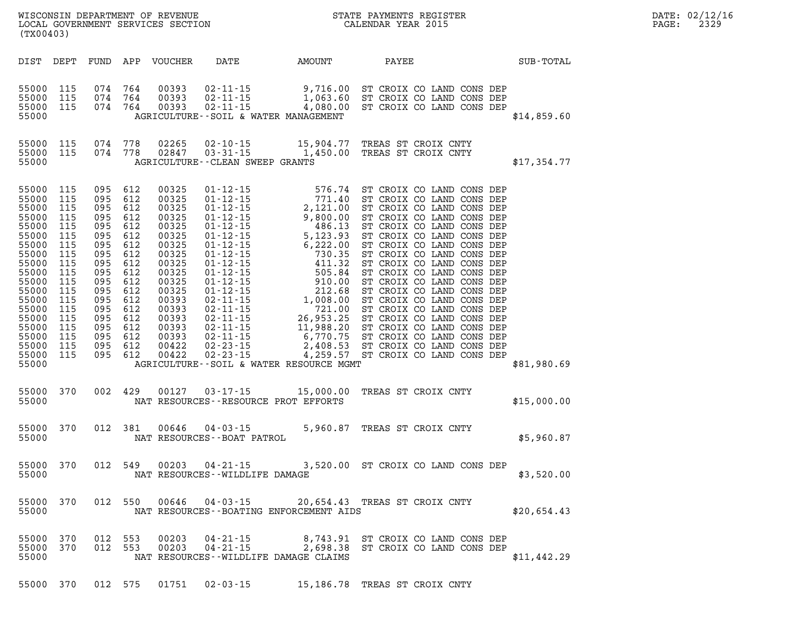| LOCAL GOVERNMENT SERVICES SECTION<br>(TX00403)                                                                                                                                       |                                                                                                                            |                                                                                                                                                                                           |                                 |                                                                                                                                                                         |                                                    |                                                                                                                                                            |       |                                                                                              |  |             | PAGE: | DATE: 02/12/16<br>2329 |
|--------------------------------------------------------------------------------------------------------------------------------------------------------------------------------------|----------------------------------------------------------------------------------------------------------------------------|-------------------------------------------------------------------------------------------------------------------------------------------------------------------------------------------|---------------------------------|-------------------------------------------------------------------------------------------------------------------------------------------------------------------------|----------------------------------------------------|------------------------------------------------------------------------------------------------------------------------------------------------------------|-------|----------------------------------------------------------------------------------------------|--|-------------|-------|------------------------|
| DIST DEPT                                                                                                                                                                            |                                                                                                                            |                                                                                                                                                                                           |                                 | FUND APP VOUCHER                                                                                                                                                        | DATE                                               | AMOUNT                                                                                                                                                     | PAYEE |                                                                                              |  | SUB-TOTAL   |       |                        |
| 55000<br>55000<br>55000 115<br>55000                                                                                                                                                 | 115<br>115                                                                                                                 | 074 764<br>074 764<br>074 764                                                                                                                                                             |                                 | 00393<br>00393<br>00393                                                                                                                                                 | $02 - 11 - 15$<br>$02 - 11 - 15$<br>$02 - 11 - 15$ | 9,716.00<br>1,063.60<br>4,080.00<br>AGRICULTURE--SOIL & WATER MANAGEMENT                                                                                   |       | ST CROIX CO LAND CONS DEP<br>ST CROIX CO LAND CONS DEP<br>4,080.00 ST CROIX CO LAND CONS DEP |  | \$14,859.60 |       |                        |
| 55000 115<br>55000 115<br>55000                                                                                                                                                      |                                                                                                                            | 074 778<br>074 778                                                                                                                                                                        |                                 | 02265<br>02847                                                                                                                                                          | 02-10-15<br>$03 - 31 - 15$                         | 15,904.77<br>1,450.00<br>AGRICULTURE - - CLEAN SWEEP GRANTS                                                                                                |       | TREAS ST CROIX CNTY<br>TREAS ST CROIX CNTY                                                   |  | \$17,354.77 |       |                        |
| 55000<br>55000<br>55000<br>55000<br>55000<br>55000<br>55000<br>55000<br>55000<br>55000<br>55000<br>55000<br>55000<br>55000<br>55000<br>55000<br>55000<br>55000<br>55000 115<br>55000 | 115<br>115<br>115<br>115<br>115<br>115<br>115<br>115<br>115<br>115<br>115<br>115<br>115<br>115<br>115<br>115<br>115<br>115 | 095 612<br>095 612<br>095 612<br>095 612<br>095<br>095 612<br>095<br>095 612<br>095<br>095 612<br>095<br>095 612<br>095 612<br>095 612<br>095<br>095 612<br>095 612<br>095 612<br>095 612 | 612<br>612<br>612<br>612<br>612 | 00325<br>00325<br>00325<br>00325<br>00325<br>00325<br>00325<br>00325<br>00325<br>00325<br>00325<br>00325<br>00393<br>00393<br>00393<br>00393<br>00393<br>00422<br>00422 |                                                    | AGRICULTURE--SOIL & WATER RESOURCE MGMT                                                                                                                    |       |                                                                                              |  | \$81,980.69 |       |                        |
| 55000 370<br>55000                                                                                                                                                                   |                                                                                                                            | 002 429                                                                                                                                                                                   |                                 |                                                                                                                                                                         |                                                    | 00127 03-17-15 15,000.00<br>NAT RESOURCES--RESOURCE PROT EFFORTS                                                                                           |       | TREAS ST CROIX CNTY                                                                          |  | \$15,000.00 |       |                        |
| 55000 370<br>55000                                                                                                                                                                   |                                                                                                                            | 012 381                                                                                                                                                                                   |                                 | 00646                                                                                                                                                                   | $04 - 03 - 15$<br>NAT RESOURCES - - BOAT PATROL    | 5,960.87                                                                                                                                                   |       | TREAS ST CROIX CNTY                                                                          |  | \$5,960.87  |       |                        |
| 55000 370<br>55000                                                                                                                                                                   |                                                                                                                            | 012 549                                                                                                                                                                                   |                                 | 00203                                                                                                                                                                   | $04 - 21 - 15$<br>NAT RESOURCES -- WILDLIFE DAMAGE |                                                                                                                                                            |       | 3,520.00 ST CROIX CO LAND CONS DEP                                                           |  | \$3,520.00  |       |                        |
| 55000 370<br>55000                                                                                                                                                                   |                                                                                                                            |                                                                                                                                                                                           |                                 |                                                                                                                                                                         |                                                    | 012 550 00646 04-03-15 20,654.43 TREAS ST CROIX CNTY<br>NAT RESOURCES--BOATING ENFORCEMENT AIDS                                                            |       |                                                                                              |  | \$20,654.43 |       |                        |
| 55000 370<br>55000 370<br>55000                                                                                                                                                      |                                                                                                                            | 012 553<br>012 553                                                                                                                                                                        |                                 |                                                                                                                                                                         |                                                    | 00203  04-21-15  8,743.91  ST CROIX CO LAND CONS  DEP<br>00203  04-21-15  2,698.38  ST CROIX CO LAND CONS  DEP<br>NAT RESOURCES - - WILDLIFE DAMAGE CLAIMS |       |                                                                                              |  | \$11,442.29 |       |                        |

**55000 370 012 575 01751 02-03-15 15,186.78 TREAS ST CROIX CNTY**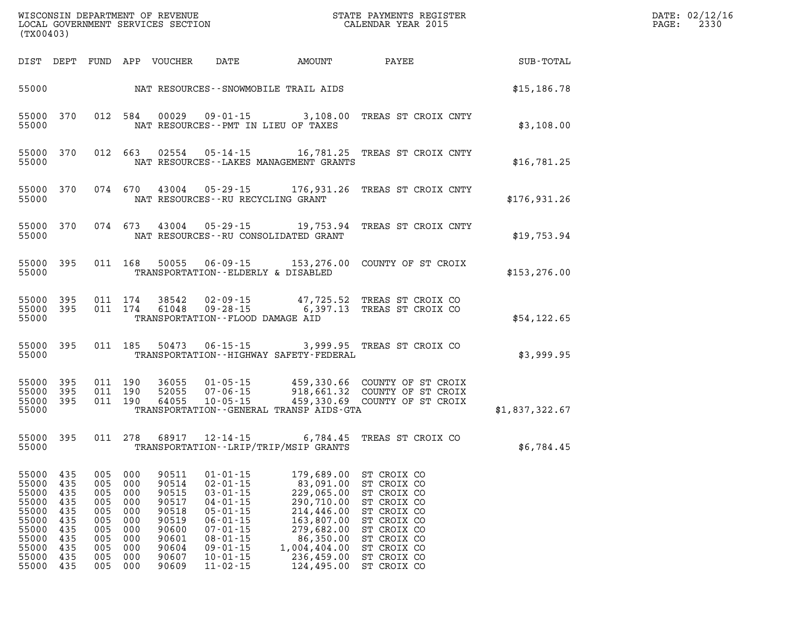| (TX00403)                                                                                       |                                                                           |                                                                           |                                                                           |                                                                                                 | WISCONSIN DEPARTMENT OF REVENUE<br>LOCAL GOVERNMENT SERVICES SECTION                                                                                                                               | STATE PAYMENTS REGISTER<br>CALENDAR YEAR 2015                                                                                                          |                                                                                                                                                                      | DATE: 02/12/16<br>2330<br>$\mathtt{PAGE:}$ |  |
|-------------------------------------------------------------------------------------------------|---------------------------------------------------------------------------|---------------------------------------------------------------------------|---------------------------------------------------------------------------|-------------------------------------------------------------------------------------------------|----------------------------------------------------------------------------------------------------------------------------------------------------------------------------------------------------|--------------------------------------------------------------------------------------------------------------------------------------------------------|----------------------------------------------------------------------------------------------------------------------------------------------------------------------|--------------------------------------------|--|
|                                                                                                 |                                                                           |                                                                           |                                                                           | DIST DEPT FUND APP VOUCHER DATE                                                                 |                                                                                                                                                                                                    | <b>AMOUNT</b>                                                                                                                                          | PAYEE                                                                                                                                                                | <b>SUB-TOTAL</b>                           |  |
| 55000                                                                                           |                                                                           |                                                                           |                                                                           |                                                                                                 |                                                                                                                                                                                                    | NAT RESOURCES--SNOWMOBILE TRAIL AIDS                                                                                                                   |                                                                                                                                                                      | \$15,186.78                                |  |
| 55000                                                                                           |                                                                           |                                                                           |                                                                           |                                                                                                 |                                                                                                                                                                                                    | NAT RESOURCES -- PMT IN LIEU OF TAXES                                                                                                                  | 55000 370 012 584 00029 09-01-15 3,108.00 TREAS ST CROIX CNTY                                                                                                        | \$3,108.00                                 |  |
| 55000                                                                                           | 55000 370                                                                 |                                                                           |                                                                           |                                                                                                 |                                                                                                                                                                                                    | NAT RESOURCES--LAKES MANAGEMENT GRANTS                                                                                                                 | 012 663 02554 05-14-15 16,781.25 TREAS ST CROIX CNTY                                                                                                                 | \$16,781.25                                |  |
| 55000                                                                                           | 55000 370                                                                 |                                                                           |                                                                           |                                                                                                 | NAT RESOURCES -- RU RECYCLING GRANT                                                                                                                                                                |                                                                                                                                                        | 074 670 43004 05-29-15 176,931.26 TREAS ST CROIX CNTY                                                                                                                | \$176,931.26                               |  |
| 55000                                                                                           | 55000 370                                                                 |                                                                           |                                                                           |                                                                                                 |                                                                                                                                                                                                    | NAT RESOURCES--RU CONSOLIDATED GRANT                                                                                                                   | 074 673 43004 05-29-15 19,753.94 TREAS ST CROIX CNTY                                                                                                                 | \$19,753.94                                |  |
| 55000                                                                                           | 55000 395                                                                 |                                                                           |                                                                           |                                                                                                 |                                                                                                                                                                                                    | TRANSPORTATION--ELDERLY & DISABLED                                                                                                                     | 011 168 50055 06-09-15 153,276.00 COUNTY OF ST CROIX                                                                                                                 | \$153, 276.00                              |  |
| 55000                                                                                           | 55000 395<br>55000 395                                                    |                                                                           |                                                                           |                                                                                                 | TRANSPORTATION--FLOOD DAMAGE AID                                                                                                                                                                   |                                                                                                                                                        | 011 174 38542 02-09-15 47,725.52 TREAS ST CROIX CO<br>011 174 61048 09-28-15 6,397.13 TREAS ST CROIX CO                                                              | \$54,122.65                                |  |
| 55000                                                                                           | 55000 395                                                                 |                                                                           |                                                                           |                                                                                                 |                                                                                                                                                                                                    | TRANSPORTATION - - HIGHWAY SAFETY - FEDERAL                                                                                                            | 011 185 50473 06-15-15 3,999.95 TREAS ST CROIX CO                                                                                                                    | \$3,999.95                                 |  |
| 55000<br>55000                                                                                  | 55000 395<br>55000 395<br>- 395                                           |                                                                           |                                                                           |                                                                                                 |                                                                                                                                                                                                    | TRANSPORTATION - - GENERAL TRANSP AIDS - GTA                                                                                                           | 011 190 36055 01-05-15 459,330.66 COUNTY OF ST CROIX<br>011 190 52055 07-06-15 918,661.32 COUNTY OF ST CROIX<br>011 190 64055 10-05-15 459,330.69 COUNTY OF ST CROIX | \$1,837,322.67                             |  |
| 55000                                                                                           |                                                                           |                                                                           |                                                                           |                                                                                                 |                                                                                                                                                                                                    | TRANSPORTATION - - LRIP/TRIP/MSIP GRANTS                                                                                                               | 55000 395 011 278 68917 12-14-15 6,784.45 TREAS ST CROIX CO                                                                                                          | \$6,784.45                                 |  |
| 55000<br>55000<br>55000<br>55000<br>55000<br>55000<br>55000<br>55000<br>55000<br>55000<br>55000 | 435<br>435<br>435<br>435<br>435<br>435<br>435<br>435<br>435<br>435<br>435 | 005<br>005<br>005<br>005<br>005<br>005<br>005<br>005<br>005<br>005<br>005 | 000<br>000<br>000<br>000<br>000<br>000<br>000<br>000<br>000<br>000<br>000 | 90511<br>90514<br>90515<br>90517<br>90518<br>90519<br>90600<br>90601<br>90604<br>90607<br>90609 | $01 - 01 - 15$<br>$02 - 01 - 15$<br>$03 - 01 - 15$<br>$04 - 01 - 15$<br>$05 - 01 - 15$<br>$06 - 01 - 15$<br>$07 - 01 - 15$<br>$08 - 01 - 15$<br>$09 - 01 - 15$<br>$10 - 01 - 15$<br>$11 - 02 - 15$ | 179,689.00<br>83,091.00<br>229,065.00<br>290,710.00<br>214,446.00<br>163,807.00<br>279,682.00<br>86,350.00<br>1,004,404.00<br>236,459.00<br>124,495.00 | ST CROIX CO<br>ST CROIX CO<br>ST CROIX CO<br>ST CROIX CO<br>ST CROIX CO<br>ST CROIX CO<br>ST CROIX CO<br>ST CROIX CO<br>ST CROIX CO<br>ST CROIX CO<br>ST CROIX CO    |                                            |  |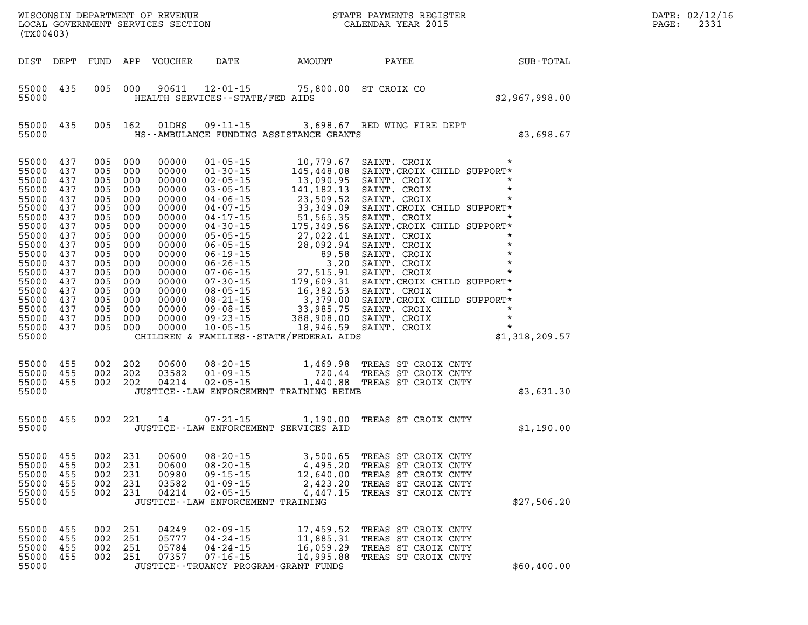| (TX00403)                                                                                                                                                                                                        |                                                                           |                   |                                  |                                  |                                                                                                                   |                                                  | WISCONSIN DEPARTMENT OF REVENUE<br>LOCAL GOVERNMENT SERVICES SECTION CALENDAR YEAR 2015                                                                                                                                               | $\mathbb{E} \mathbb{R}$ | DATE: 02/12/16<br>$\mathtt{PAGE}$ :<br>2331 |
|------------------------------------------------------------------------------------------------------------------------------------------------------------------------------------------------------------------|---------------------------------------------------------------------------|-------------------|----------------------------------|----------------------------------|-------------------------------------------------------------------------------------------------------------------|--------------------------------------------------|---------------------------------------------------------------------------------------------------------------------------------------------------------------------------------------------------------------------------------------|-------------------------|---------------------------------------------|
| DIST DEPT                                                                                                                                                                                                        |                                                                           |                   |                                  | FUND APP VOUCHER                 | DATE AMOUNT                                                                                                       |                                                  | PAYEE SUB-TOTAL                                                                                                                                                                                                                       |                         |                                             |
| 55000 435<br>55000                                                                                                                                                                                               |                                                                           |                   |                                  |                                  | HEALTH SERVICES - - STATE/FED AIDS                                                                                | 005 000 90611 12-01-15 75,800.00 ST CROIX CO     |                                                                                                                                                                                                                                       | \$2,967,998.00          |                                             |
| 55000<br>55000                                                                                                                                                                                                   | 435                                                                       |                   | 005 162                          | 01DHS                            |                                                                                                                   | HS--AMBULANCE FUNDING ASSISTANCE GRANTS          | 09-11-15 3,698.67 RED WING FIRE DEPT                                                                                                                                                                                                  | \$3,698.67              |                                             |
| 55000<br>55000<br>55000<br>55000<br>55000<br>55000 437<br>55000<br>55000 437<br>55000<br>55000 437<br>55000<br>55000 437<br>55000<br>55000 437<br>55000<br>55000 437<br>55000<br>55000 437<br>55000 437<br>55000 | 437<br>437<br>437<br>437<br>437<br>437<br>437<br>437<br>437<br>437<br>437 |                   |                                  |                                  |                                                                                                                   |                                                  | 005 000 00000 01-05-15 10,779.67 SAINT. CROIX **<br>005 000 00000 01-30-15 145,448.08 SAINT. CROIX **<br>005 000 00000 02-05-15 141,182.13 SAINT. CROIX **<br>005 000 00000 02-05-15 141,182.13 SAINT. CROIX **<br>005 000 00000 04-1 |                         |                                             |
| 55000<br>55000 455<br>55000 455<br>55000                                                                                                                                                                         | 455                                                                       |                   | 002 202<br>002 202<br>002 202    | 00600<br>03582<br>04214          |                                                                                                                   | JUSTICE -- LAW ENFORCEMENT TRAINING REIMB        | 08-20-15 1,469.98 TREAS ST CROIX CNTY<br>01-09-15 720.44 TREAS ST CROIX CNTY<br>02-05-15 1,440.88 TREAS ST CROIX CNTY                                                                                                                 | \$3,631.30              |                                             |
| 55000 455<br>55000                                                                                                                                                                                               |                                                                           |                   |                                  | 002 221 14                       | JUSTICE -- LAW ENFORCEMENT SERVICES AID                                                                           |                                                  | 07-21-15 1,190.00 TREAS ST CROIX CNTY                                                                                                                                                                                                 | \$1,190.00              |                                             |
| 55000 455<br>55000<br>55000<br>55000<br>55000                                                                                                                                                                    | 455<br>455<br>455                                                         | 002<br>002        | 002 231<br>231<br>002 231<br>231 | 00600<br>00980<br>03582<br>04214 | $08 - 20 - 15$<br>$09 - 15 - 15$<br>$01 - 09 - 15$<br>$02 - 05 - 15$<br>JUSTICE - - LAW ENFORCEMENT TRAINING      | 12,640.00<br>2,423.20<br>4,447.15                | 3,500.65 TREAS ST CROIX CNTY<br>55000 455 002 231 00600 08-20-15 4,495.20 TREAS ST CROIX CNTY<br>TREAS ST CROIX CNTY<br>TREAS ST CROIX CNTY<br>TREAS ST CROIX CNTY                                                                    | \$27,506.20             |                                             |
| 55000<br>55000<br>55000<br>55000<br>55000                                                                                                                                                                        | 455<br>455<br>455<br>455                                                  | 002<br>002<br>002 | 251<br>251<br>251<br>002 251     | 04249<br>05777<br>05784<br>07357 | $02 - 09 - 15$<br>$04 - 24 - 15$<br>$04 - 24 - 15$<br>$07 - 16 - 15$<br>JUSTICE - - TRUANCY PROGRAM - GRANT FUNDS | 17,459.52<br>11,885.31<br>16,059.29<br>14,995.88 | TREAS ST CROIX CNTY<br>TREAS ST CROIX CNTY<br>TREAS ST CROIX CNTY<br>TREAS ST CROIX CNTY                                                                                                                                              | \$60,400.00             |                                             |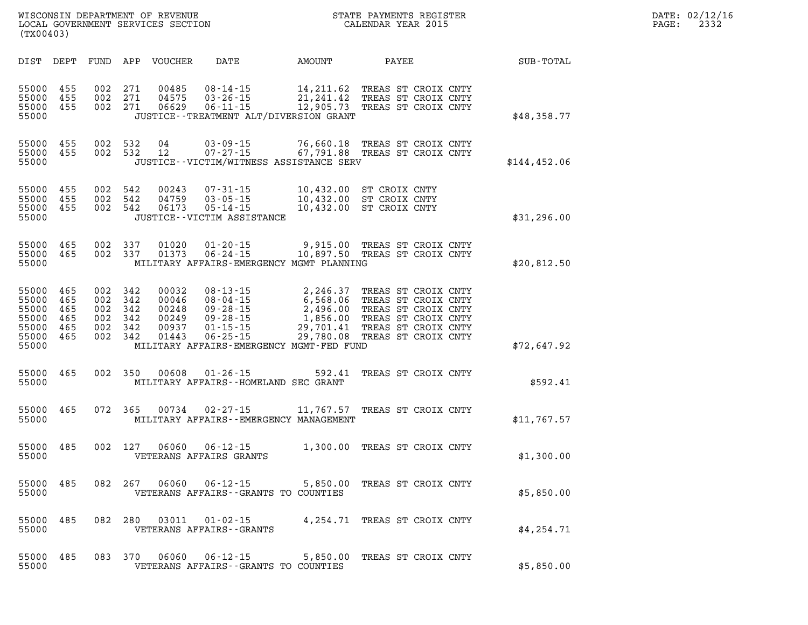| WISCONSIN DEPARTMENT OF REVENUE<br>LOCAL GOVERNMENT SERVICES SECTION CALENDAR YEAR 2015<br>(TX00403) |                          |                    |                                          |                                                    |                                                                                                                                                                                                                                                                                      |        | STATE PAYMENTS REGISTER                                       |  | DATE: 02/12/16<br>PAGE:<br>2332 |  |
|------------------------------------------------------------------------------------------------------|--------------------------|--------------------|------------------------------------------|----------------------------------------------------|--------------------------------------------------------------------------------------------------------------------------------------------------------------------------------------------------------------------------------------------------------------------------------------|--------|---------------------------------------------------------------|--|---------------------------------|--|
|                                                                                                      |                          |                    |                                          | DIST DEPT FUND APP VOUCHER                         | DATE<br>AMOUNT                                                                                                                                                                                                                                                                       |        | PAYEE                                                         |  | <b>SUB-TOTAL</b>                |  |
| 55000 455<br>55000 455<br>55000 455<br>55000                                                         |                          |                    | 002 271<br>002 271<br>002 271            | 00485<br>04575<br>06629                            | 08-14-15 14,211.62 TREAS ST CROIX CNTY<br>03-26-15 21,241.42 TREAS ST CROIX CNTY<br>06-11-15 12,905.73 TREAS ST CROIX CNTY<br>JUSTICE - - TREATMENT ALT/DIVERSION GRANT                                                                                                              |        |                                                               |  | \$48,358.77                     |  |
| 55000 455<br>55000 455<br>55000                                                                      |                          |                    | 002 532<br>002 532                       | 04<br>12                                           | 03-09-15 76,660.18 TREAS ST CROIX CNTY<br>07-27-15 67,791.88 TREAS ST CROIX CNTY<br>$07 - 27 - 15$<br>JUSTICE - - VICTIM/WITNESS ASSISTANCE SERV                                                                                                                                     |        | 67,791.88 TREAS ST CROIX CNTY                                 |  | \$144,452.06                    |  |
| 55000 455<br>55000 455<br>55000 455<br>55000                                                         |                          | 002 542<br>002 542 | 002 542                                  | 00243<br>04759<br>06173                            | JUSTICE - - VICTIM ASSISTANCE                                                                                                                                                                                                                                                        |        |                                                               |  | \$31,296.00                     |  |
| 55000<br>55000 465<br>55000                                                                          | 465                      |                    | 002 337<br>002 337                       | 01020<br>01373                                     | 01-20-15 9,915.00 TREAS ST CROIX CNTY<br>06-24-15 10,897.50 TREAS ST CROIX CNTY<br>MILITARY AFFAIRS-EMERGENCY MGMT PLANNING                                                                                                                                                          |        |                                                               |  | \$20,812.50                     |  |
| 55000<br>55000<br>55000<br>55000<br>55000 465<br>55000 465<br>55000                                  | 465<br>465<br>465<br>465 | 002 342<br>002 342 | 002 342<br>002 342<br>002 342<br>002 342 | 00032<br>00046<br>00248<br>00249<br>00937<br>01443 | 08-13-15 2,246.37 TREAS ST CROIX CNTY<br>08-04-15 6,568.06 TREAS ST CROIX CNTY<br>09-28-15 2,496.00 TREAS ST CROIX CNTY<br>09-28-15 1,856.00 TREAS ST CROIX CNTY<br>01-15-15 29,701.41 TREAS ST CROIX CNTY<br>06-25-15 29,780.08 TREAS S<br>MILITARY AFFAIRS-EMERGENCY MGMT-FED FUND |        | 2,246.37 TREAS ST CROIX CNTY<br>29,780.08 TREAS ST CROIX CNTY |  | \$72,647.92                     |  |
| 55000<br>55000                                                                                       | 465                      |                    | 002 350                                  | 00608                                              | 01-26-15<br>MILITARY AFFAIRS--HOMELAND SEC GRANT                                                                                                                                                                                                                                     | 592.41 | TREAS ST CROIX CNTY                                           |  | \$592.41                        |  |
| 55000<br>55000                                                                                       | 465                      |                    | 072 365                                  | 00734                                              | 02-27-15<br>MILITARY AFFAIRS - - EMERGENCY MANAGEMENT                                                                                                                                                                                                                                |        | 11,767.57 TREAS ST CROIX CNTY                                 |  | \$11,767.57                     |  |
| 55000<br>55000                                                                                       | 485                      |                    | 002 127                                  | 06060                                              | $06 - 12 - 15$<br>VETERANS AFFAIRS GRANTS                                                                                                                                                                                                                                            |        | 1,300.00 TREAS ST CROIX CNTY                                  |  | \$1,300.00                      |  |
| 55000 485<br>55000                                                                                   |                          |                    | 082 267                                  | 06060                                              | 06 - 12 - 15<br>VETERANS AFFAIRS - - GRANTS TO COUNTIES                                                                                                                                                                                                                              |        | 5,850.00 TREAS ST CROIX CNTY                                  |  | \$5,850.00                      |  |
| 55000<br>55000                                                                                       | 485                      |                    | 082 280                                  | 03011                                              | 01-02-15<br>VETERANS AFFAIRS - - GRANTS                                                                                                                                                                                                                                              |        | 4,254.71 TREAS ST CROIX CNTY                                  |  | \$4,254.71                      |  |
| 55000<br>55000                                                                                       | 485                      |                    | 083 370                                  | 06060                                              | 06 - 12 - 15<br>VETERANS AFFAIRS - - GRANTS TO COUNTIES                                                                                                                                                                                                                              |        | 5,850.00 TREAS ST CROIX CNTY                                  |  | \$5,850.00                      |  |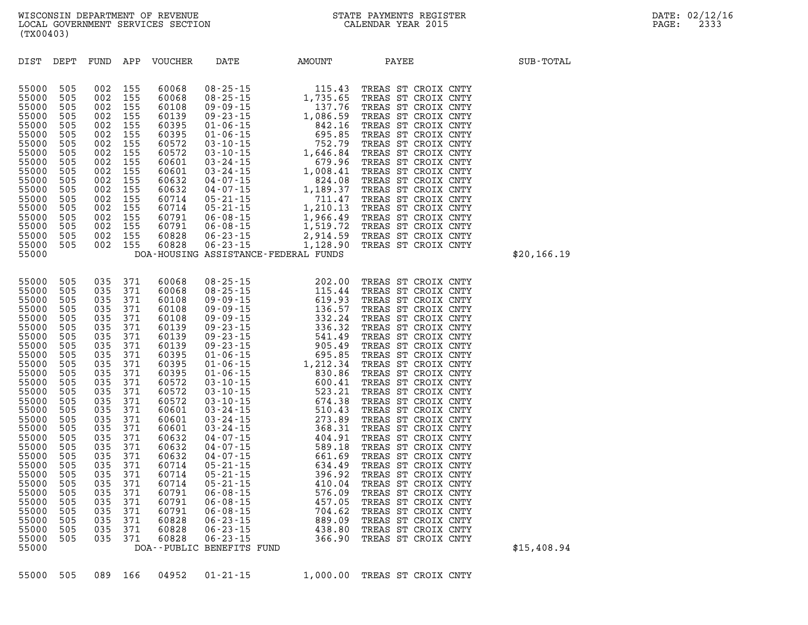| ----<br>55000<br>55000<br>55000<br>55000<br>55000<br>55000<br>55000<br>55000<br>55000<br>55000                                                                                                                                                                             | ---<br>505<br>505<br>505<br>505<br>505<br>505<br>505<br>505<br>505                                                                                                                                      | ---<br>002<br>002<br>002<br>002<br>002<br>002<br>002<br>002<br>002                                                                                                                                      | ---<br>155<br>155<br>155<br>155<br>155<br>155<br>155<br>155<br>155                                                                                                                                      |                                                                                                                                                                | DOA-HOUSING ASSISTANCE-FEDERAL FUNDS        | 60601 03-24-15 1,008.41 TREAS ST CROIX CNTY<br>60632 04-07-15 824.08 TREAS ST CROIX CNTY<br>60632 04-07-15 1,189.37 TREAS ST CROIX CNTY<br>60632 04-07-15<br>60714 05-21-15<br>60714 05-21-15<br>60791 06-08-15<br>7.966.49<br>60791 06-08-15<br>7.966.49<br>60828 06-23-15<br>7.914.59<br>60828 06-23-15<br>7.914.59<br>60828 06-23-15<br>7.914.59<br>7.914.59<br>7.914.59                                                                                                                                                                                                                                                                                                                                                                                                                                                                                                                 | TREAS ST CROIX CNTY<br>TREAS ST CROIX CNTY<br>TREAS ST CROIX CNTY<br>TREAS ST CROIX CNTY<br>TREAS ST CROIX CNTY<br>TREAS ST CROIX CNTY                                                                                                                                                                                                                                                                                                                                                                                                                                                                                                                                                  |  |
|----------------------------------------------------------------------------------------------------------------------------------------------------------------------------------------------------------------------------------------------------------------------------|---------------------------------------------------------------------------------------------------------------------------------------------------------------------------------------------------------|---------------------------------------------------------------------------------------------------------------------------------------------------------------------------------------------------------|---------------------------------------------------------------------------------------------------------------------------------------------------------------------------------------------------------|----------------------------------------------------------------------------------------------------------------------------------------------------------------|---------------------------------------------|---------------------------------------------------------------------------------------------------------------------------------------------------------------------------------------------------------------------------------------------------------------------------------------------------------------------------------------------------------------------------------------------------------------------------------------------------------------------------------------------------------------------------------------------------------------------------------------------------------------------------------------------------------------------------------------------------------------------------------------------------------------------------------------------------------------------------------------------------------------------------------------------|-----------------------------------------------------------------------------------------------------------------------------------------------------------------------------------------------------------------------------------------------------------------------------------------------------------------------------------------------------------------------------------------------------------------------------------------------------------------------------------------------------------------------------------------------------------------------------------------------------------------------------------------------------------------------------------------|--|
| 55000<br>55000<br>55000<br>55000<br>55000<br>55000<br>55000<br>55000<br>55000<br>55000<br>55000<br>55000<br>55000<br>55000<br>55000<br>55000<br>55000<br>55000<br>55000<br>55000<br>55000<br>55000<br>55000<br>55000<br>55000<br>55000<br>55000<br>55000<br>55000<br>55000 | 505<br>505<br>505<br>505<br>505<br>505<br>505<br>505<br>505<br>505<br>505<br>505<br>505<br>505<br>505<br>505<br>505<br>505<br>505<br>505<br>505<br>505<br>505<br>505<br>505<br>505<br>505<br>505<br>505 | 035<br>035<br>035<br>035<br>035<br>035<br>035<br>035<br>035<br>035<br>035<br>035<br>035<br>035<br>035<br>035<br>035<br>035<br>035<br>035<br>035<br>035<br>035<br>035<br>035<br>035<br>035<br>035<br>035 | 371<br>371<br>371<br>371<br>371<br>371<br>371<br>371<br>371<br>371<br>371<br>371<br>371<br>371<br>371<br>371<br>371<br>371<br>371<br>371<br>371<br>371<br>371<br>371<br>371<br>371<br>371<br>371<br>371 | 60068<br>60068<br>60108<br>60108<br>60108<br>60139<br>60139<br>60139<br>60395<br>60395<br>60632<br>60632<br>60632<br>60714<br>60714<br>60714<br>60791<br>60791 | $05 - 21 - 15$<br>DOA--PUBLIC BENEFITS FUND | 08-25-15 202.00<br>08-25-15 115.44<br>09 - 09 - 15 619.93<br>$136.57$<br>$09 - 09 - 15$<br>$09 - 09 - 15$<br>$136.57$<br>$09 - 23 - 15$<br>$332.24$<br>$09 - 23 - 15$<br>$541.49$<br>$905.49$<br>$01 - 06 - 15$<br>$01 - 06 - 15$<br>$1,212.34$<br>$23.396$<br>$\begin{array}{cccc} 1,213.86 \\ 60395 & 01 - 06 - 15 & 830.86 \\ 60572 & 03 - 10 - 15 & 600.41 \\ 60572 & 03 - 10 - 15 & 523.21 \\ 60572 & 03 - 10 - 15 & 674.38 \\ 60601 & 03 - 24 - 15 & 510.43 \\ 60601 & 03 - 24 - 15 & 273.89 \\ 60601 & 03 - 24 - 15 & 368.31 \\ 60601 & 03 - 24$<br>04 - 07 - 15<br>04 - 07 - 15<br>04 - 07 - 15<br>04 - 07 - 15<br>661 - 69<br>634.49<br>$05 - 21 - 15$<br>$05 - 21 - 15$<br>$06 - 08 - 15$<br>$06 - 08 - 15$<br>$07 - 15$<br>$08 - 15$<br>$09 - 15$<br>$06 - 08 - 15$ $457.05$<br>60791 06-08-15 704.62<br>60828 06-23-15 889.09<br>60828 06-23-15 438.80<br>60828 06-23-15 366.90 | TREAS ST CROIX CNTY<br>TREAS ST CROIX CNTY<br>TREAS ST CROIX CNTY<br>TREAS ST CROIX CNTY<br>TREAS ST CROIX CNTY<br>TREAS ST CROIX CNTY<br>TREAS ST CROIX CNTY<br>TREAS ST CROIX CNTY<br>TREAS ST CROIX CNTY<br>TREAS ST CROIX CNTY<br>TREAS ST CROIX CNTY<br>TREAS ST CROIX CNTY<br>TREAS ST CROIX CNTY<br>TREAS ST CROIX CNTY<br>TREAS ST CROIX CNTY<br>TREAS ST CROIX CNTY<br>TREAS ST CROIX CNTY<br>TREAS ST CROIX CNTY<br>TREAS ST CROIX CNTY<br>TREAS ST CROIX CNTY<br>TREAS ST CROIX CNTY<br>TREAS ST CROIX CNTY<br>TREAS ST CROIX CNTY<br>TREAS ST CROIX CNTY<br>TREAS ST CROIX CNTY<br>TREAS ST CROIX CNTY<br>TREAS ST CROIX CNTY<br>TREAS ST CROIX CNTY<br>TREAS ST CROIX CNTY |  |

| 002<br>60068<br>$08 - 25 - 15$<br>55000<br>505<br>155<br>115.43<br>TREAS ST<br>CROIX CNTY<br>55000<br>505<br>002<br>155<br>60068<br>$08 - 25 - 15$<br>1,735.65<br>TREAS<br>ST<br>CROIX CNTY<br>002<br>155<br>$09 - 09 - 15$<br>137.76<br>55000<br>505<br>60108<br>TREAS<br>ST<br>CROIX CNTY<br>$09 - 23 - 15$<br>1,086.59<br>55000<br>505<br>002<br>155<br>60139<br>TREAS<br>ST<br>CROIX CNTY<br>55000<br>002<br>155<br>60395<br>$01 - 06 - 15$<br>842.16<br>505<br>TREAS<br>ST<br>CROIX CNTY<br>$01 - 06 - 15$<br>695.85<br>55000<br>505<br>002<br>155<br>60395<br>TREAS<br>CROIX CNTY<br>ST<br>752.79<br>55000<br>002<br>155<br>60572<br>$03 - 10 - 15$<br>505<br>TREAS<br>ST<br>CROIX CNTY<br>1,646.84<br>155<br>60572<br>$03 - 10 - 15$<br>55000<br>505<br>002<br>TREAS<br>SТ<br>CROIX CNTY<br>55000<br>002<br>155<br>60601<br>$03 - 24 - 15$<br>679.96<br>505<br>TREAS<br>CROIX CNTY<br>ST<br>55000<br>155<br>60601<br>$03 - 24 - 15$<br>1,008.41<br>505<br>002<br>TREAS<br>CROIX CNTY<br>ST<br>55000<br>505<br>002<br>155<br>60632<br>$04 - 07 - 15$<br>824.08<br>TREAS<br>ST<br>CROIX CNTY<br>155<br>1,189.37<br>55000<br>505<br>002<br>60632<br>$04 - 07 - 15$<br>TREAS<br>CROIX CNTY<br>ST<br>55000<br>505<br>002<br>$05 - 21 - 15$<br>711.47<br>155<br>60714<br>TREAS<br>ST<br>CROIX CNTY<br>1,210.13<br>55000<br>002<br>155<br>$05 - 21 - 15$<br>505<br>60714<br>TREAS<br>SТ<br>CROIX CNTY | DIST  | DEPT | FUND | APP | <b>VOUCHER</b> | DATE           | AMOUNT   | PAYEE                     | SUB-TOTAL   |
|-------------------------------------------------------------------------------------------------------------------------------------------------------------------------------------------------------------------------------------------------------------------------------------------------------------------------------------------------------------------------------------------------------------------------------------------------------------------------------------------------------------------------------------------------------------------------------------------------------------------------------------------------------------------------------------------------------------------------------------------------------------------------------------------------------------------------------------------------------------------------------------------------------------------------------------------------------------------------------------------------------------------------------------------------------------------------------------------------------------------------------------------------------------------------------------------------------------------------------------------------------------------------------------------------------------------------------------------------------------------------------------------------------|-------|------|------|-----|----------------|----------------|----------|---------------------------|-------------|
| 55000<br>002<br>60791<br>$06 - 08 - 15$<br>1,519.72<br>505<br>155<br>TREAS<br>CROIX CNTY<br>ST<br>55000<br>505<br>002<br>60828<br>$06 - 23 - 15$<br>2,914.59<br>155<br>TREAS<br>CROIX CNTY<br>ST<br>60828<br>1,128.90<br>55000<br>505<br>002<br>155<br>$06 - 23 - 15$<br>TREAS<br>ST<br>CROIX CNTY<br>55000<br>ASSISTANCE-FEDERAL FUNDS<br>DOA-HOUSING                                                                                                                                                                                                                                                                                                                                                                                                                                                                                                                                                                                                                                                                                                                                                                                                                                                                                                                                                                                                                                                | 55000 | 505  | 002  | 155 | 60791          | $06 - 08 - 15$ | 1,966.49 | TREAS<br>CROIX CNTY<br>ST | \$20,166.19 |

\$15,408.94

**WISCONSIN DEPARTMENT OF REVENUE STATE PAYMENTS REGISTER DATE: 02/12/16**  LOCAL GOVERNMENT SERVICES SECTION **(TX00403)**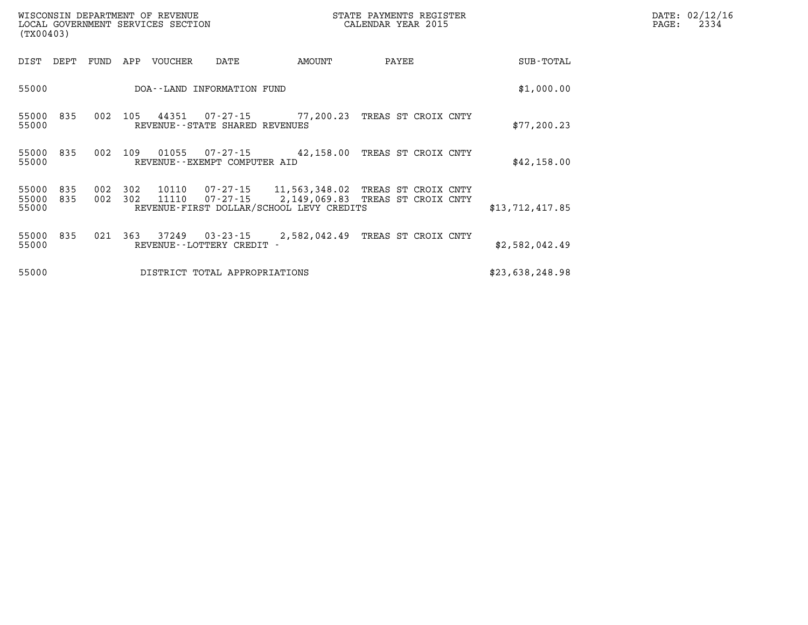| WISCONSIN DEPARTMENT OF REVENUE<br>LOCAL GOVERNMENT SERVICES SECTION<br>(TX00403) |                |     |                |                                |                                                                    | STATE PAYMENTS REGISTER<br>CALENDAR YEAR 2015                    |                 | DATE: 02/12/16<br>2334<br>$\mathtt{PAGE}$ : |
|-----------------------------------------------------------------------------------|----------------|-----|----------------|--------------------------------|--------------------------------------------------------------------|------------------------------------------------------------------|-----------------|---------------------------------------------|
| DIST<br>DEPT                                                                      | FUND           | APP | VOUCHER        | DATE                           | AMOUNT                                                             | PAYEE                                                            | SUB-TOTAL       |                                             |
| 55000                                                                             |                |     |                | DOA--LAND INFORMATION FUND     |                                                                    |                                                                  | \$1,000.00      |                                             |
| 55000 835<br>55000                                                                | 002            | 105 |                | REVENUE--STATE SHARED REVENUES |                                                                    | 44351 07-27-15 77,200.23 TREAS ST CROIX CNTY                     | \$77, 200.23    |                                             |
| 55000 835<br>55000                                                                | 002            | 109 | 01055          | REVENUE--EXEMPT COMPUTER AID   | 07-27-15 42,158.00                                                 | TREAS ST CROIX CNTY                                              | \$42,158.00     |                                             |
| 55000<br>835<br>55000 835<br>55000                                                | 002<br>002 302 | 302 | 10110<br>11110 |                                | 07-27-15 11,563,348.02<br>REVENUE-FIRST DOLLAR/SCHOOL LEVY CREDITS | TREAS ST CROIX CNTY<br>07-27-15 2,149,069.83 TREAS ST CROIX CNTY | \$13,712,417.85 |                                             |
| 55000 835<br>55000                                                                | 021            | 363 |                | REVENUE--LOTTERY CREDIT -      |                                                                    | 37249 03-23-15 2,582,042.49 TREAS ST CROIX CNTY                  | \$2,582,042.49  |                                             |
| 55000                                                                             |                |     |                | DISTRICT TOTAL APPROPRIATIONS  |                                                                    |                                                                  | \$23,638,248.98 |                                             |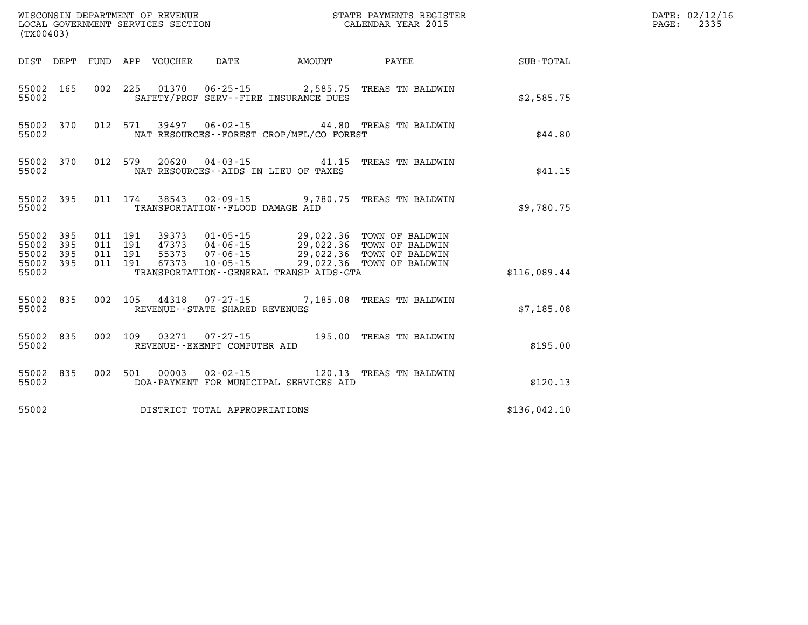| (TX00403)                   |            |                    |         |                            | WISCONSIN DEPARTMENT OF REVENUE<br>LOCAL GOVERNMENT SERVICES SECTION<br>(my00402) |                                                                          | STATE PAYMENTS REGISTER<br>CALENDAR YEAR 2015                                                                                                      | DATE: 02/12/16<br>2335<br>PAGE: |  |
|-----------------------------|------------|--------------------|---------|----------------------------|-----------------------------------------------------------------------------------|--------------------------------------------------------------------------|----------------------------------------------------------------------------------------------------------------------------------------------------|---------------------------------|--|
|                             |            |                    |         | DIST DEPT FUND APP VOUCHER | DATE                                                                              | AMOUNT                                                                   | PAYEE                                                                                                                                              | SUB-TOTAL                       |  |
| 55002                       | 55002 165  |                    |         |                            |                                                                                   | 002 225 01370 06-25-15 2,585.75<br>SAFETY/PROF SERV--FIRE INSURANCE DUES | TREAS TN BALDWIN                                                                                                                                   | \$2,585.75                      |  |
| 55002                       | 55002 370  |                    | 012 571 |                            |                                                                                   | NAT RESOURCES - - FOREST CROP/MFL/CO FOREST                              | 39497  06-02-15  44.80 TREAS TN BALDWIN                                                                                                            | \$44.80                         |  |
| 55002                       | 55002 370  |                    |         |                            |                                                                                   | NAT RESOURCES--AIDS IN LIEU OF TAXES                                     | 012 579 20620 04-03-15 41.15 TREAS TN BALDWIN                                                                                                      | \$41.15                         |  |
| 55002                       | 55002 395  |                    | 011 174 |                            | TRANSPORTATION--FLOOD DAMAGE AID                                                  |                                                                          | 38543 02-09-15 9,780.75 TREAS TN BALDWIN                                                                                                           | \$9,780.75                      |  |
| 55002<br>55002              | 395<br>395 | 011 191<br>011 191 |         |                            |                                                                                   |                                                                          | 39373   01-05-15   29,022.36   TOWN OF BALDWIN<br>47373   04-06-15   29,022.36   TOWN OF BALDWIN<br>55373   07-06-15   29,022.36   TOWN OF BALDWIN |                                 |  |
| 55002<br>55002 395<br>55002 | 395        | 011 191            | 011 191 | 67373                      |                                                                                   | TRANSPORTATION--GENERAL TRANSP AIDS-GTA                                  | 10-05-15 29,022.36 TOWN OF BALDWIN                                                                                                                 | \$116,089.44                    |  |
| 55002                       | 55002 835  |                    | 002 105 |                            | REVENUE - - STATE SHARED REVENUES                                                 |                                                                          | 44318  07-27-15  7,185.08  TREAS TN BALDWIN                                                                                                        | \$7,185.08                      |  |
| 55002                       | 55002 835  |                    |         |                            | REVENUE--EXEMPT COMPUTER AID                                                      |                                                                          | 002 109 03271 07-27-15 195.00 TREAS TN BALDWIN                                                                                                     | \$195.00                        |  |
| 55002                       | 55002 835  |                    | 002 501 | 00003                      | 02-02-15                                                                          | DOA-PAYMENT FOR MUNICIPAL SERVICES AID                                   | 120.13 TREAS TN BALDWIN                                                                                                                            | \$120.13                        |  |
| 55002                       |            |                    |         |                            | DISTRICT TOTAL APPROPRIATIONS                                                     |                                                                          |                                                                                                                                                    | \$136,042.10                    |  |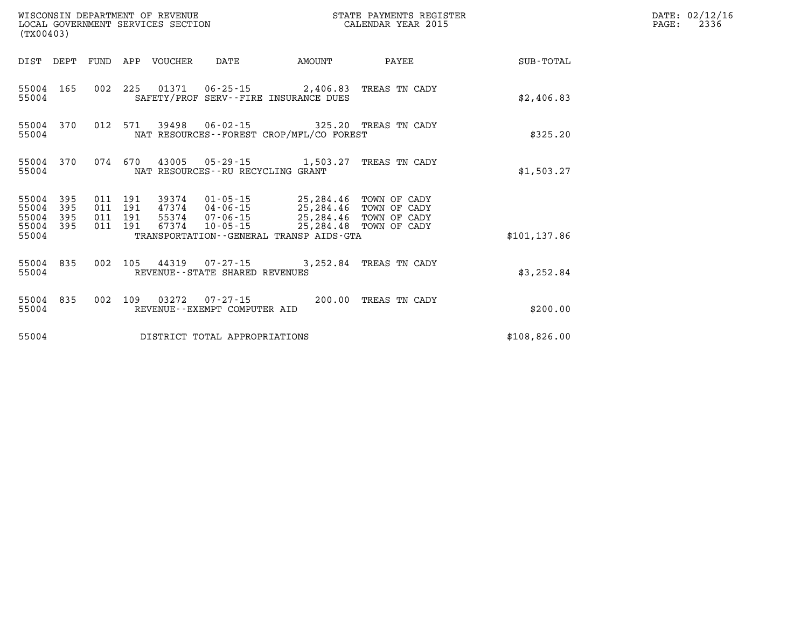| (TX00403)                   |            |                               | WISCONSIN DEPARTMENT OF REVENUE | LOCAL GOVERNMENT SERVICES SECTION |                                                                                                                                  | STATE PAYMENTS REGISTER<br>CALENDAR YEAR 2015 |               | DATE: 02/12/16<br>PAGE:<br>2336 |
|-----------------------------|------------|-------------------------------|---------------------------------|-----------------------------------|----------------------------------------------------------------------------------------------------------------------------------|-----------------------------------------------|---------------|---------------------------------|
|                             |            |                               | DIST DEPT FUND APP VOUCHER      | DATE                              | AMOUNT                                                                                                                           | PAYEE                                         | SUB-TOTAL     |                                 |
| 55004                       | 55004 165  |                               |                                 |                                   | 002 225 01371 06-25-15 2,406.83 TREAS TN CADY<br>SAFETY/PROF SERV--FIRE INSURANCE DUES                                           |                                               | \$2,406.83    |                                 |
| 55004                       | 55004 370  | 012 571                       |                                 |                                   | 39498  06-02-15  325.20 TREAS TN CADY<br>NAT RESOURCES - - FOREST CROP/MFL/CO FOREST                                             |                                               | \$325.20      |                                 |
| 55004                       | 55004 370  | 074 670                       |                                 | NAT RESOURCES--RU RECYCLING GRANT | 43005  05-29-15  1,503.27  TREAS TN CADY                                                                                         |                                               | \$1,503.27    |                                 |
| 55004 395<br>55004<br>55004 | 395<br>395 | 011 191<br>011 191<br>011 191 |                                 |                                   | 39374  01-05-15  25,284.46  TOWN OF CADY<br>47374  04-06-15  25,284.46  TOWN OF CADY<br>55374  07-06-15  25,284.46  TOWN OF CADY |                                               |               |                                 |
| 55004 395<br>55004          |            | 011 191                       | 67374                           |                                   | 10-05-15 25,284.48 TOWN OF CADY<br>TRANSPORTATION--GENERAL TRANSP AIDS-GTA                                                       |                                               | \$101, 137.86 |                                 |
| 55004                       | 55004 835  |                               |                                 | REVENUE - - STATE SHARED REVENUES | 002 105 44319 07-27-15 3,252.84 TREAS TN CADY                                                                                    |                                               | \$3,252.84    |                                 |
| 55004                       | 55004 835  | 002 109                       |                                 | REVENUE--EXEMPT COMPUTER AID      |                                                                                                                                  |                                               | \$200.00      |                                 |
| 55004                       |            |                               |                                 | DISTRICT TOTAL APPROPRIATIONS     |                                                                                                                                  |                                               | \$108,826.00  |                                 |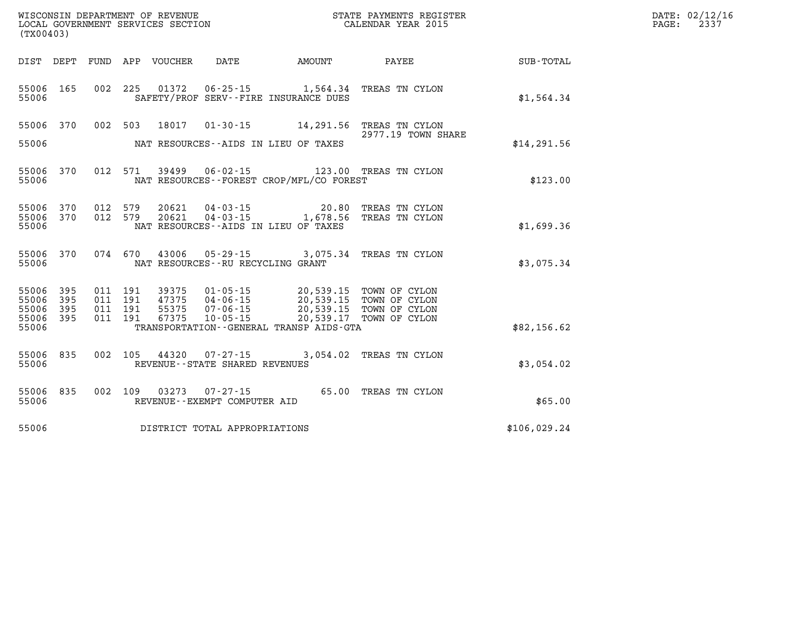| WISCONSIN DEPARTMENT OF REVENUE<br>LOCAL GOVERNMENT SERVICES SECTION<br>(TX00403) |                                          |                                  |                                                                                                     |               | STATE PAYMENTS REGISTER<br>CALENDAR YEAR 2015                                                                                       |              | DATE: 02/12/16<br>PAGE:<br>2337 |
|-----------------------------------------------------------------------------------|------------------------------------------|----------------------------------|-----------------------------------------------------------------------------------------------------|---------------|-------------------------------------------------------------------------------------------------------------------------------------|--------------|---------------------------------|
| DIST DEPT FUND APP VOUCHER                                                        |                                          |                                  | DATE                                                                                                | <b>AMOUNT</b> | <b>PAYEE</b> PAYEE                                                                                                                  | SUB-TOTAL    |                                 |
| 55006 165<br>55006                                                                | 002 225                                  | 01372                            | 06-25-15<br>SAFETY/PROF SERV--FIRE INSURANCE DUES                                                   |               | 1,564.34 TREAS TN CYLON                                                                                                             | \$1,564.34   |                                 |
| 55006 370<br>55006                                                                | 002 503                                  | 18017                            | NAT RESOURCES--AIDS IN LIEU OF TAXES                                                                |               | 01-30-15 14,291.56 TREAS TN CYLON<br>2977.19 TOWN SHARE                                                                             | \$14, 291.56 |                                 |
| 55006 370<br>55006                                                                | 012 571                                  |                                  | NAT RESOURCES--FOREST CROP/MFL/CO FOREST                                                            |               | 39499  06-02-15  123.00 TREAS TN CYLON                                                                                              | \$123.00     |                                 |
| 55006 370<br>55006 370<br>55006                                                   | 012 579<br>012 579                       |                                  | 20621 04-03-15 20.80<br>$20621$ $04 - 03 - 15$ $1,678.56$<br>NAT RESOURCES -- AIDS IN LIEU OF TAXES |               | TREAS TN CYLON<br>TREAS TN CYLON                                                                                                    | \$1,699.36   |                                 |
| 55006 370<br>55006                                                                | 074 670                                  |                                  | NAT RESOURCES - - RU RECYCLING GRANT                                                                |               | 43006  05-29-15  3,075.34  TREAS TN CYLON                                                                                           | \$3,075.34   |                                 |
| 55006 395<br>55006<br>395<br>55006 395<br>55006 395<br>55006                      | 011 191<br>011 191<br>011 191<br>011 191 | 39375<br>47375<br>55375<br>67375 | 10-05-15<br>TRANSPORTATION--GENERAL TRANSP AIDS-GTA                                                 |               | 01-05-15 20,539.15 TOWN OF CYLON<br>04-06-15 20,539.15 TOWN OF CYLON<br>07-06-15 20,539.15 TOWN OF CYLON<br>20,539.17 TOWN OF CYLON | \$82,156.62  |                                 |
| 55006 835<br>55006                                                                | 002 105                                  |                                  | 44320 07-27-15<br>REVENUE - - STATE SHARED REVENUES                                                 |               | 3,054.02 TREAS TN CYLON                                                                                                             | \$3,054.02   |                                 |
| 55006 835<br>55006                                                                | 002 109                                  | 03273                            | 07-27-15<br>REVENUE--EXEMPT COMPUTER AID                                                            |               | 65.00 TREAS TN CYLON                                                                                                                | \$65.00      |                                 |
| 55006                                                                             |                                          |                                  | DISTRICT TOTAL APPROPRIATIONS                                                                       |               |                                                                                                                                     | \$106,029.24 |                                 |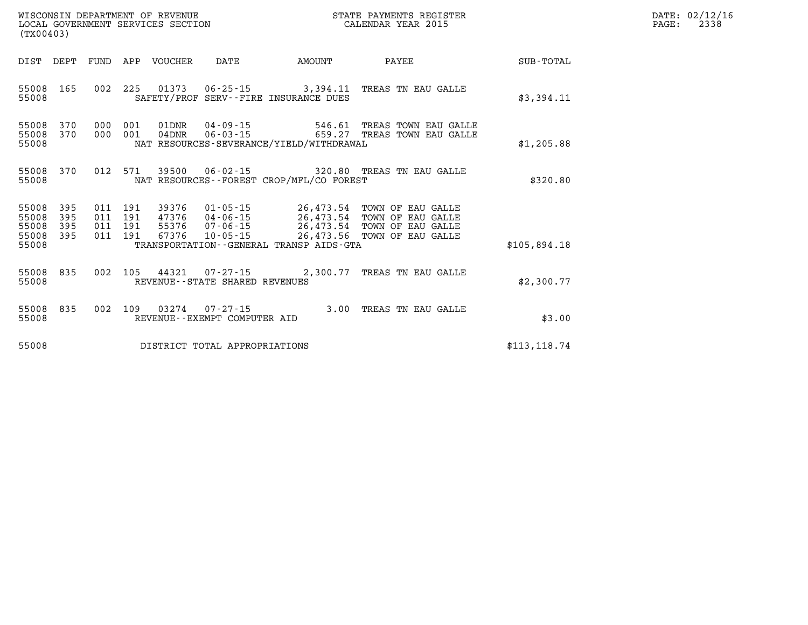| (TX00403)                                 |                          |                                          |                         |                                   |                                             | ${\tt WISCOONSIM} \begin{tabular}{lcccc} {\tt NISCOONSIM} \end{tabular} \begin{tabular}{lcccc} {\tt NISCOONSIM} \end{tabular} \begin{tabular}{lcccc} {\tt NUCAL} \end{tabular} \begin{tabular}{lcccc} {\tt NUCAL} \end{tabular} \begin{tabular}{lcccc} {\tt NUCAL} \end{tabular} \begin{tabular}{lcccc} {\tt NUCAL} \end{tabular} \end{tabular} \begin{tabular}{lcccc} {\tt NUCAL} \end{tabular} \begin{tabular}{lcccc} {\tt NUCAL} \end{tabular} \end{tabular} \begin{tabular}{lcccc} {\tt NUCAL} \end{tabular} \begin{tabular}{lcccc} {\$<br>STATE PAYMENTS REGISTER |               | DATE: 02/12/16<br>2338<br>PAGE: |
|-------------------------------------------|--------------------------|------------------------------------------|-------------------------|-----------------------------------|---------------------------------------------|------------------------------------------------------------------------------------------------------------------------------------------------------------------------------------------------------------------------------------------------------------------------------------------------------------------------------------------------------------------------------------------------------------------------------------------------------------------------------------------------------------------------------------------------------------------------|---------------|---------------------------------|
|                                           | DIST DEPT                |                                          | FUND APP VOUCHER        | DATE                              | AMOUNT                                      | PAYEE                                                                                                                                                                                                                                                                                                                                                                                                                                                                                                                                                                  | SUB-TOTAL     |                                 |
| 55008                                     | 55008 165                |                                          |                         |                                   | SAFETY/PROF SERV--FIRE INSURANCE DUES       | 002 225 01373 06-25-15 3,394.11 TREAS TN EAU GALLE                                                                                                                                                                                                                                                                                                                                                                                                                                                                                                                     | \$3,394.11    |                                 |
| 55008<br>55008<br>55008                   | 370<br>370               | 000 001<br>000 001                       | 01DNR<br>$04\rm{DNR}$   |                                   | NAT RESOURCES-SEVERANCE/YIELD/WITHDRAWAL    | 04-09-15 546.61 TREAS TOWN EAU GALLE<br>06-03-15 659.27 TREAS TOWN EAU GALLE                                                                                                                                                                                                                                                                                                                                                                                                                                                                                           | \$1,205.88    |                                 |
| 55008<br>55008                            | 370                      | 012 571                                  |                         |                                   | NAT RESOURCES - - FOREST CROP/MFL/CO FOREST | 39500  06-02-15  320.80 TREAS TN EAU GALLE                                                                                                                                                                                                                                                                                                                                                                                                                                                                                                                             | \$320.80      |                                 |
| 55008<br>55008<br>55008<br>55008<br>55008 | 395<br>395<br>395<br>395 | 011 191<br>011 191<br>011 191<br>011 191 | 47376<br>55376<br>67376 |                                   | TRANSPORTATION--GENERAL TRANSP AIDS-GTA     | 39376  01-05-15  26,473.54  TOWN OF EAU GALLE<br>04-06-15<br>07-06-15<br>07-06-15<br>26,473.54 TOWN OF EAU GALLE<br>10-05-15<br>26,473.56 TOWN OF EAU GALLE                                                                                                                                                                                                                                                                                                                                                                                                            | \$105,894.18  |                                 |
| 55008                                     | 55008 835                |                                          |                         | REVENUE - - STATE SHARED REVENUES |                                             | 002 105 44321 07-27-15 2,300.77 TREAS TN EAU GALLE                                                                                                                                                                                                                                                                                                                                                                                                                                                                                                                     | \$2,300.77    |                                 |
| 55008                                     | 55008 835                |                                          |                         | REVENUE--EXEMPT COMPUTER AID      |                                             | 002 109 03274 07-27-15 3.00 TREAS TN EAU GALLE                                                                                                                                                                                                                                                                                                                                                                                                                                                                                                                         | \$3.00        |                                 |
| 55008                                     |                          |                                          |                         | DISTRICT TOTAL APPROPRIATIONS     |                                             |                                                                                                                                                                                                                                                                                                                                                                                                                                                                                                                                                                        | \$113, 118.74 |                                 |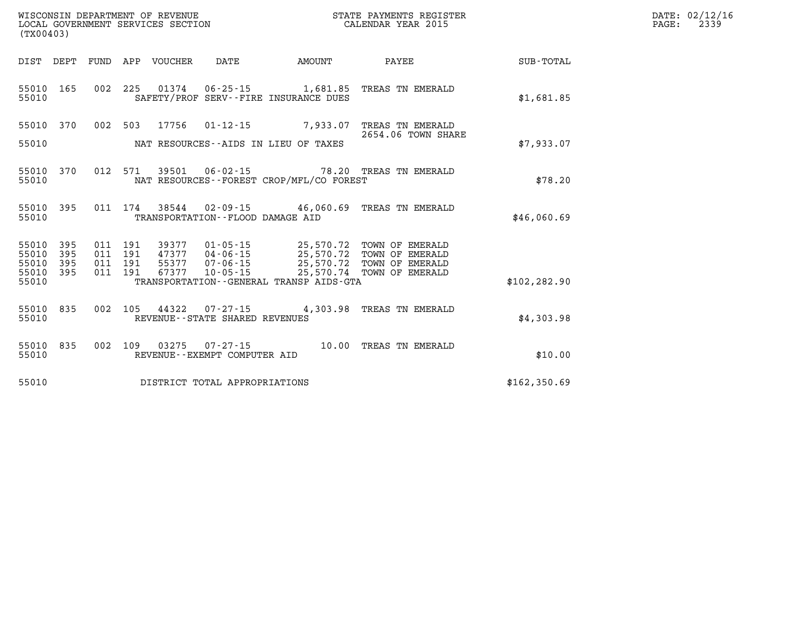| (TX00403)                   |            |  |                  |                                                        |                                              | % WISCONSIN DEPARTMENT OF REVENUE $$\tt STATE~~PAYMENTS~REGISTER~LOCAL~GOVERNMENT~SERVICES~SECTION~CALENDAR~YEAR~2015$                                   |               | DATE: 02/12/16<br>$\mathtt{PAGE:}$<br>2339 |
|-----------------------------|------------|--|------------------|--------------------------------------------------------|----------------------------------------------|----------------------------------------------------------------------------------------------------------------------------------------------------------|---------------|--------------------------------------------|
| DIST DEPT                   |            |  | FUND APP VOUCHER | DATE                                                   |                                              | AMOUNT PAYEE                                                                                                                                             | SUB-TOTAL     |                                            |
| 55010 165<br>55010          |            |  |                  |                                                        | SAFETY/PROF SERV--FIRE INSURANCE DUES        | 002 225 01374 06-25-15 1,681.85 TREAS TN EMERALD                                                                                                         | \$1,681.85    |                                            |
| 55010 370                   |            |  |                  |                                                        |                                              | 002 503 17756 01-12-15 7,933.07 TREAS TN EMERALD<br>2654.06 TOWN SHARE                                                                                   |               |                                            |
| 55010                       |            |  |                  |                                                        | NAT RESOURCES--AIDS IN LIEU OF TAXES         |                                                                                                                                                          | \$7,933.07    |                                            |
| 55010 370<br>55010          |            |  |                  |                                                        | NAT RESOURCES - - FOREST CROP/MFL/CO FOREST  | 012 571 39501 06-02-15 78.20 TREAS TN EMERALD                                                                                                            | \$78.20       |                                            |
| 55010<br>55010              | 395        |  |                  | TRANSPORTATION--FLOOD DAMAGE AID                       |                                              | 011 174 38544 02-09-15 46,060.69 TREAS TN EMERALD                                                                                                        | \$46,060.69   |                                            |
| 55010<br>55010              | 395<br>395 |  | 011 191 39377    |                                                        |                                              | 01-05-15 25,570.72 TOWN OF EMERALD                                                                                                                       |               |                                            |
| 55010<br>55010 395<br>55010 | 395        |  |                  |                                                        | TRANSPORTATION - - GENERAL TRANSP AIDS - GTA | 011 191 47377 04-06-15 25,570.72 TOWN OF EMERALD<br>011 191 55377 07-06-15 25,570.72 TOWN OF EMERALD<br>011 191 67377 10-05-15 25,570.74 TOWN OF EMERALD | \$102, 282.90 |                                            |
| 55010<br>55010              | 835        |  |                  | REVENUE--STATE SHARED REVENUES                         |                                              | 002 105 44322 07-27-15 4,303.98 TREAS TN EMERALD                                                                                                         | \$4,303.98    |                                            |
| 55010<br>55010              | 835        |  |                  | 002 109 03275 07-27-15<br>REVENUE--EXEMPT COMPUTER AID |                                              | 10.00 TREAS TN EMERALD                                                                                                                                   | \$10.00       |                                            |
| 55010                       |            |  |                  | DISTRICT TOTAL APPROPRIATIONS                          |                                              |                                                                                                                                                          | \$162,350.69  |                                            |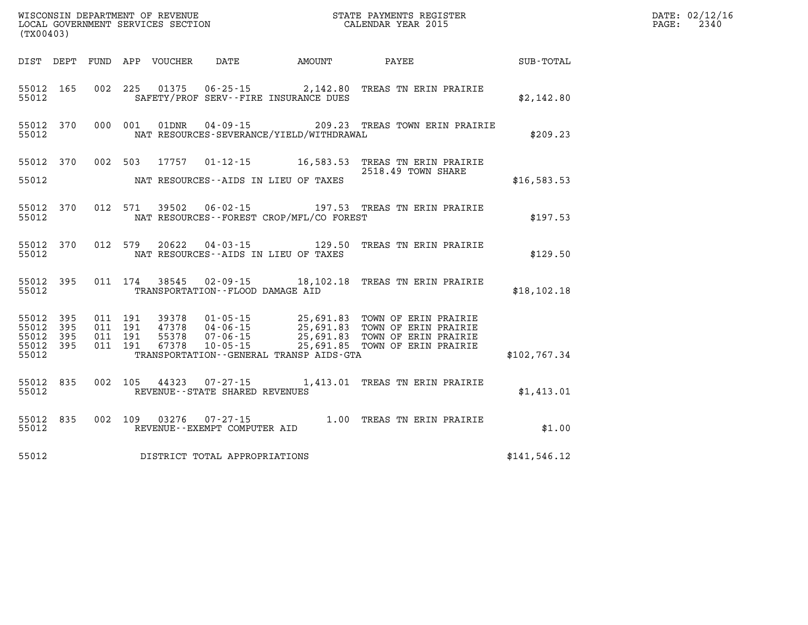| WISCONSIN DEPARTMENT OF REVENUE<br>LOCAL GOVERNMENT SERVICES SECTION TERMS COLENDAR YEAR 2015<br>(TX00403) |           |         |         |               |                                  |                                              |                                                                                                                                                                                                              |               | DATE: 02/12/16<br>$\mathtt{PAGE:}$<br>2340 |
|------------------------------------------------------------------------------------------------------------|-----------|---------|---------|---------------|----------------------------------|----------------------------------------------|--------------------------------------------------------------------------------------------------------------------------------------------------------------------------------------------------------------|---------------|--------------------------------------------|
|                                                                                                            |           |         |         |               |                                  | DIST DEPT FUND APP VOUCHER DATE AMOUNT PAYEE |                                                                                                                                                                                                              | SUB-TOTAL     |                                            |
| 55012 165<br>55012                                                                                         |           |         |         |               |                                  | SAFETY/PROF SERV--FIRE INSURANCE DUES        | 002 225 01375 06-25-15 2,142.80 TREAS TN ERIN PRAIRIE                                                                                                                                                        | \$2,142.80    |                                            |
| 55012                                                                                                      | 55012 370 |         | 000 001 |               |                                  | NAT RESOURCES-SEVERANCE/YIELD/WITHDRAWAL     | 01DNR  04-09-15  209.23 TREAS TOWN ERIN PRAIRIE                                                                                                                                                              | \$209.23      |                                            |
|                                                                                                            |           |         |         |               |                                  |                                              | 55012 370 002 503 17757 01-12-15 16,583.53 TREAS TN ERIN PRAIRIE<br>2518.49 TOWN SHARE                                                                                                                       |               |                                            |
| 55012                                                                                                      |           |         |         |               |                                  | NAT RESOURCES--AIDS IN LIEU OF TAXES         |                                                                                                                                                                                                              | \$16,583.53   |                                            |
| 55012                                                                                                      | 55012 370 |         | 012 571 |               |                                  | NAT RESOURCES - - FOREST CROP/MFL/CO FOREST  |                                                                                                                                                                                                              | \$197.53      |                                            |
| 55012                                                                                                      | 55012 370 |         | 012 579 |               |                                  | NAT RESOURCES--AIDS IN LIEU OF TAXES         | 20622  04-03-15  129.50 TREAS TN ERIN PRAIRIE                                                                                                                                                                | \$129.50      |                                            |
| 55012                                                                                                      | 55012 395 |         |         |               | TRANSPORTATION--FLOOD DAMAGE AID |                                              | 011 174 38545 02-09-15 18,102.18 TREAS TN ERIN PRAIRIE                                                                                                                                                       | \$18, 102.18  |                                            |
| 55012 395<br>55012                                                                                         | 395       | 011 191 | 011 191 |               |                                  |                                              | 39378  01-05-15  25,691.83  TOWN OF ERIN PRAIRIE<br>47378  04-06-15  25,691.83  TOWN OF ERIN PRAIRIE<br>55378  07-06-15  25,691.83  TOWN OF ERIN PRAIRIE<br>67378  10-05-15  25,691.85  TOWN OF ERIN PRAIRIE |               |                                            |
| 55012 395<br>55012 395<br>55012                                                                            |           | 011 191 | 011 191 |               |                                  | TRANSPORTATION--GENERAL TRANSP AIDS-GTA      |                                                                                                                                                                                                              | \$102,767.34  |                                            |
| 55012 835<br>55012                                                                                         |           |         |         | 002 105 44323 | REVENUE--STATE SHARED REVENUES   |                                              | 07-27-15 1,413.01 TREAS TN ERIN PRAIRIE                                                                                                                                                                      | \$1,413.01    |                                            |
| 55012                                                                                                      | 55012 835 |         |         | 002 109 03276 | REVENUE--EXEMPT COMPUTER AID     |                                              | $07 - 27 - 15$ 1.00 TREAS TN ERIN PRAIRIE                                                                                                                                                                    | \$1.00        |                                            |
| 55012                                                                                                      |           |         |         |               | DISTRICT TOTAL APPROPRIATIONS    |                                              |                                                                                                                                                                                                              | \$141, 546.12 |                                            |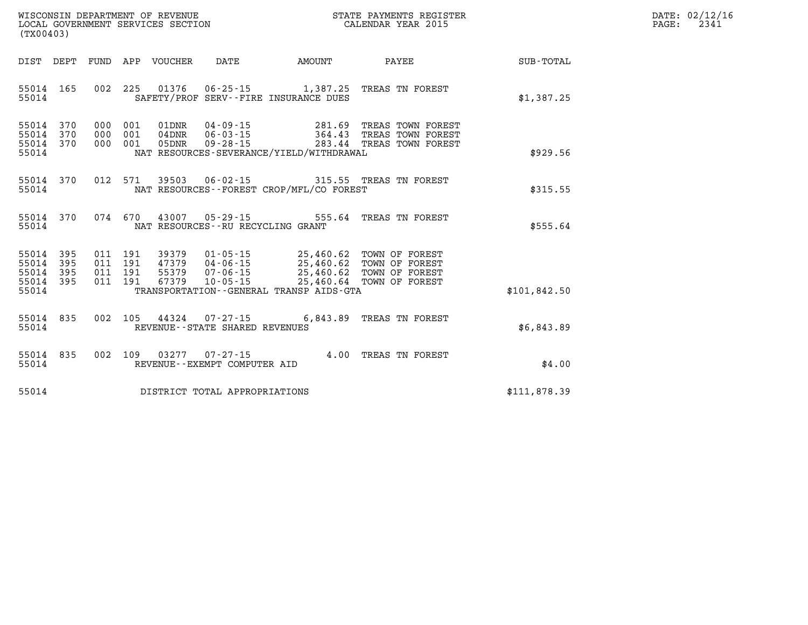| DATE: | 02/12/16 |
|-------|----------|
| PAGE: | 2341     |

| (TX00403)                                                             |                                                                                          |                                                                                                                 |                                                                                                              |                  |
|-----------------------------------------------------------------------|------------------------------------------------------------------------------------------|-----------------------------------------------------------------------------------------------------------------|--------------------------------------------------------------------------------------------------------------|------------------|
| DIST<br>DEPT                                                          | FUND<br>APP<br>VOUCHER                                                                   | DATE<br>AMOUNT                                                                                                  | PAYEE                                                                                                        | <b>SUB-TOTAL</b> |
| 165<br>55014<br>55014                                                 | 225<br>002<br>01376                                                                      | $06 - 25 - 15$<br>SAFETY/PROF SERV--FIRE INSURANCE DUES                                                         | 1,387.25 TREAS TN FOREST                                                                                     | \$1,387.25       |
| 55014<br>370<br>55014<br>370<br>370<br>55014<br>55014                 | 000<br>001<br>01DNR<br>000<br>001<br>04DNR<br>001<br>000<br>05DNR                        | 04-09-15<br>$06 - 03 - 15$<br>$09 - 28 - 15$<br>283.44<br>NAT RESOURCES-SEVERANCE/YIELD/WITHDRAWAL              | 281.69 TREAS TOWN FOREST<br>364.43 TREAS TOWN FOREST<br>TREAS TOWN FOREST                                    | \$929.56         |
| 55014<br>370<br>55014                                                 | 012<br>571                                                                               | 39503 06-02-15<br>NAT RESOURCES - - FOREST CROP/MFL/CO FOREST                                                   | 315.55 TREAS TN FOREST                                                                                       | \$315.55         |
| 55014<br>370<br>55014                                                 | 074 670<br>43007                                                                         | $05 - 29 - 15$<br>555.64<br>NAT RESOURCES - - RU RECYCLING GRANT                                                | TREAS TN FOREST                                                                                              | \$555.64         |
| 395<br>55014<br>395<br>55014<br>55014<br>395<br>395<br>55014<br>55014 | 011<br>191<br>39379<br>011<br>191<br>47379<br>011<br>191<br>55379<br>191<br>011<br>67379 | $01 - 05 - 15$<br>$04 - 06 - 15$<br>$07 - 06 - 15$<br>$10 - 05 - 15$<br>TRANSPORTATION--GENERAL TRANSP AIDS-GTA | 25,460.62 TOWN OF FOREST<br>25,460.62 TOWN OF FOREST<br>25,460.62 TOWN OF FOREST<br>25,460.64 TOWN OF FOREST | \$101,842.50     |
| 55014<br>835<br>55014                                                 | 002<br>105<br>44324                                                                      | $07 - 27 - 15$<br>6,843.89<br>REVENUE - - STATE SHARED REVENUES                                                 | TREAS TN FOREST                                                                                              | \$6,843.89       |
| 835<br>55014<br>55014                                                 | 002<br>109<br>03277                                                                      | 4.00<br>$07 - 27 - 15$<br>REVENUE--EXEMPT COMPUTER AID                                                          | TREAS TN FOREST                                                                                              | \$4.00           |
| 55014                                                                 |                                                                                          | DISTRICT TOTAL APPROPRIATIONS                                                                                   |                                                                                                              | \$111,878.39     |

WISCONSIN DEPARTMENT OF REVENUE **STATE PAYMENTS REGISTER**<br>LOCAL GOVERNMENT SERVICES SECTION

LOCAL GOVERNMENT SERVICES SECTION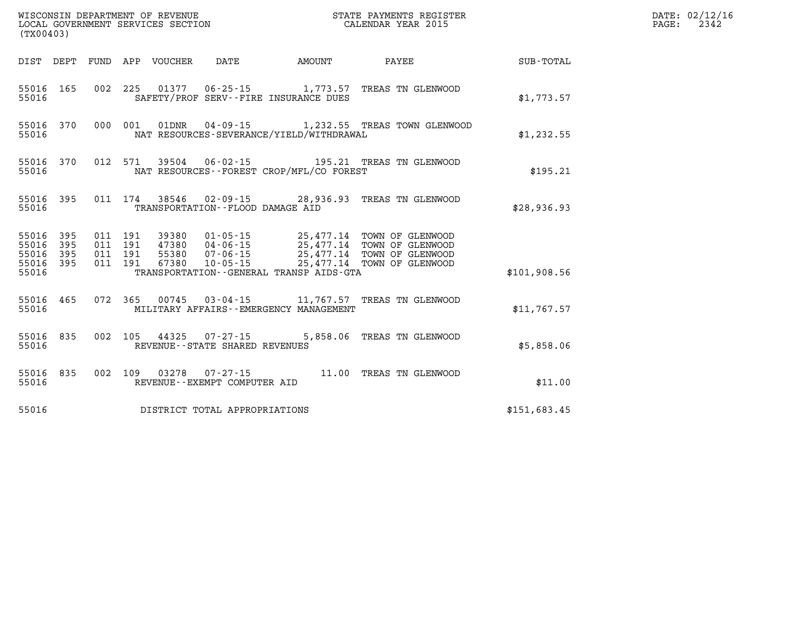| WISCONSIN DEPARTMENT OF REVENUE<br>LOCAL GOVERNMENT SERVICES SECTION<br>LOCAL GOVERNMENT SERVICES SECTION<br>CALENDAR YEAR 2015<br>(TX00403) |           |             |  |                                         |                                                |                                                                                                                                                                                                                                         |              | DATE: 02/12/16<br>PAGE: 2342 |
|----------------------------------------------------------------------------------------------------------------------------------------------|-----------|-------------|--|-----------------------------------------|------------------------------------------------|-----------------------------------------------------------------------------------------------------------------------------------------------------------------------------------------------------------------------------------------|--------------|------------------------------|
|                                                                                                                                              |           |             |  |                                         |                                                | DIST DEPT FUND APP VOUCHER DATE AMOUNT PAYEE PAYER SUB-TOTAL                                                                                                                                                                            |              |                              |
|                                                                                                                                              |           | 55016 35016 |  |                                         | SAFETY/PROF SERV--FIRE INSURANCE DUES          | 55016 165 002 225 01377 06-25-15 1,773.57 TREAS TN GLENWOOD                                                                                                                                                                             | \$1,773.57   |                              |
| 55016                                                                                                                                        |           |             |  |                                         | NAT RESOURCES-SEVERANCE/YIELD/WITHDRAWAL       | 55016 370 000 001 01DNR 04-09-15 1,232.55 TREAS TOWN GLENWOOD                                                                                                                                                                           | \$1,232.55   |                              |
|                                                                                                                                              |           |             |  |                                         | 55016 MAT RESOURCES--FOREST CROP/MFL/CO FOREST | 55016 370 012 571 39504 06-02-15 195.21 TREAS TN GLENWOOD                                                                                                                                                                               | \$195.21     |                              |
|                                                                                                                                              |           | 55016 750   |  | TRANSPORTATION--FLOOD DAMAGE AID        |                                                | 55016 395 011 174 38546 02-09-15 28,936.93 TREAS TN GLENWOOD                                                                                                                                                                            | \$28,936.93  |                              |
|                                                                                                                                              |           |             |  |                                         |                                                | 55016 395 011 191 39380 01-05-15 25,477.14 TOWN OF GLENWOOD<br>55016 395 011 191 47380 04-06-15 25,477.14 TOWN OF GLENWOOD<br>55016 395 011 191 55380 07-06-15 25,477.14 TOWN OF GLENWOOD<br>55016 395 011 191 67380 10-05-15 25,477.14 |              |                              |
|                                                                                                                                              | 55016     |             |  |                                         | TRANSPORTATION - - GENERAL TRANSP AIDS - GTA   |                                                                                                                                                                                                                                         | \$101,908.56 |                              |
|                                                                                                                                              | 55016 300 |             |  |                                         | MILITARY AFFAIRS--EMERGENCY MANAGEMENT         | 55016 465 072 365 00745 03-04-15 11,767.57 TREAS TN GLENWOOD                                                                                                                                                                            | \$11,767.57  |                              |
|                                                                                                                                              |           |             |  | 55016 REVENUE - - STATE SHARED REVENUES |                                                | 55016 835 002 105 44325 07-27-15 5,858.06 TREAS TN GLENWOOD                                                                                                                                                                             | \$5,858.06   |                              |
|                                                                                                                                              |           | 55016 750   |  | REVENUE--EXEMPT COMPUTER AID            |                                                | 55016 835 002 109 03278 07-27-15 11.00 TREAS TN GLENWOOD                                                                                                                                                                                | \$11.00      |                              |
|                                                                                                                                              |           |             |  | 55016 DISTRICT TOTAL APPROPRIATIONS     |                                                |                                                                                                                                                                                                                                         | \$151,683.45 |                              |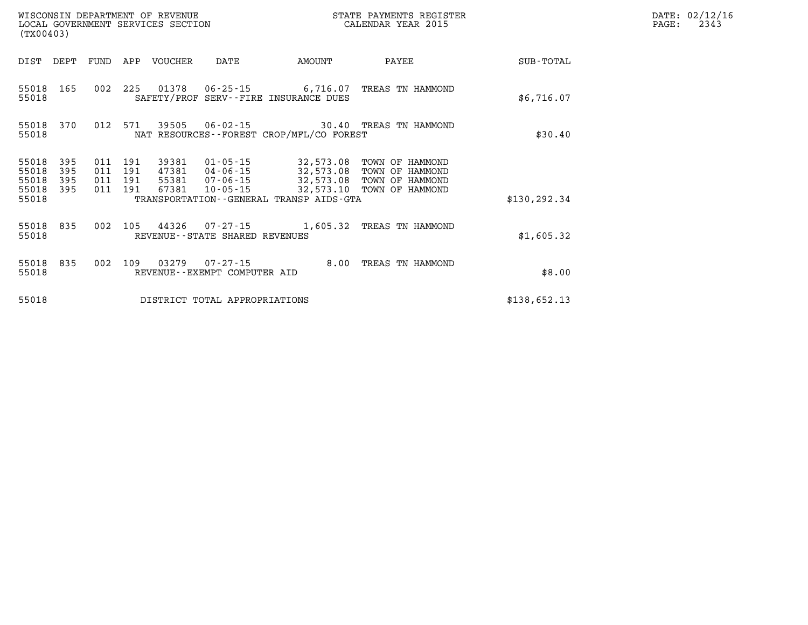| (TX00403)               |                   |                   |                   | WISCONSIN DEPARTMENT OF REVENUE<br>LOCAL GOVERNMENT SERVICES SECTION |                                                     |                                                      | STATE PAYMENTS REGISTER<br>CALENDAR YEAR 2015         |               |
|-------------------------|-------------------|-------------------|-------------------|----------------------------------------------------------------------|-----------------------------------------------------|------------------------------------------------------|-------------------------------------------------------|---------------|
| DIST                    | DEPT              | FUND              | APP               | VOUCHER                                                              | DATE                                                | AMOUNT                                               | PAYEE                                                 | SUB-TOTAL     |
| 55018<br>55018          | 165               | 002               | 225               | 01378                                                                |                                                     | SAFETY/PROF SERV--FIRE INSURANCE DUES                | TREAS TN HAMMOND                                      | \$6,716.07    |
| 55018<br>55018          | 370               | 012               | 571               | 39505                                                                | $06 - 02 - 15$                                      | NAT RESOURCES - - FOREST CROP/MFL/CO FOREST          | 30.40 TREAS TN HAMMOND                                | \$30.40       |
| 55018<br>55018<br>55018 | 395<br>395<br>395 | 011<br>011<br>011 | 191<br>191<br>191 | 39381<br>47381<br>55381                                              | 01-05-15<br>04-06-15<br>$07 - 06 - 15$              | 32,573.08<br>32,573.08<br>32,573.08                  | TOWN OF HAMMOND<br>TOWN OF HAMMOND<br>TOWN OF HAMMOND |               |
| 55018<br>55018          | 395               | 011               | 191               | 67381                                                                | $10 - 05 - 15$                                      | 32,573.10<br>TRANSPORTATION--GENERAL TRANSP AIDS-GTA | TOWN OF HAMMOND                                       | \$130, 292.34 |
| 55018<br>55018          | 835               | 002               | 105               | 44326                                                                | $07 - 27 - 15$<br>REVENUE - - STATE SHARED REVENUES | 1,605.32                                             | TREAS TN HAMMOND                                      | \$1,605.32    |
| 55018<br>55018          | 835               | 002               | 109               | 03279                                                                | $07 - 27 - 15$<br>REVENUE - - EXEMPT COMPUTER AID   | 8.00                                                 | TREAS TN HAMMOND                                      | \$8.00        |
| 55018                   |                   |                   |                   |                                                                      | DISTRICT TOTAL APPROPRIATIONS                       |                                                      |                                                       | \$138,652.13  |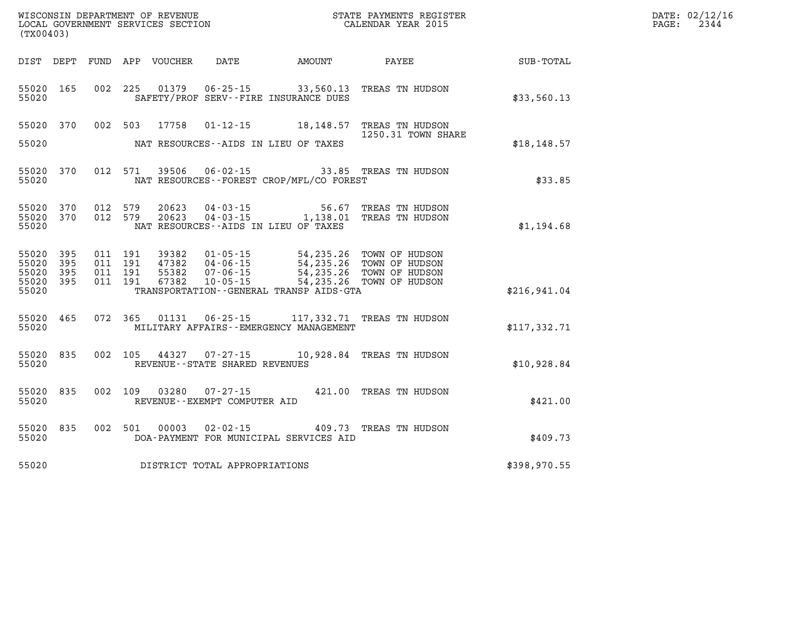| WISCONSIN DEPARTMENT OF REVENUE      | PAYMENTS REGISTER<br>3TATE | DATE: | 02/12/16 |
|--------------------------------------|----------------------------|-------|----------|
| GOVERNMENT SERVICES SECTION<br>LOCAL | CALENDAR YEAR 2015         | PAGE  | -234     |

| LOCAL GOVERNMENT SERVICES SECTION<br>(TX00403)    |            |         |                               | CALENDAR YEAR 2015               |                                                                |                                           | 2344                                                                                                          |                             |  |  |
|---------------------------------------------------|------------|---------|-------------------------------|----------------------------------|----------------------------------------------------------------|-------------------------------------------|---------------------------------------------------------------------------------------------------------------|-----------------------------|--|--|
| DIST DEPT                                         |            |         |                               | FUND APP VOUCHER                 |                                                                |                                           |                                                                                                               | DATE AMOUNT PAYEE SUB-TOTAL |  |  |
| 55020 165<br>55020                                |            |         | 002 225                       |                                  |                                                                | SAFETY/PROF SERV--FIRE INSURANCE DUES     | 01379  06-25-15  33,560.13  TREAS TN HUDSON                                                                   | \$33,560.13                 |  |  |
| 55020 370<br>55020                                |            |         |                               |                                  |                                                                | NAT RESOURCES--AIDS IN LIEU OF TAXES      | 002 503 17758 01-12-15 18,148.57 TREAS TN HUDSON<br>1250.31 TOWN SHARE                                        | \$18, 148.57                |  |  |
| 55020 370<br>55020                                |            |         | 012 571                       |                                  |                                                                | NAT RESOURCES--FOREST CROP/MFL/CO FOREST  | 39506  06-02-15  33.85  TREAS TN HUDSON                                                                       | \$33.85                     |  |  |
| 55020 370<br>55020 370<br>55020                   |            |         | 012 579<br>012 579            | 20623<br>20623                   | $04 - 03 - 15$                                                 | NAT RESOURCES--AIDS IN LIEU OF TAXES      | 56.67 TREAS TN HUDSON<br>04-03-15 1,138.01 TREAS TN HUDSON                                                    | \$1,194.68                  |  |  |
| 55020<br>55020<br>55020 395<br>55020 395<br>55020 | 395<br>395 | 011 191 | 011 191<br>011 191<br>011 191 | 39382<br>47382<br>55382<br>67382 | 01 - 05 - 15<br>04 - 06 - 15<br>07 - 06 - 15<br>$10 - 05 - 15$ | TRANSPORTATION--GENERAL TRANSP AIDS-GTA   | 54, 235.26 TOWN OF HUDSON<br>54,235.26 TOWN OF HUDSON<br>54,235.26 TOWN OF HUDSON<br>54,235.26 TOWN OF HUDSON | \$216,941.04                |  |  |
| 55020 465<br>55020                                |            |         |                               |                                  |                                                                | MILITARY AFFAIRS - - EMERGENCY MANAGEMENT | 072 365 01131 06-25-15 117,332.71 TREAS TN HUDSON                                                             | \$117,332.71                |  |  |
| 55020 835<br>55020                                |            |         |                               |                                  | REVENUE - - STATE SHARED REVENUES                              |                                           | 002 105 44327 07-27-15 10,928.84 TREAS TN HUDSON                                                              | \$10,928.84                 |  |  |
| 55020 835<br>55020                                |            |         | 002 109                       | 03280                            | $07 - 27 - 15$<br>REVENUE--EXEMPT COMPUTER AID                 |                                           | 421.00 TREAS TN HUDSON                                                                                        | \$421.00                    |  |  |
| 55020<br>55020                                    | 835        |         | 002 501                       | 00003                            | $02 - 02 - 15$                                                 | DOA-PAYMENT FOR MUNICIPAL SERVICES AID    | 409.73 TREAS TN HUDSON                                                                                        | \$409.73                    |  |  |
| 55020                                             |            |         |                               |                                  | DISTRICT TOTAL APPROPRIATIONS                                  |                                           |                                                                                                               | \$398,970.55                |  |  |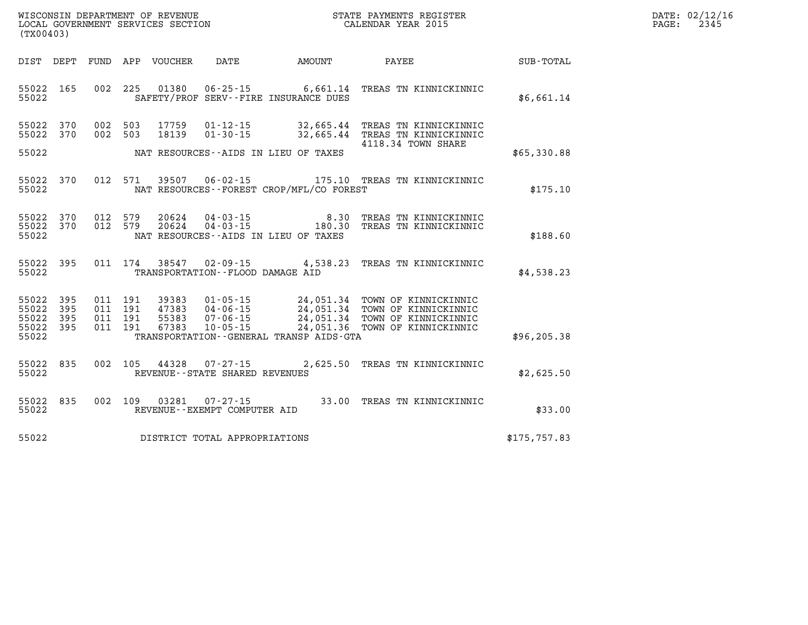| WISCONSIN DEPARTMENT OF REVENUE   | PAYMENTS REGISTER<br>STATE |      | DATE: 02/12/16 |
|-----------------------------------|----------------------------|------|----------------|
| LOCAL GOVERNMENT SERVICES SECTION | CALENDAR YEAR 2015         | PAGE | 2345           |

| (TX00403)                                                             |                          |                                                              |                                                                      |                                                                   |                                                                                                                  |               |
|-----------------------------------------------------------------------|--------------------------|--------------------------------------------------------------|----------------------------------------------------------------------|-------------------------------------------------------------------|------------------------------------------------------------------------------------------------------------------|---------------|
| DIST<br>DEPT                                                          | FUND                     | APP<br>VOUCHER                                               | DATE                                                                 | AMOUNT                                                            | PAYEE                                                                                                            | SUB-TOTAL     |
| 55022<br>165<br>55022                                                 | 002                      | 225<br>01380                                                 |                                                                      | $06 - 25 - 15$ 6,661.14<br>SAFETY/PROF SERV--FIRE INSURANCE DUES  | TREAS TN KINNICKINNIC                                                                                            | \$6,661.14    |
| 55022<br>370<br>370<br>55022<br>55022                                 | 002<br>002               | 503<br>17759<br>503<br>18139                                 | $01 - 12 - 15$<br>$01 - 30 - 15$                                     | 32,665.44<br>32,665.44<br>NAT RESOURCES -- AIDS IN LIEU OF TAXES  | TREAS TN KINNICKINNIC<br>TREAS TN KINNICKINNIC<br>4118.34 TOWN SHARE                                             | \$65,330.88   |
| 55022<br>370<br>55022                                                 | 012                      | 571<br>39507                                                 | $06 - 02 - 15$                                                       | 175.10<br>NAT RESOURCES -- FOREST CROP/MFL/CO FOREST              | TREAS TN KINNICKINNIC                                                                                            | \$175.10      |
| 55022<br>370<br>55022<br>370<br>55022                                 | 012<br>012               | 20624<br>579<br>579<br>20624                                 | $04 - 03 - 15$<br>$04 - 03 - 15$                                     | 8.30<br>180.30<br>NAT RESOURCES -- AIDS IN LIEU OF TAXES          | TREAS TN KINNICKINNIC<br>TREAS TN KINNICKINNIC                                                                   | \$188.60      |
| 395<br>55022<br>55022                                                 | 011                      | 174<br>38547                                                 | $02 - 09 - 15$<br>TRANSPORTATION -- FLOOD DAMAGE AID                 | 4,538.23                                                          | TREAS TN KINNICKINNIC                                                                                            | \$4,538.23    |
| 55022<br>395<br>55022<br>395<br>55022<br>395<br>395<br>55022<br>55022 | 011<br>011<br>011<br>011 | 191<br>39383<br>191<br>47383<br>191<br>55383<br>191<br>67383 | $01 - 05 - 15$<br>$04 - 06 - 15$<br>$07 - 06 - 15$<br>$10 - 05 - 15$ | 24,051.34<br>24,051.36<br>TRANSPORTATION--GENERAL TRANSP AIDS-GTA | 24,051.34 TOWN OF KINNICKINNIC<br>24,051.34 TOWN OF KINNICKINNIC<br>TOWN OF KINNICKINNIC<br>TOWN OF KINNICKINNIC | \$96,205.38   |
| 55022<br>835<br>55022                                                 | 002                      | 105<br>44328                                                 | $07 - 27 - 15$<br>REVENUE - - STATE SHARED REVENUES                  | 2,625.50                                                          | TREAS TN KINNICKINNIC                                                                                            | \$2,625.50    |
| 55022<br>835<br>55022                                                 | 002                      | 109<br>03281                                                 | $07 - 27 - 15$<br>REVENUE--EXEMPT COMPUTER AID                       | 33.00                                                             | TREAS TN KINNICKINNIC                                                                                            | \$33.00       |
| 55022                                                                 |                          |                                                              | DISTRICT TOTAL APPROPRIATIONS                                        |                                                                   |                                                                                                                  | \$175, 757.83 |

WISCONSIN DEPARTMENT OF REVENUE **STATE PAYMENTS REGISTER** LOCAL GOVERNMENT SERVICES SECTION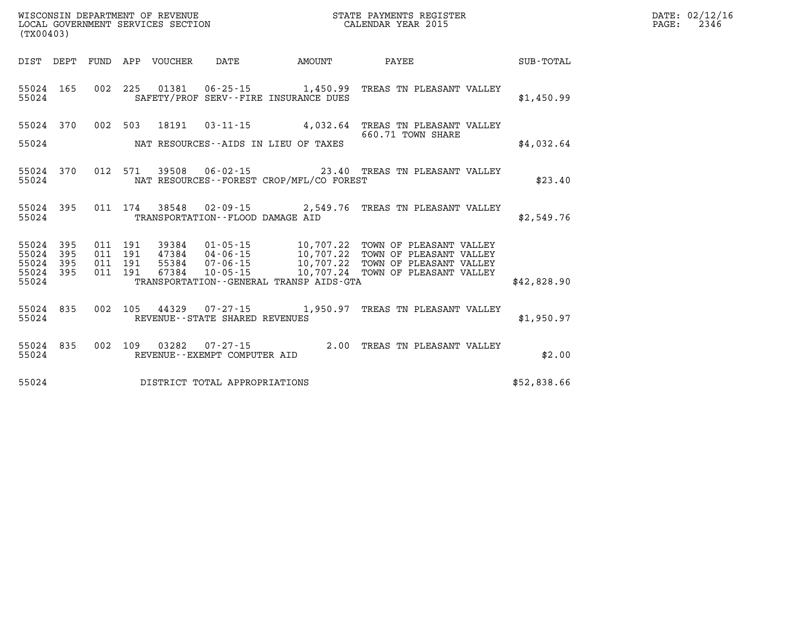| WISCONSIN DEPARTMENT OF REVENUE   | PAYMENTS REGISTER<br>STATE | DATE: | 02/12/16 |
|-----------------------------------|----------------------------|-------|----------|
| LOCAL GOVERNMENT SERVICES SECTION | CALENDAR YEAR 2015         | PAGE  | 2346     |

| LOCAL GOVERNMENT SERVICES SECTION CALENDAR YEAR 2015<br>(TX00403) |                        |           |  |               |                                     | PAGE:                                                                                                                                                                                                                                                                                                                                                                 | 2346              |             |  |  |
|-------------------------------------------------------------------|------------------------|-----------|--|---------------|-------------------------------------|-----------------------------------------------------------------------------------------------------------------------------------------------------------------------------------------------------------------------------------------------------------------------------------------------------------------------------------------------------------------------|-------------------|-------------|--|--|
|                                                                   |                        |           |  |               |                                     |                                                                                                                                                                                                                                                                                                                                                                       |                   |             |  |  |
|                                                                   | 55024                  | 55024 165 |  |               |                                     | 002 225 01381 06-25-15 1,450.99 TREAS TN PLEASANT VALLEY<br>SAFETY/PROF SERV--FIRE INSURANCE DUES                                                                                                                                                                                                                                                                     |                   | \$1,450.99  |  |  |
|                                                                   |                        |           |  |               |                                     | 55024 370 002 503 18191 03-11-15 4,032.64 TREAS TN PLEASANT VALLEY                                                                                                                                                                                                                                                                                                    | 660.71 TOWN SHARE |             |  |  |
|                                                                   |                        |           |  |               |                                     | 55024 NAT RESOURCES--AIDS IN LIEU OF TAXES                                                                                                                                                                                                                                                                                                                            |                   | \$4,032.64  |  |  |
|                                                                   | 55024                  | 55024 370 |  |               |                                     | 012 571 39508 06-02-15 23.40 TREAS TN PLEASANT VALLEY<br>NAT RESOURCES--FOREST CROP/MFL/CO FOREST                                                                                                                                                                                                                                                                     |                   | \$23.40     |  |  |
|                                                                   |                        | 55024     |  |               | TRANSPORTATION--FLOOD DAMAGE AID    | 55024 395 011 174 38548 02-09-15 2,549.76 TREAS TN PLEASANT VALLEY                                                                                                                                                                                                                                                                                                    |                   | \$2,549.76  |  |  |
|                                                                   | 55024 395<br>55024 395 |           |  |               |                                     | $\begin{array}{cccc} 011 & 191 & 39384 & 01\texttt{-}05\texttt{-}15 & 10,707.22 & \texttt{TOWN OF PLEASANT VALUEY} \\ 011 & 191 & 47384 & 04\texttt{-}06\texttt{-}15 & 10,707.22 & \texttt{TOWN OF PLEASANT VALUEY} \\ 011 & 191 & 55384 & 07\texttt{-}06\texttt{-}15 & 10,707.22 & \texttt{TOWN OF PLEASANT VALUEY} \\ 011 & 191 & 67384 & 10\texttt{-}05\texttt{-}$ |                   |             |  |  |
|                                                                   | 55024 395              | 55024 395 |  | 011 191 67384 |                                     |                                                                                                                                                                                                                                                                                                                                                                       |                   |             |  |  |
|                                                                   |                        | 55024     |  |               |                                     | TRANSPORTATION--GENERAL TRANSP AIDS-GTA                                                                                                                                                                                                                                                                                                                               |                   | \$42,828.90 |  |  |
|                                                                   | 55024                  | 55024 835 |  |               | REVENUE--STATE SHARED REVENUES      | 002 105 44329 07-27-15 1,950.97 TREAS TN PLEASANT VALLEY                                                                                                                                                                                                                                                                                                              |                   | \$1,950.97  |  |  |
|                                                                   |                        |           |  |               | 55024 REVENUE - EXEMPT COMPUTER AID | 55024 835 002 109 03282 07-27-15 2.00 TREAS TN PLEASANT VALLEY                                                                                                                                                                                                                                                                                                        |                   | \$2.00      |  |  |
|                                                                   |                        |           |  |               | 55024 DISTRICT TOTAL APPROPRIATIONS |                                                                                                                                                                                                                                                                                                                                                                       |                   | \$52,838.66 |  |  |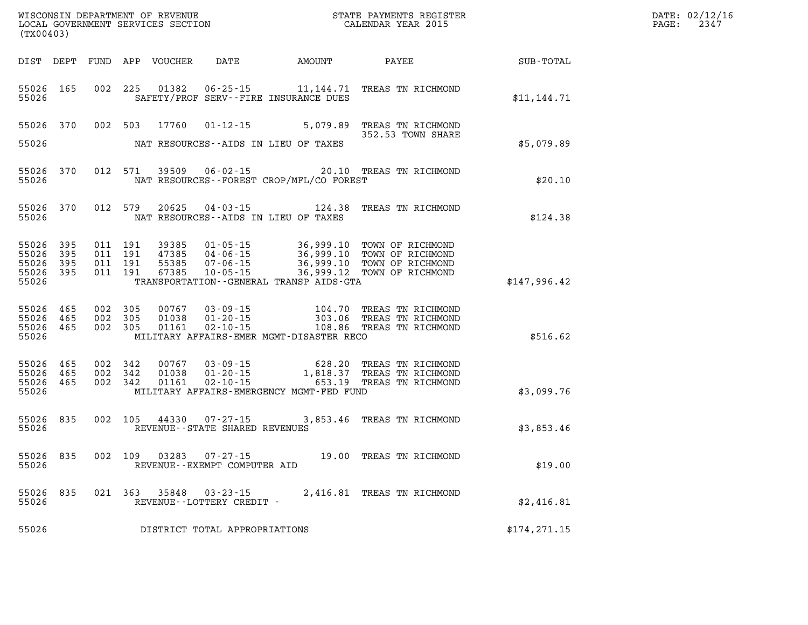| DATE: | 02/12/16 |
|-------|----------|
| PAGE: | 2347     |

|                                                   | WISCONSIN DEPARTMENT OF REVENUE<br>LOCAL GOVERNMENT SERVICES SECTION<br>(TX00403) |  |                                          |                                  |                                                | STATE PAYMENTS REGISTER<br>CALENDAR YEAR 2015                                                     |                                                                                    |               | DATE: 02/12/1<br>2347<br>PAGE: |
|---------------------------------------------------|-----------------------------------------------------------------------------------|--|------------------------------------------|----------------------------------|------------------------------------------------|---------------------------------------------------------------------------------------------------|------------------------------------------------------------------------------------|---------------|--------------------------------|
|                                                   |                                                                                   |  |                                          |                                  |                                                | DIST DEPT FUND APP VOUCHER DATE AMOUNT PAYEE                                                      |                                                                                    | SUB-TOTAL     |                                |
| 55026 165<br>55026                                |                                                                                   |  |                                          | 002 225 01382                    |                                                | SAFETY/PROF SERV--FIRE INSURANCE DUES                                                             | 06-25-15 11, 144.71 TREAS TN RICHMOND                                              | \$11,144.71   |                                |
| 55026 370<br>55026                                |                                                                                   |  | 002 503                                  | 17760                            |                                                | NAT RESOURCES--AIDS IN LIEU OF TAXES                                                              | 01-12-15 5,079.89 TREAS TN RICHMOND<br>352.53 TOWN SHARE                           | \$5,079.89    |                                |
| 55026                                             | 55026 370                                                                         |  | 012 571                                  | 39509                            |                                                | NAT RESOURCES--FOREST CROP/MFL/CO FOREST                                                          | 06-02-15 20.10 TREAS TN RICHMOND                                                   | \$20.10       |                                |
| 55026 370<br>55026                                |                                                                                   |  |                                          | 012 579 20625                    |                                                | NAT RESOURCES--AIDS IN LIEU OF TAXES                                                              | 04-03-15 124.38 TREAS TN RICHMOND                                                  | \$124.38      |                                |
| 55026<br>55026<br>55026 395<br>55026 395<br>55026 | 395<br>395                                                                        |  | 011 191<br>011 191<br>011 191<br>011 191 | 39385<br>47385<br>55385<br>67385 |                                                | TRANSPORTATION--GENERAL TRANSP AIDS-GTA                                                           |                                                                                    | \$147,996.42  |                                |
| 55026 465<br>55026 465<br>55026 465<br>55026      |                                                                                   |  | 002 305<br>002 305<br>002 305            | 00767<br>01038<br>01161          | $02 - 10 - 15$                                 | 03-09-15 104.70<br>01-20-15 303.06<br>02-10-15 108.86<br>MILITARY AFFAIRS-EMER MGMT-DISASTER RECO | TREAS TN RICHMOND<br>303.06 TREAS TN RICHMOND<br>108.86 TREAS TN RICHMOND          | \$516.62      |                                |
| 55026<br>55026 465<br>55026 465<br>55026          | 465                                                                               |  | 002 342<br>002 342<br>002 342            | 00767<br>01038<br>01161          | 03 - 09 - 15<br>01 - 20 - 15<br>$02 - 10 - 15$ | MILITARY AFFAIRS-EMERGENCY MGMT-FED FUND                                                          | 628.20 TREAS TN RICHMOND<br>1,818.37 TREAS TN RICHMOND<br>653.19 TREAS TN RICHMOND | \$3,099.76    |                                |
| 55026 835<br>55026                                |                                                                                   |  |                                          |                                  | REVENUE--STATE SHARED REVENUES                 |                                                                                                   | 002  105  44330  07-27-15  3,853.46  TREAS  TN RICHMOND                            | \$3,853.46    |                                |
| 55026<br>55026                                    | 835                                                                               |  |                                          | 002 109 03283                    | $07 - 27 - 15$<br>REVENUE--EXEMPT COMPUTER AID |                                                                                                   | 19.00 TREAS TN RICHMOND                                                            | \$19.00       |                                |
| 55026<br>55026                                    | 835                                                                               |  |                                          |                                  | REVENUE--LOTTERY CREDIT -                      |                                                                                                   | 021 363 35848 03-23-15 2,416.81 TREAS TN RICHMOND                                  | \$2,416.81    |                                |
| 55026                                             |                                                                                   |  |                                          |                                  | DISTRICT TOTAL APPROPRIATIONS                  |                                                                                                   |                                                                                    | \$174, 271.15 |                                |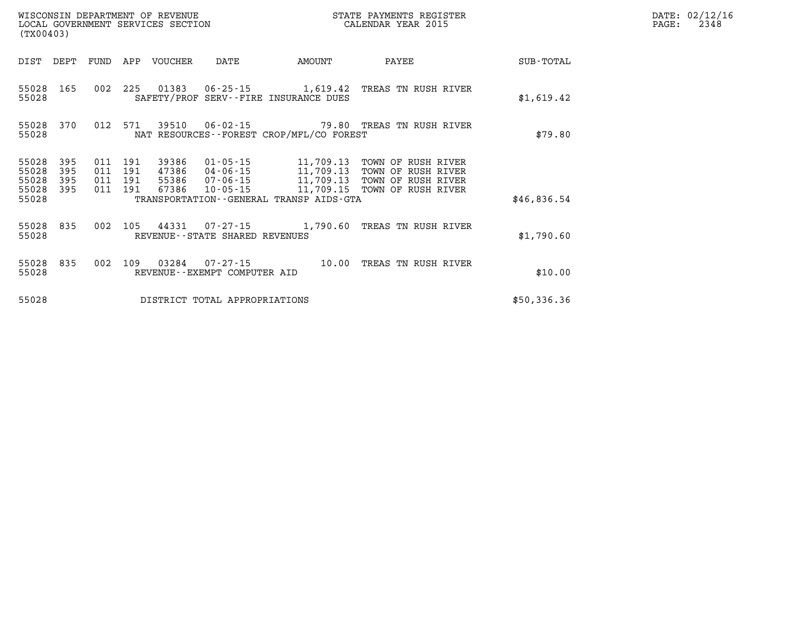|                         | WISCONSIN DEPARTMENT OF REVENUE<br>STATE PAYMENTS REGISTER<br>CALENDAR YEAR 2015<br>LOCAL GOVERNMENT SERVICES SECTION<br>(TX00403) |            |            |                |                                                  |                                                                   |                                                |             |
|-------------------------|------------------------------------------------------------------------------------------------------------------------------------|------------|------------|----------------|--------------------------------------------------|-------------------------------------------------------------------|------------------------------------------------|-------------|
| DIST                    | DEPT                                                                                                                               | FUND       | APP        | VOUCHER        | DATE                                             | AMOUNT                                                            | PAYEE                                          | SUB-TOTAL   |
| 55028<br>55028          | 165                                                                                                                                | 002        | 225        | 01383          | $06 - 25 - 15$                                   | 1,619.42<br>SAFETY/PROF SERV--FIRE INSURANCE DUES                 | TREAS TN RUSH RIVER                            | \$1,619.42  |
| 55028<br>55028          | 370                                                                                                                                | 012        | 571        | 39510          | $06 - 02 - 15$                                   | NAT RESOURCES--FOREST CROP/MFL/CO FOREST                          | 79.80 TREAS TN RUSH RIVER                      | \$79.80     |
| 55028<br>55028          | 395<br>395                                                                                                                         | 011<br>011 | 191<br>191 | 39386<br>47386 | 01-05-15<br>04-06-15                             | 11,709.13<br>11,709.13                                            | OF RUSH RIVER<br>TOWN<br>TOWN<br>OF RUSH RIVER |             |
| 55028<br>55028<br>55028 | 395<br>395                                                                                                                         | 011<br>011 | 191<br>191 | 55386<br>67386 | 07-06-15<br>$10 - 05 - 15$                       | 11,709.13<br>11,709.15<br>TRANSPORTATION--GENERAL TRANSP AIDS-GTA | TOWN OF RUSH RIVER<br>TOWN OF RUSH RIVER       | \$46.836.54 |
| 55028<br>55028          | 835                                                                                                                                | 002        | 105        | 44331          | $07 - 27 - 15$<br>REVENUE--STATE SHARED REVENUES | 1,790.60                                                          | TREAS TN RUSH RIVER                            | \$1,790.60  |
| 55028<br>55028          | 835                                                                                                                                | 002        | 109        | 03284          | $07 - 27 - 15$<br>REVENUE--EXEMPT COMPUTER AID   | 10.00                                                             | TREAS TN RUSH RIVER                            | \$10.00     |
| 55028                   |                                                                                                                                    |            |            |                | DISTRICT TOTAL APPROPRIATIONS                    |                                                                   |                                                | \$50,336.36 |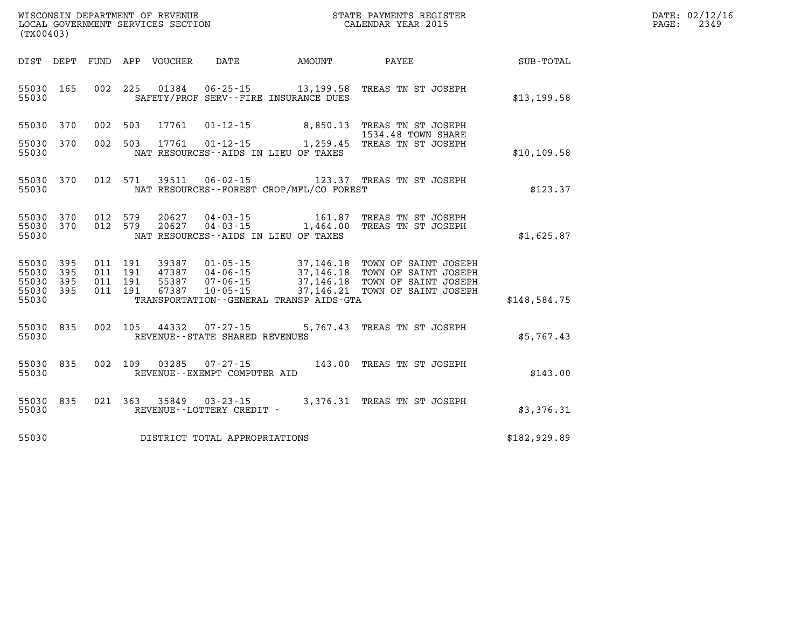| WISCONSIN DEPARTMENT OF REVENUE   | STATE PAYMENTS REGISTER | 02/12/16<br>DATE: |
|-----------------------------------|-------------------------|-------------------|
| LOCAL GOVERNMENT SERVICES SECTION | CALENDAR YEAR 2015      | 2349<br>PAGE      |

|                  |                                                                                                                                      |                                             |                                                                |                         |                          |                          |                          | (TX00403)                                 |
|------------------|--------------------------------------------------------------------------------------------------------------------------------------|---------------------------------------------|----------------------------------------------------------------|-------------------------|--------------------------|--------------------------|--------------------------|-------------------------------------------|
| <b>SUB-TOTAL</b> | PAYEE                                                                                                                                | AMOUNT                                      | DATE                                                           | APP VOUCHER             |                          | FUND                     | DEPT                     | DIST                                      |
| \$13,199.58      | 13,199.58 TREAS TN ST JOSEPH                                                                                                         | SAFETY/PROF SERV--FIRE INSURANCE DUES       | $06 - 25 - 15$                                                 | 01384                   | 225                      | 002                      | 165                      | 55030<br>55030                            |
|                  | 8,850.13 TREAS TN ST JOSEPH<br>1534.48 TOWN SHARE                                                                                    |                                             | $01 - 12 - 15$                                                 | 17761                   | 503                      | 002                      | 370                      | 55030                                     |
| \$10, 109.58     | 01-12-15 1,259.45 TREAS TN ST JOSEPH                                                                                                 | NAT RESOURCES -- AIDS IN LIEU OF TAXES      |                                                                | 17761                   | 503                      | 002                      | 370                      | 55030<br>55030                            |
| \$123.37         | 123.37 TREAS TN ST JOSEPH                                                                                                            | NAT RESOURCES - - FOREST CROP/MFL/CO FOREST | $06 - 02 - 15$                                                 | 39511                   | 571                      | 012                      | 370                      | 55030<br>55030                            |
| \$1,625.87       | 161.87 TREAS TN ST JOSEPH<br>04-03-15 1,464.00 TREAS TN ST JOSEPH                                                                    | NAT RESOURCES--AIDS IN LIEU OF TAXES        | $04 - 03 - 15$                                                 | 20627<br>20627          | 579<br>579               | 012<br>012               | 370<br>370               | 55030<br>55030<br>55030                   |
| \$148,584.75     | 37,146.18 TOWN OF SAINT JOSEPH<br>37,146.18 TOWN OF SAINT JOSEPH<br>37,146.18 TOWN OF SAINT JOSEPH<br>37,146.21 TOWN OF SAINT JOSEPH | TRANSPORTATION--GENERAL TRANSP AIDS-GTA     | $01 - 05 - 15$<br>47387 04-06-15<br>07-06-15<br>$10 - 05 - 15$ | 39387<br>55387<br>67387 | 191<br>191<br>191<br>191 | 011<br>011<br>011<br>011 | 395<br>395<br>395<br>395 | 55030<br>55030<br>55030<br>55030<br>55030 |
| \$5,767.43       | TREAS TN ST JOSEPH                                                                                                                   | 5,767.43                                    | $07 - 27 - 15$<br>REVENUE - - STATE SHARED REVENUES            | 44332                   | 105                      | 002                      | 835                      | 55030<br>55030                            |
| \$143.00         | 143.00 TREAS TN ST JOSEPH                                                                                                            |                                             | $07 - 27 - 15$<br>REVENUE--EXEMPT COMPUTER AID                 | 03285                   | 109                      | 002                      | 835                      | 55030<br>55030                            |
| \$3,376.31       | 3,376.31 TREAS TN ST JOSEPH                                                                                                          |                                             | $03 - 23 - 15$<br>REVENUE - - LOTTERY CREDIT -                 | 35849                   | 021 363                  |                          | 835                      | 55030<br>55030                            |
| \$182,929.89     |                                                                                                                                      |                                             | DISTRICT TOTAL APPROPRIATIONS                                  |                         |                          |                          |                          | 55030                                     |

**WISCONSIN DEPARTMENT OF REVENUE STATE STATE PAYMENTS REGISTER**<br>LOCAL GOVERNMENT SERVICES SECTION STATE: OF BALENDAR YEAR 2015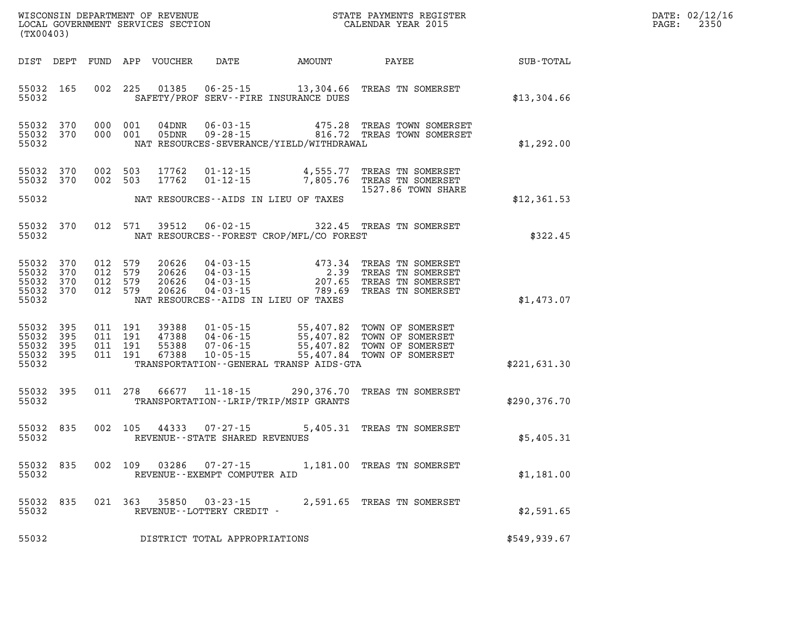| DATE: | 02/12/16 |
|-------|----------|
| PAGE: | 2350     |

| (TX00403)                                                                                             |                                                                                                                                                                                                                                                             | STATE PAYMENTS REGISTER    |              | DATE: 02/12/1<br>2350<br>PAGE: |
|-------------------------------------------------------------------------------------------------------|-------------------------------------------------------------------------------------------------------------------------------------------------------------------------------------------------------------------------------------------------------------|----------------------------|--------------|--------------------------------|
|                                                                                                       | DIST DEPT FUND APP VOUCHER DATE AMOUNT PAYEE TO SUB-TOTAL                                                                                                                                                                                                   |                            |              |                                |
| 55032 165<br>55032                                                                                    | 002 225 01385 06-25-15 13,304.66 TREAS TN SOMERSET<br>SAFETY/PROF SERV--FIRE INSURANCE DUES                                                                                                                                                                 |                            | \$13,304.66  |                                |
| 55032 370<br>55032 370<br>55032                                                                       | 000 001 04DNR 06-03-15 475.28 TREAS TOWN SOMERSET<br>000 001 05DNR 09-28-15 816.72 TREAS TOWN SOMERSET<br>NAT RESOURCES-SEVERANCE/YIELD/WITHDRAWAL                                                                                                          |                            | \$1,292.00   |                                |
| 55032 370<br>55032 370                                                                                | 002 503 17762 01-12-15 4,555.77 TREAS TN SOMERSET<br>002 503 17762 01-12-15 7,805.76 TREAS TN SOMERSET                                                                                                                                                      |                            |              |                                |
| 55032                                                                                                 | NAT RESOURCES--AIDS IN LIEU OF TAXES                                                                                                                                                                                                                        | 1527.86 TOWN SHARE         | \$12,361.53  |                                |
| 55032 370<br>55032                                                                                    | 012 571 39512 06-02-15 322.45 TREAS TN SOMERSET<br>NAT RESOURCES--FOREST CROP/MFL/CO FOREST                                                                                                                                                                 |                            | \$322.45     |                                |
| 012 579<br>55032 370<br>55032 370<br>012 579<br>55032 370<br>012 579<br>55032 370<br>012 579<br>55032 | 20626  04-03-15  473.34 TREAS TN SOMERSET<br>20626  04-03-15  2.39 TREAS TN SOMERSET<br>20626  04-03-15  207.65 TREAS TN SOMERSET<br>20626  04-03-15  789.69 TREAS TN SOMERSET<br>NAT RESOURCES -- AIDS IN LIEU OF TAXES                                    |                            | \$1,473.07   |                                |
| 55032 395<br>55032 395<br>55032 395<br>55032 395<br>55032                                             | 011 191 39388 01-05-15 55,407.82 TOWN OF SOMERSET<br>011 191 47388 04-06-15 55,407.82 TOWN OF SOMERSET<br>011 191 55388 07-06-15 55,407.82 TOWN OF SOMERSET<br>011 191 67388 10-05-15 55,407.84 TOWN OF SOMERSET<br>TRANSPORTATION--GENERAL TRANSP AIDS-GTA |                            | \$221,631.30 |                                |
| 55032 395<br>55032                                                                                    | 011 278 66677 11-18-15 290,376.70 TREAS TN SOMERSET<br>TRANSPORTATION - - LRIP/TRIP/MSIP GRANTS                                                                                                                                                             |                            | \$290,376.70 |                                |
| 55032 835                                                                                             | 002 105 44333 07-27-15<br>55032 REVENUE - - STATE SHARED REVENUES                                                                                                                                                                                           | 5,405.31 TREAS TN SOMERSET | \$5,405.31   |                                |
| 55032                                                                                                 | 55032 835 002 109 03286 07-27-15 1,181.00 TREAS TN SOMERSET<br>REVENUE--EXEMPT COMPUTER AID                                                                                                                                                                 |                            | \$1,181.00   |                                |
| 55032 835<br>55032                                                                                    | 021 363 35850 03-23-15<br>REVENUE--LOTTERY CREDIT -                                                                                                                                                                                                         | 2,591.65 TREAS TN SOMERSET | \$2,591.65   |                                |
| 55032                                                                                                 | DISTRICT TOTAL APPROPRIATIONS                                                                                                                                                                                                                               |                            | \$549,939.67 |                                |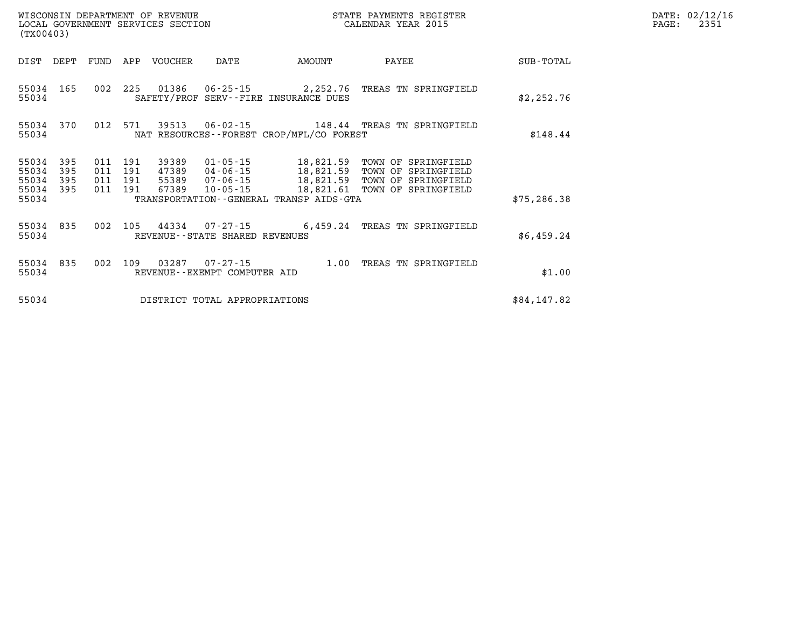| (TX00403)               |                   |     |                           | LOCAL GOVERNMENT SERVICES SECTION |                                |                                             | CALENDAR YEAR 2015                                                                                                                     |              | PAGE: | 2351 |
|-------------------------|-------------------|-----|---------------------------|-----------------------------------|--------------------------------|---------------------------------------------|----------------------------------------------------------------------------------------------------------------------------------------|--------------|-------|------|
|                         | DIST DEPT FUND    |     | APP                       | VOUCHER                           | DATE                           | AMOUNT                                      | PAYEE                                                                                                                                  | SUB-TOTAL    |       |      |
| 55034 165<br>55034      |                   |     |                           |                                   |                                | SAFETY/PROF SERV--FIRE INSURANCE DUES       | 002 225 01386 06-25-15 2,252.76 TREAS TN SPRINGFIELD                                                                                   | \$2,252.76   |       |      |
| 55034                   | 55034 370         |     |                           | 012 571 39513                     |                                | NAT RESOURCES - - FOREST CROP/MFL/CO FOREST | 06-02-15 148.44 TREAS TN SPRINGFIELD                                                                                                   | \$148.44     |       |      |
| 55034<br>55034<br>55034 | 395<br>395<br>395 | 011 | 191<br>011 191<br>011 191 | 39389                             |                                |                                             | 01-05-15 18,821.59 TOWN OF SPRINGFIELD<br>47389 04-06-15 18,821.59 TOWN OF SPRINGFIELD<br>55389 07-06-15 18,821.59 TOWN OF SPRINGFIELD |              |       |      |
| 55034 395<br>55034      |                   |     | 011 191                   | 67389                             | 10-05-15                       | TRANSPORTATION--GENERAL TRANSP AIDS-GTA     | 18,821.61 TOWN OF SPRINGFIELD                                                                                                          | \$75, 286.38 |       |      |
| 55034                   | 55034 835         |     |                           |                                   | REVENUE--STATE SHARED REVENUES |                                             | 002 105 44334 07-27-15 6,459.24 TREAS TN SPRINGFIELD                                                                                   | \$6,459.24   |       |      |
| 55034 835<br>55034      |                   | 002 | 109                       | 03287                             | REVENUE--EXEMPT COMPUTER AID   |                                             | 07-27-15 1.00 TREAS TN SPRINGFIELD                                                                                                     | \$1.00       |       |      |
| 55034                   |                   |     |                           |                                   | DISTRICT TOTAL APPROPRIATIONS  |                                             |                                                                                                                                        | \$84,147.82  |       |      |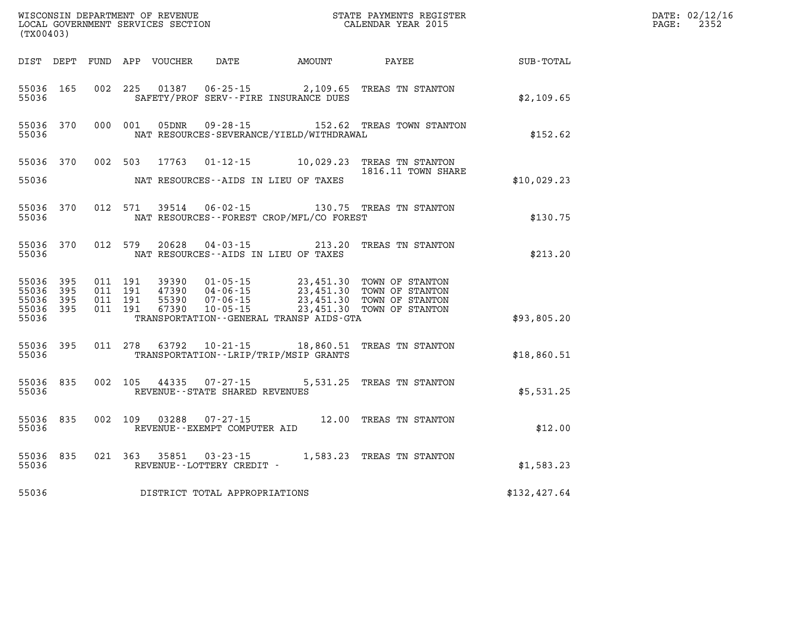|                             | WISCONSIN DEPARTMENT OF REVENUE<br>LOCAL GOVERNMENT SERVICES SECTION<br>(TX00403) |                               |         |               |                                                             | STATE PAYMENTS REGISTER<br>CALENDAR YEAR 2015 |                                                                                                                                                                                          |              | DATE: 02/12/16<br>PAGE:<br>2352 |
|-----------------------------|-----------------------------------------------------------------------------------|-------------------------------|---------|---------------|-------------------------------------------------------------|-----------------------------------------------|------------------------------------------------------------------------------------------------------------------------------------------------------------------------------------------|--------------|---------------------------------|
|                             |                                                                                   |                               |         |               |                                                             | DIST DEPT FUND APP VOUCHER DATE AMOUNT        | PAYEE                                                                                                                                                                                    | SUB-TOTAL    |                                 |
| 55036 165<br>55036          |                                                                                   |                               |         | 002 225 01387 |                                                             | SAFETY/PROF SERV--FIRE INSURANCE DUES         | 06-25-15 2,109.65 TREAS TN STANTON                                                                                                                                                       | \$2,109.65   |                                 |
| 55036                       | 55036 370                                                                         | 000 001                       |         | 05DNR         |                                                             | NAT RESOURCES-SEVERANCE/YIELD/WITHDRAWAL      | 09-28-15 152.62 TREAS TOWN STANTON                                                                                                                                                       | \$152.62     |                                 |
| 55036                       |                                                                                   |                               |         |               |                                                             | NAT RESOURCES--AIDS IN LIEU OF TAXES          | 55036 370 002 503 17763 01-12-15 10,029.23 TREAS TN STANTON<br>1816.11 TOWN SHARE                                                                                                        | \$10,029.23  |                                 |
| 55036                       | 55036 370                                                                         |                               | 012 571 | 39514         |                                                             | NAT RESOURCES - - FOREST CROP/MFL/CO FOREST   | 06-02-15 130.75 TREAS TN STANTON                                                                                                                                                         | \$130.75     |                                 |
| 55036 370<br>55036          |                                                                                   | 012 579                       |         | 20628         |                                                             | NAT RESOURCES -- AIDS IN LIEU OF TAXES        | 04-03-15 213.20 TREAS TN STANTON                                                                                                                                                         | \$213.20     |                                 |
| 55036 395<br>55036<br>55036 | 395<br>- 395                                                                      | 011 191<br>011 191<br>011 191 |         |               |                                                             |                                               | 39390  01-05-15  23,451.30  TOWN OF STANTON<br>47390  04-06-15  23,451.30  TOWN OF STANTON<br>55390  07-06-15  23,451.30  TOWN OF STANTON<br>67390  10-05-15  23,451.30  TOWN OF STANTON |              |                                 |
| 55036 395<br>55036          |                                                                                   | 011 191                       |         |               |                                                             | TRANSPORTATION--GENERAL TRANSP AIDS-GTA       |                                                                                                                                                                                          | \$93,805.20  |                                 |
| 55036 395<br>55036          |                                                                                   |                               |         |               |                                                             | TRANSPORTATION--LRIP/TRIP/MSIP GRANTS         | 011 278 63792 10-21-15 18,860.51 TREAS TN STANTON                                                                                                                                        | \$18,860.51  |                                 |
| 55036 835<br>55036          |                                                                                   |                               |         |               | 002 105 44335 07-27-15<br>REVENUE - - STATE SHARED REVENUES |                                               | 5,531.25 TREAS TN STANTON                                                                                                                                                                | \$5,531.25   |                                 |
| 55036                       | 55036 835                                                                         |                               |         |               | 002 109 03288 07-27-15<br>REVENUE--EXEMPT COMPUTER AID      |                                               | 12.00 TREAS TN STANTON                                                                                                                                                                   | \$12.00      |                                 |
| 55036                       | 55036 835                                                                         |                               |         | 021 363 35851 | 03-23-15<br>REVENUE--LOTTERY CREDIT -                       |                                               | 1,583.23 TREAS TN STANTON                                                                                                                                                                | \$1,583.23   |                                 |
| 55036                       |                                                                                   |                               |         |               | DISTRICT TOTAL APPROPRIATIONS                               |                                               |                                                                                                                                                                                          | \$132,427.64 |                                 |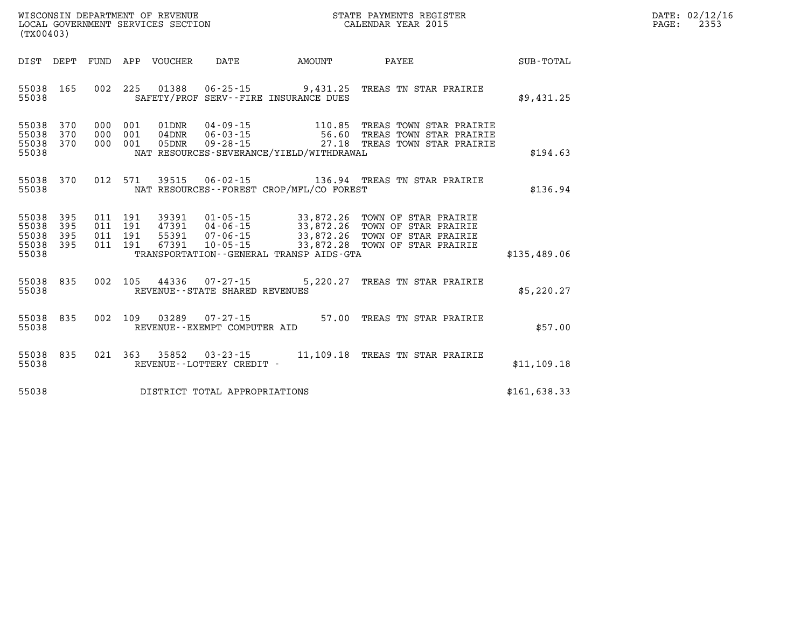| WISCONSIN DEPARTMENT OF REVENUE   | PAYMENTS REGISTER<br>STATE | 02/12/16<br>DATE: |
|-----------------------------------|----------------------------|-------------------|
| LOCAL GOVERNMENT SERVICES SECTION | CALENDAR YEAR 2015         | 2353<br>PAGE      |

| (TX00403)                                 |                                                          |                                                       |                                                                |                                              |                                                                                                                                      |               |
|-------------------------------------------|----------------------------------------------------------|-------------------------------------------------------|----------------------------------------------------------------|----------------------------------------------|--------------------------------------------------------------------------------------------------------------------------------------|---------------|
| DIST<br>DEPT                              | FUND                                                     | APP<br>VOUCHER                                        | DATE                                                           | AMOUNT                                       | PAYEE                                                                                                                                | SUB-TOTAL     |
| 55038<br>55038                            | 165<br>002                                               | 225<br>01388                                          |                                                                | SAFETY/PROF SERV--FIRE INSURANCE DUES        | 06-25-15 9,431.25 TREAS TN STAR PRAIRIE                                                                                              | \$9,431.25    |
| 55038<br>55038<br>55038<br>55038          | 370<br>000<br>370<br>000<br>370<br>000                   | 001<br>01DNR<br>001<br>$04$ DNR<br>001<br>05DNR       | $04 - 09 - 15$<br>$06 - 03 - 15$<br>$09 - 28 - 15$             | NAT RESOURCES-SEVERANCE/YIELD/WITHDRAWAL     | 110.85 TREAS TOWN STAR PRAIRIE<br>56.60 TREAS TOWN STAR PRAIRIE<br>27.18 TREAS TOWN STAR PRAIRIE                                     | \$194.63      |
| 55038<br>55038                            | 370<br>012                                               | 571<br>39515                                          |                                                                | NAT RESOURCES - - FOREST CROP/MFL/CO FOREST  | 06-02-15 136.94 TREAS TN STAR PRAIRIE                                                                                                | \$136.94      |
| 55038<br>55038<br>55038<br>55038<br>55038 | 395<br>011 191<br>395<br>011<br>395<br>011<br>395<br>011 | 39391<br>191<br>47391<br>55391<br>191<br>191<br>67391 | $01 - 05 - 15$<br>04-06-15<br>$07 - 06 - 15$<br>$10 - 05 - 15$ | TRANSPORTATION - - GENERAL TRANSP AIDS - GTA | 33,872.26 TOWN OF STAR PRAIRIE<br>33,872.26 TOWN OF STAR PRAIRIE<br>33,872.26 TOWN OF STAR PRAIRIE<br>33,872.28 TOWN OF STAR PRAIRIE | \$135,489.06  |
| 55038<br>55038                            | 835<br>002                                               | 105<br>44336                                          | REVENUE - - STATE SHARED REVENUES                              |                                              | 07-27-15 5,220.27 TREAS TN STAR PRAIRIE                                                                                              | \$5,220.27    |
| 55038<br>55038                            | 002<br>835                                               | 03289<br>109<br>REVENUE--EXEMPT COMPUTER AID          | $07 - 27 - 15$                                                 | 57.00                                        | TREAS TN STAR PRAIRIE                                                                                                                | \$57.00       |
| 55038<br>55038                            | 835                                                      | 021 363<br>35852                                      | REVENUE--LOTTERY CREDIT -                                      |                                              | 03-23-15 11,109.18 TREAS TN STAR PRAIRIE                                                                                             | \$11,109.18   |
| 55038                                     |                                                          |                                                       | DISTRICT TOTAL APPROPRIATIONS                                  |                                              |                                                                                                                                      | \$161, 638.33 |

WISCONSIN DEPARTMENT OF REVENUE **STATE PAYMENTS REGISTER**<br>LOCAL GOVERNMENT SERVICES SECTION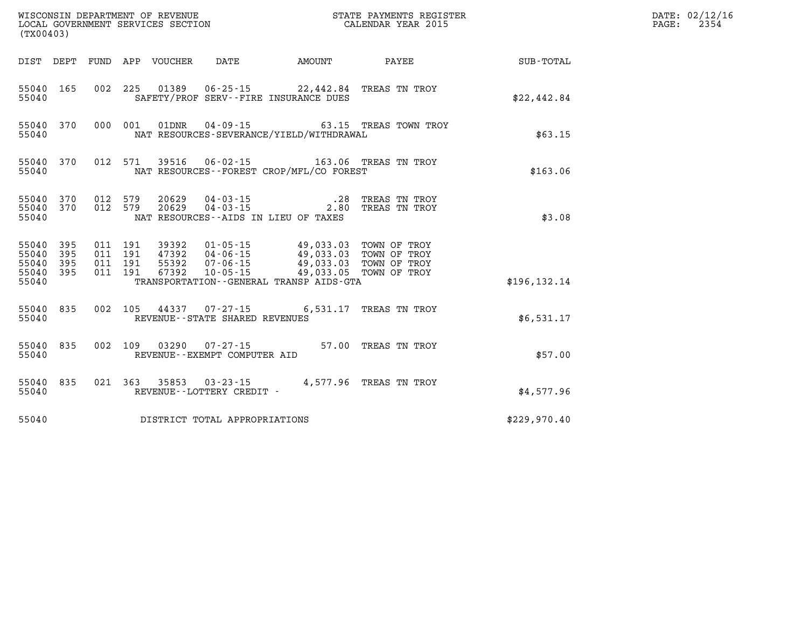|                                      | (TX00403)               |                    |                    |                                 |                                                         |                                                                                                                                                                                                                                                       |                                              | DATE: 02/12/16<br>2354<br>PAGE: |  |
|--------------------------------------|-------------------------|--------------------|--------------------|---------------------------------|---------------------------------------------------------|-------------------------------------------------------------------------------------------------------------------------------------------------------------------------------------------------------------------------------------------------------|----------------------------------------------|---------------------------------|--|
|                                      |                         |                    |                    | DIST DEPT FUND APP VOUCHER DATE |                                                         | AMOUNT                                                                                                                                                                                                                                                | <b>PAYEE</b> PAYEE                           | SUB-TOTAL                       |  |
| 55040                                | 55040 165               |                    |                    |                                 |                                                         | 002 225 01389 06-25-15 22,442.84 TREAS TN TROY<br>SAFETY/PROF SERV--FIRE INSURANCE DUES                                                                                                                                                               |                                              | \$22,442.84                     |  |
| 55040                                | 55040 370               |                    |                    |                                 |                                                         | NAT RESOURCES-SEVERANCE/YIELD/WITHDRAWAL                                                                                                                                                                                                              | 000 001 01DNR 04-09-15 63.15 TREAS TOWN TROY | \$63.15                         |  |
| 55040                                | 55040 370               | 012 571            |                    |                                 |                                                         | 39516  06-02-15  163.06  TREAS TN TROY<br>NAT RESOURCES - - FOREST CROP/MFL/CO FOREST                                                                                                                                                                 |                                              | \$163.06                        |  |
| 55040                                | 55040 370<br>55040 370  | 012 579            | 012 579            |                                 | 20629        04 - 03 - 15<br>20629         04 - 03 - 15 | NAT RESOURCES -- AIDS IN LIEU OF TAXES                                                                                                                                                                                                                | .28 TREAS TN TROY<br>2.80 TREAS TN TROY      | \$3.08                          |  |
| 55040<br>55040<br>55040 395<br>55040 | 55040 395<br>395<br>395 | 011 191<br>011 191 | 011 191<br>011 191 | 67392                           |                                                         | 39392     01-05-15                  49,033.03   TOWN OF TROY<br>47392     04-06-15              49,033.03   TOWN OF TROY<br>55392  07-06-15  49,033.03  TOWN OF TROY<br>10-05-15 49,033.05 TOWN OF TROY<br>TRANSPORTATION - - GENERAL TRANSP AIDS-GTA |                                              | \$196, 132.14                   |  |
| 55040 835<br>55040                   |                         |                    |                    |                                 | REVENUE--STATE SHARED REVENUES                          | 002 105 44337 07-27-15 6,531.17 TREAS TN TROY                                                                                                                                                                                                         |                                              | \$6,531.17                      |  |
| 55040                                | 55040 835               |                    |                    |                                 | 002 109 03290 07-27-15<br>REVENUE--EXEMPT COMPUTER AID  |                                                                                                                                                                                                                                                       | 57.00 TREAS TN TROY                          | \$57.00                         |  |
| 55040                                | 55040 835               |                    |                    |                                 | REVENUE--LOTTERY CREDIT -                               | 021 363 35853 03-23-15 4,577.96 TREAS TN TROY                                                                                                                                                                                                         |                                              | \$4,577.96                      |  |
| 55040                                |                         |                    |                    |                                 | DISTRICT TOTAL APPROPRIATIONS                           |                                                                                                                                                                                                                                                       |                                              | \$229,970.40                    |  |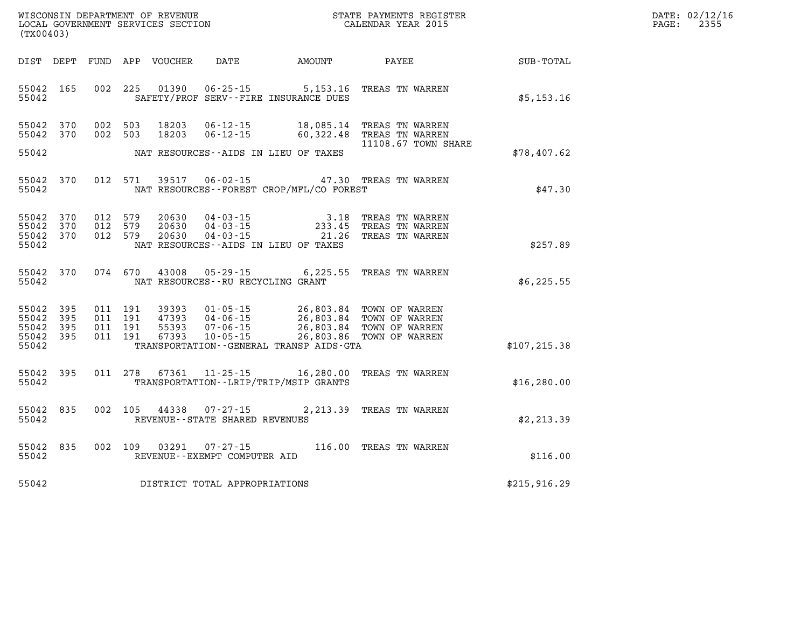| WISCONSIN DEPARTMENT OF REVENUE      | PAYMENTS REGISTER<br>3TATE | DATE: | 02/12/16 |
|--------------------------------------|----------------------------|-------|----------|
| GOVERNMENT SERVICES SECTION<br>LOCAL | CALENDAR YEAR 2015         | PAGE  | つつに「     |

| (TX00403)                                         |            |         |                                          | LOCAL GOVERNMENT SERVICES SECTION |                                                     |                                             | CALENDAR YEAR 2015                                                                                                                      |                             | PAGE: | 2355 |
|---------------------------------------------------|------------|---------|------------------------------------------|-----------------------------------|-----------------------------------------------------|---------------------------------------------|-----------------------------------------------------------------------------------------------------------------------------------------|-----------------------------|-------|------|
| DIST DEPT                                         |            |         |                                          | FUND APP VOUCHER                  |                                                     |                                             |                                                                                                                                         | DATE AMOUNT PAYEE SUB-TOTAL |       |      |
| 55042 165<br>55042                                |            |         | 002 225                                  | 01390                             |                                                     | SAFETY/PROF SERV--FIRE INSURANCE DUES       | 06-25-15 5,153.16 TREAS TN WARREN                                                                                                       | \$5,153.16                  |       |      |
| 55042 370<br>55042 370                            |            |         | 002 503<br>002 503                       | 18203<br>18203                    | $06 - 12 - 15$<br>$06 - 12 - 15$                    | 18,085.14                                   | TREAS TN WARREN<br>60,322.48 TREAS TN WARREN<br>11108.67 TOWN SHARE                                                                     |                             |       |      |
| 55042                                             |            |         |                                          |                                   |                                                     | NAT RESOURCES--AIDS IN LIEU OF TAXES        |                                                                                                                                         | \$78,407.62                 |       |      |
| 55042 370<br>55042                                |            |         | 012 571                                  | 39517                             |                                                     | NAT RESOURCES - - FOREST CROP/MFL/CO FOREST | 06-02-15 47.30 TREAS TN WARREN                                                                                                          | \$47.30                     |       |      |
| 55042 370<br>55042<br>55042 370<br>55042          | 370        | 012 579 | 012 579<br>012 579                       | 20630<br>20630<br>20630           |                                                     | NAT RESOURCES -- AIDS IN LIEU OF TAXES      | 04-03-15<br>04-03-15<br>04-03-15<br>04-03-15<br>21.26<br>21.26<br>21.26<br>21.26<br>21.26<br>21.26                                      | \$257.89                    |       |      |
| 55042 370<br>55042                                |            |         | 074 670                                  | 43008                             | NAT RESOURCES - - RU RECYCLING GRANT                |                                             | 05-29-15 6,225.55 TREAS TN WARREN                                                                                                       | \$6,225.55                  |       |      |
| 55042 395<br>55042<br>55042<br>55042 395<br>55042 | 395<br>395 |         | 011 191<br>011 191<br>011 191<br>011 191 | 39393<br>47393<br>55393<br>67393  | $10 - 05 - 15$                                      | TRANSPORTATION--GENERAL TRANSP AIDS-GTA     | 01-05-15 26,803.84 TOWN OF WARREN<br>04-06-15 26,803.84 TOWN OF WARREN<br>07-06-15 26,803.84 TOWN OF WARREN<br>26,803.86 TOWN OF WARREN | \$107, 215.38               |       |      |
| 55042 395<br>55042                                |            |         | 011 278                                  | 67361                             |                                                     | TRANSPORTATION - - LRIP/TRIP/MSIP GRANTS    | 11-25-15 16,280.00 TREAS TN WARREN                                                                                                      | \$16, 280.00                |       |      |
| 55042 835<br>55042                                |            |         | 002 105                                  | 44338                             | $07 - 27 - 15$<br>REVENUE - - STATE SHARED REVENUES |                                             | 2,213.39 TREAS TN WARREN                                                                                                                | \$2,213.39                  |       |      |
| 55042 835<br>55042                                |            |         | 002 109                                  | 03291                             | $07 - 27 - 15$<br>REVENUE--EXEMPT COMPUTER AID      |                                             | 116.00 TREAS TN WARREN                                                                                                                  | \$116.00                    |       |      |
| 55042                                             |            |         |                                          |                                   | DISTRICT TOTAL APPROPRIATIONS                       |                                             |                                                                                                                                         | \$215,916.29                |       |      |
|                                                   |            |         |                                          |                                   |                                                     |                                             |                                                                                                                                         |                             |       |      |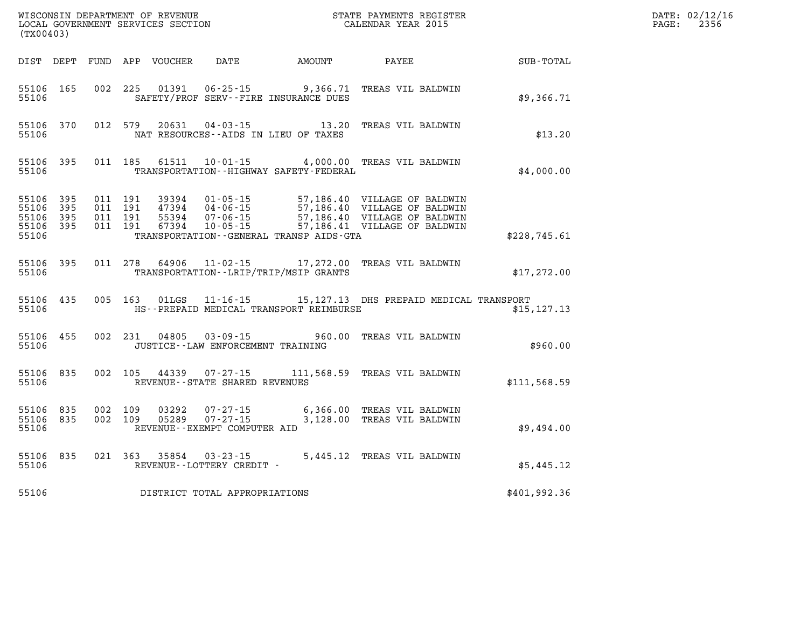| (TX00403)                                         |            |                               |         |       |                                                     |                                                                          |                                                                                                                                                                                                      |              | DATE: 02/12/16<br>$\mathtt{PAGE:}$<br>2356 |
|---------------------------------------------------|------------|-------------------------------|---------|-------|-----------------------------------------------------|--------------------------------------------------------------------------|------------------------------------------------------------------------------------------------------------------------------------------------------------------------------------------------------|--------------|--------------------------------------------|
|                                                   |            |                               |         |       |                                                     | DIST DEPT FUND APP VOUCHER DATE AMOUNT PAYEE                             |                                                                                                                                                                                                      | SUB-TOTAL    |                                            |
| 55106                                             | 55106 165  |                               |         |       |                                                     | 002 225 01391 06-25-15 9,366.71<br>SAFETY/PROF SERV--FIRE INSURANCE DUES | TREAS VIL BALDWIN                                                                                                                                                                                    | \$9,366.71   |                                            |
| 55106                                             |            |                               |         |       |                                                     | NAT RESOURCES--AIDS IN LIEU OF TAXES                                     | 55106 370 012 579 20631 04-03-15 13.20 TREAS VIL BALDWIN                                                                                                                                             | \$13.20      |                                            |
| 55106                                             | 55106 395  |                               |         |       |                                                     | TRANSPORTATION - - HIGHWAY SAFETY - FEDERAL                              | 011 185 61511 10-01-15 4,000.00 TREAS VIL BALDWIN                                                                                                                                                    | \$4,000.00   |                                            |
| 55106 395<br>55106<br>55106<br>55106 395<br>55106 | 395<br>395 | 011 191<br>011 191<br>011 191 | 011 191 |       |                                                     | TRANSPORTATION--GENERAL TRANSP AIDS-GTA                                  | 39394  01-05-15  57,186.40  VILLAGE OF BALDWIN<br>47394  04-06-15  57,186.40  VILLAGE OF BALDWIN<br>55394  07-06-15  57,186.40  VILLAGE OF BALDWIN<br>67394  10-05-15  57,186.41  VILLAGE OF BALDWIN | \$228,745.61 |                                            |
| 55106                                             | 55106 395  |                               |         |       |                                                     | TRANSPORTATION - - LRIP/TRIP/MSIP GRANTS                                 | 011 278 64906 11-02-15 17,272.00 TREAS VIL BALDWIN                                                                                                                                                   | \$17,272.00  |                                            |
| 55106                                             | 55106 435  |                               |         |       |                                                     | HS--PREPAID MEDICAL TRANSPORT REIMBURSE                                  | 005 163 01LGS 11-16-15 15, 127.13 DHS PREPAID MEDICAL TRANSPORT                                                                                                                                      | \$15, 127.13 |                                            |
| 55106                                             |            |                               |         |       | JUSTICE--LAW ENFORCEMENT TRAINING                   |                                                                          | 55106 455 002 231 04805 03-09-15 960.00 TREAS VIL BALDWIN                                                                                                                                            | \$960.00     |                                            |
| 55106                                             | 55106 835  |                               |         |       | REVENUE--STATE SHARED REVENUES                      |                                                                          | 002  105  44339  07-27-15  111,568.59  TREAS VIL BALDWIN                                                                                                                                             | \$111,568.59 |                                            |
| 55106 835<br>55106                                | 55106 835  | 002 109                       | 002 109 | 03292 | REVENUE--EXEMPT COMPUTER AID                        |                                                                          | 07-27-15 6,366.00 TREAS VIL BALDWIN<br>3,128.00 TREAS VIL BALDWIN                                                                                                                                    | \$9,494.00   |                                            |
| 55106 835<br>55106                                |            |                               |         |       | 021 363 35854 03-23-15<br>REVENUE--LOTTERY CREDIT - |                                                                          | 5,445.12 TREAS VIL BALDWIN                                                                                                                                                                           | \$5,445.12   |                                            |
| 55106                                             |            |                               |         |       | DISTRICT TOTAL APPROPRIATIONS                       |                                                                          |                                                                                                                                                                                                      | \$401,992.36 |                                            |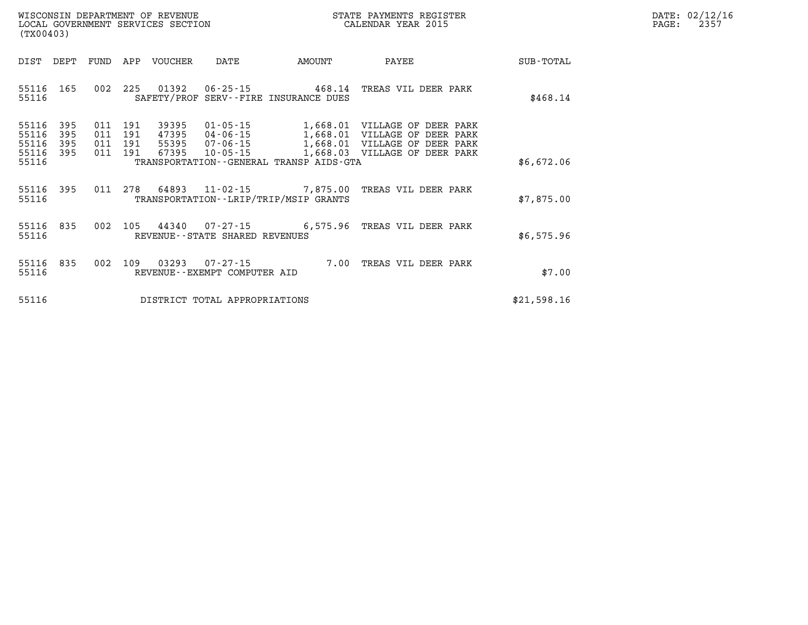| $\mathtt{DATE}$ : | 02/12/16 |
|-------------------|----------|
| $\texttt{PAGE:}$  | 2357     |

| (TX00403)               |                   |                   |                   | WISCONSIN DEPARTMENT OF REVENUE<br>LOCAL GOVERNMENT SERVICES SECTION |                                                   |                                                                     | STATE PAYMENTS REGISTER<br>CALENDAR YEAR 2015                        |             |  |  |
|-------------------------|-------------------|-------------------|-------------------|----------------------------------------------------------------------|---------------------------------------------------|---------------------------------------------------------------------|----------------------------------------------------------------------|-------------|--|--|
| DIST                    | DEPT              | FUND              | APP               | VOUCHER                                                              | DATE                                              | AMOUNT                                                              | PAYEE                                                                | SUB-TOTAL   |  |  |
| 55116<br>55116          | 165               | 002               | 225               | 01392                                                                |                                                   | $06 - 25 - 15$ 468.14<br>SAFETY/PROF SERV--FIRE INSURANCE DUES      | TREAS VIL DEER PARK                                                  | \$468.14    |  |  |
| 55116<br>55116<br>55116 | 395<br>395<br>395 | 011<br>011<br>011 | 191<br>191<br>191 | 39395<br>47395<br>55395                                              | $01 - 05 - 15$<br>04-06-15<br>07-06-15            | 1,668.01<br>1,668.01<br>1,668.01                                    | VILLAGE OF DEER PARK<br>VILLAGE OF DEER PARK<br>VILLAGE OF DEER PARK |             |  |  |
| 55116<br>55116          | 395               | 011               | 191               | 67395                                                                | $10 - 05 - 15$                                    | 1,668.03<br>TRANSPORTATION--GENERAL TRANSP AIDS-GTA                 | VILLAGE OF DEER PARK                                                 | \$6,672.06  |  |  |
| 55116<br>55116          | 395               | 011               | 278               | 64893                                                                |                                                   | $11 - 02 - 15$ 7,875.00<br>TRANSPORTATION - - LRIP/TRIP/MSIP GRANTS | TREAS VIL DEER PARK                                                  | \$7,875.00  |  |  |
| 55116<br>55116          | 835               | 002               | 105               | 44340                                                                | REVENUE--STATE SHARED REVENUES                    | $07 - 27 - 15$ 6,575.96                                             | TREAS VIL DEER PARK                                                  | \$6,575.96  |  |  |
| 55116<br>55116          | 835               | 002               | 109               | 03293                                                                | $07 - 27 - 15$<br>REVENUE - - EXEMPT COMPUTER AID | 7.00                                                                | TREAS VIL DEER PARK                                                  | \$7.00      |  |  |
| 55116                   |                   |                   |                   |                                                                      | DISTRICT TOTAL APPROPRIATIONS                     |                                                                     |                                                                      | \$21,598.16 |  |  |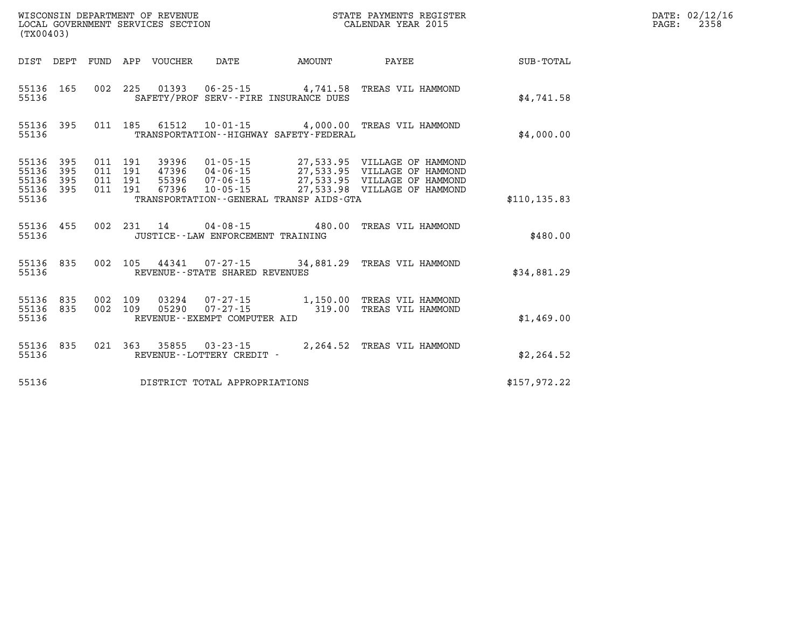| (TX00403)                                 |                          |                          |                          | WISCONSIN DEPARTMENT OF REVENUE<br>LOCAL GOVERNMENT SERVICES SECTION |                                                                  |                                                                  | STATE PAYMENTS REGISTER<br>CALENDAR YEAR 2015                                                                                |                  |  |  |
|-------------------------------------------|--------------------------|--------------------------|--------------------------|----------------------------------------------------------------------|------------------------------------------------------------------|------------------------------------------------------------------|------------------------------------------------------------------------------------------------------------------------------|------------------|--|--|
| DIST                                      | DEPT                     | FUND                     | APP                      | <b>VOUCHER</b>                                                       | DATE                                                             | AMOUNT                                                           | PAYEE                                                                                                                        | <b>SUB-TOTAL</b> |  |  |
| 55136<br>55136                            | 165                      | 002                      | 225                      | 01393                                                                |                                                                  | $06 - 25 - 15$ 4,741.58<br>SAFETY/PROF SERV--FIRE INSURANCE DUES | TREAS VIL HAMMOND                                                                                                            | \$4,741.58       |  |  |
| 55136<br>55136                            | 395                      | 011                      | 185                      | 61512                                                                |                                                                  | TRANSPORTATION - - HIGHWAY SAFETY - FEDERAL                      | 10-01-15  4,000.00 TREAS VIL HAMMOND                                                                                         | \$4,000.00       |  |  |
| 55136<br>55136<br>55136<br>55136<br>55136 | 395<br>395<br>395<br>395 | 011<br>011<br>011<br>011 | 191<br>191<br>191<br>191 | 39396<br>47396<br>55396<br>67396                                     | $01 - 05 - 15$<br>04 - 06 - 15<br>07 - 06 - 15<br>$10 - 05 - 15$ | TRANSPORTATION--GENERAL TRANSP AIDS-GTA                          | 27,533.95 VILLAGE OF HAMMOND<br>27,533.95 VILLAGE OF HAMMOND<br>27,533.95 VILLAGE OF HAMMOND<br>27,533.98 VILLAGE OF HAMMOND | \$110, 135.83    |  |  |
| 55136<br>55136                            | 455                      | 002                      | 231                      | 14                                                                   | JUSTICE - - LAW ENFORCEMENT TRAINING                             | $04 - 08 - 15$ 480.00                                            | TREAS VIL HAMMOND                                                                                                            | \$480.00         |  |  |
| 55136<br>55136                            | 835                      | 002                      | 105                      |                                                                      | REVENUE - - STATE SHARED REVENUES                                | 44341 07-27-15 34,881.29                                         | TREAS VIL HAMMOND                                                                                                            | \$34,881.29      |  |  |
| 55136<br>55136<br>55136                   | 835<br>835               | 002<br>002               | 109<br>109               | 03294<br>05290                                                       | $07 - 27 - 15$<br>$07 - 27 - 15$<br>REVENUE--EXEMPT COMPUTER AID | 1,150.00<br>319.00                                               | TREAS VIL HAMMOND<br>TREAS VIL HAMMOND                                                                                       | \$1,469.00       |  |  |
| 55136<br>55136                            | 835                      | 021                      | 363                      | 35855                                                                | $03 - 23 - 15$<br>REVENUE - - LOTTERY CREDIT -                   | 2,264.52                                                         | TREAS VIL HAMMOND                                                                                                            | \$2, 264.52      |  |  |
| 55136                                     |                          |                          |                          |                                                                      | DISTRICT TOTAL APPROPRIATIONS                                    |                                                                  |                                                                                                                              | \$157,972.22     |  |  |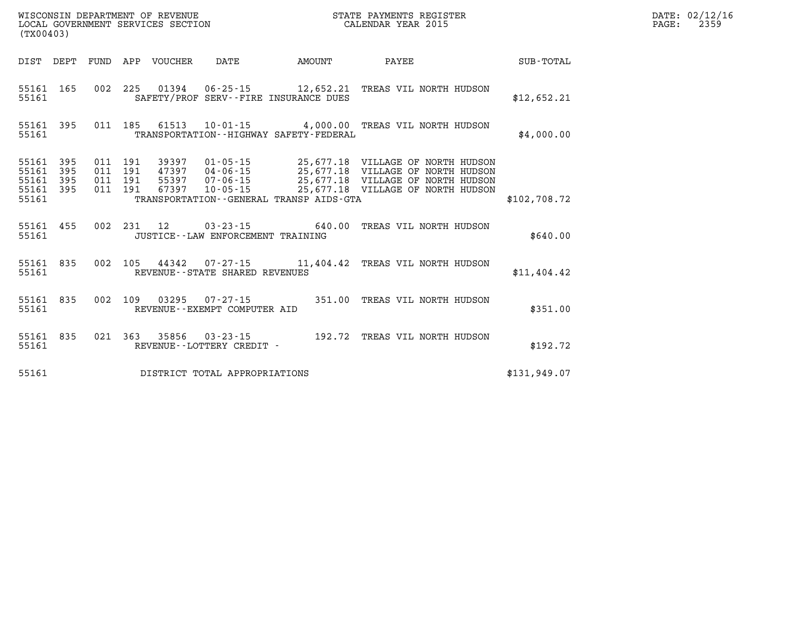| (TX00403)                           |           |                               | LOCAL GOVERNMENT SERVICES SECTION        |                                     |                                               | CALENDAR YEAR 2015                                                                                                                                                                   |              | PAGE: | 2359 |
|-------------------------------------|-----------|-------------------------------|------------------------------------------|-------------------------------------|-----------------------------------------------|--------------------------------------------------------------------------------------------------------------------------------------------------------------------------------------|--------------|-------|------|
|                                     |           |                               |                                          |                                     |                                               |                                                                                                                                                                                      |              |       |      |
|                                     | 55161 350 |                               |                                          |                                     | SAFETY/PROF SERV--FIRE INSURANCE DUES         | 55161 165 002 225 01394 06-25-15 12,652.21 TREAS VIL NORTH HUDSON                                                                                                                    | \$12,652.21  |       |      |
| 55161                               |           |                               |                                          |                                     | TRANSPORTATION - - HIGHWAY SAFETY - FEDERAL   | 55161 395 011 185 61513 10-01-15 4,000.00 TREAS VIL NORTH HUDSON                                                                                                                     | \$4,000.00   |       |      |
| 55161 395<br>55161 395<br>55161 395 | 55161 395 | 011 191<br>011 191<br>011 191 | 011 191 39397<br>47397<br>55397<br>67397 |                                     | 55161 TRANSPORTATION--GENERAL TRANSP AIDS-GTA | 01-05-15 25,677.18 VILLAGE OF NORTH HUDSON<br>04-06-15 25,677.18 VILLAGE OF NORTH HUDSON<br>07-06-15 25,677.18 VILLAGE OF NORTH HUDSON<br>10-05-15 25,677.18 VILLAGE OF NORTH HUDSON | \$102,708.72 |       |      |
| 55161                               | 55161 455 |                               |                                          | JUSTICE -- LAW ENFORCEMENT TRAINING |                                               | 002 231 12 03-23-15 640.00 TREAS VIL NORTH HUDSON                                                                                                                                    | \$640.00     |       |      |
|                                     |           |                               |                                          |                                     | 55161 REVENUE - STATE SHARED REVENUES         | 55161 835 002 105 44342 07-27-15 11,404.42 TREAS VIL NORTH HUDSON                                                                                                                    | \$11,404.42  |       |      |
|                                     |           |                               |                                          | 55161 REVENUE - EXEMPT COMPUTER AID |                                               | 55161 835 002 109 03295 07-27-15 351.00 TREAS VIL NORTH HUDSON                                                                                                                       | \$351.00     |       |      |
|                                     |           |                               |                                          | 55161 REVENUE--LOTTERY CREDIT -     |                                               | 55161 835 021 363 35856 03-23-15 192.72 TREAS VIL NORTH HUDSON                                                                                                                       | \$192.72     |       |      |
| 55161                               |           |                               |                                          | DISTRICT TOTAL APPROPRIATIONS       |                                               |                                                                                                                                                                                      | \$131,949.07 |       |      |

**WISCONSIN DEPARTMENT OF REVENUE STATE PAYMENTS REGISTER DATE: 02/12/16**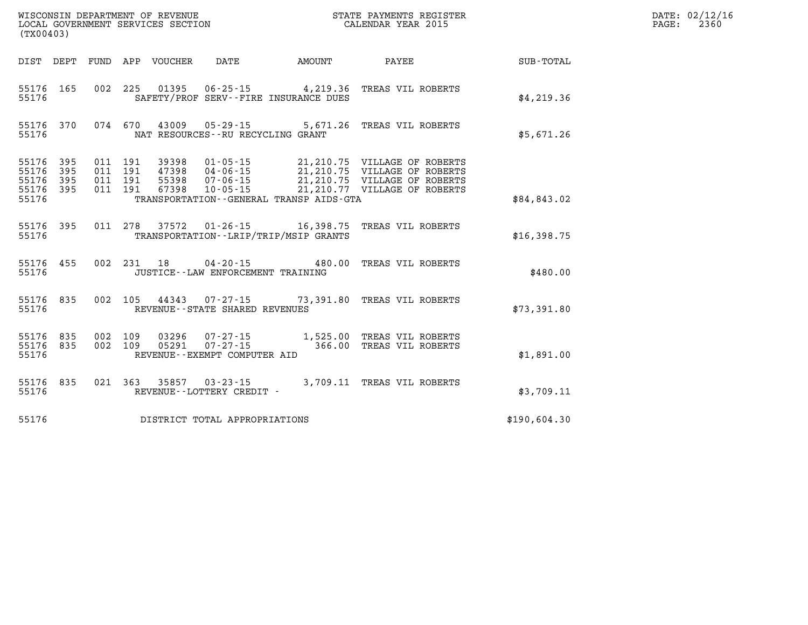| WISCONSIN DEPARTMENT OF REVENUE<br>LOCAL GOVERNMENT SERVICES SECTION<br>(TX00403) |                   |                   |                   |                         |                                                                      |           |                                                                                              |              |
|-----------------------------------------------------------------------------------|-------------------|-------------------|-------------------|-------------------------|----------------------------------------------------------------------|-----------|----------------------------------------------------------------------------------------------|--------------|
| DIST                                                                              | DEPT              | FUND              | APP               | VOUCHER                 | DATE                                                                 | AMOUNT    | PAYEE                                                                                        | SUB-TOTAL    |
| 55176<br>55176                                                                    | 165               | 002               | 225               | 01395                   | $06 - 25 - 15$ 4, 219.36<br>SAFETY/PROF SERV--FIRE INSURANCE DUES    |           | TREAS VIL ROBERTS                                                                            | \$4,219.36   |
| 55176<br>55176                                                                    | 370               | 074               | 670               | 43009                   | $05 - 29 - 15$ 5,671.26<br>NAT RESOURCES - - RU RECYCLING GRANT      |           | TREAS VIL ROBERTS                                                                            | \$5,671.26   |
| 55176<br>55176<br>55176                                                           | 395<br>395<br>395 | 011<br>011<br>011 | 191<br>191<br>191 | 39398<br>47398<br>55398 | $01 - 05 - 15$<br>$04 - 06 - 15$<br>$07 - 06 - 15$                   |           | 21,210.75 VILLAGE OF ROBERTS<br>21,210.75 VILLAGE OF ROBERTS<br>21,210.75 VILLAGE OF ROBERTS |              |
| 55176<br>55176                                                                    | 395               | 011               | 191               | 67398                   | $10 - 05 - 15$<br>TRANSPORTATION--GENERAL TRANSP AIDS-GTA            |           | 21,210.77 VILLAGE OF ROBERTS                                                                 | \$84,843.02  |
| 55176<br>55176                                                                    | 395               | 011               | 278               | 37572                   | $01 - 26 - 15$ 16,398.75<br>TRANSPORTATION - - LRIP/TRIP/MSIP GRANTS |           | TREAS VIL ROBERTS                                                                            | \$16,398.75  |
| 55176<br>55176                                                                    | 455               | 002               | 231               | 18                      | $04 - 20 - 15$<br>JUSTICE - - LAW ENFORCEMENT TRAINING               | 480.00    | TREAS VIL ROBERTS                                                                            | \$480.00     |
| 55176<br>55176                                                                    | 835               | 002               | 105               |                         | 44343 07-27-15<br>REVENUE - - STATE SHARED REVENUES                  | 73,391.80 | TREAS VIL ROBERTS                                                                            | \$73,391.80  |
| 55176<br>55176<br>55176                                                           | 835<br>835        | 002<br>002        | 109<br>109        | 03296<br>05291          | REVENUE--EXEMPT COMPUTER AID                                         |           | TREAS VIL ROBERTS<br>TREAS VIL ROBERTS                                                       | \$1,891.00   |
| 55176<br>55176                                                                    | 835               | 021               | 363               | 35857                   | $03 - 23 - 15$<br>REVENUE--LOTTERY CREDIT -                          |           | 3,709.11 TREAS VIL ROBERTS                                                                   | \$3,709.11   |
| 55176                                                                             |                   |                   |                   |                         | DISTRICT TOTAL APPROPRIATIONS                                        |           |                                                                                              | \$190,604.30 |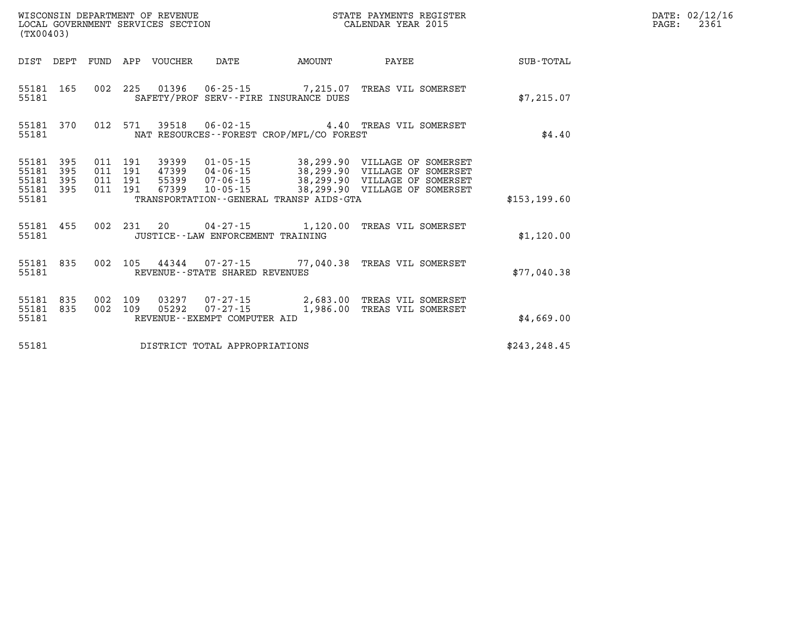| WISCONSIN DEPARTMENT OF REVENUE<br>LOCAL GOVERNMENT SERVICES SECTION<br>(TX00403) |                                |                          |                          |       |                                                |                                             |                                                                                                    |               |
|-----------------------------------------------------------------------------------|--------------------------------|--------------------------|--------------------------|-------|------------------------------------------------|---------------------------------------------|----------------------------------------------------------------------------------------------------|---------------|
| DIST DEPT                                                                         |                                |                          |                          |       |                                                | FUND APP VOUCHER DATE AMOUNT                | <b>PAYEE</b>                                                                                       | SUB-TOTAL     |
| 55181                                                                             | 55181 165                      | 002                      | 225                      |       |                                                | SAFETY/PROF SERV--FIRE INSURANCE DUES       | 01396  06-25-15  7,215.07  TREAS VIL SOMERSET                                                      | \$7,215.07    |
| 55181<br>55181                                                                    | 370                            | 012                      | 571                      |       |                                                | NAT RESOURCES - - FOREST CROP/MFL/CO FOREST |                                                                                                    | \$4.40        |
| 55181<br>55181<br>55181<br>55181                                                  | 395<br>395<br>395<br>55181 395 | 011<br>011<br>011<br>011 | 191<br>191<br>191<br>191 |       |                                                | TRANSPORTATION--GENERAL TRANSP AIDS-GTA     | 55399  07-06-15  38,299.90  VILLAGE OF SOMERSET<br>67399  10-05-15  38,299.90  VILLAGE OF SOMERSET | \$153, 199.60 |
| 55181 455<br>55181                                                                |                                | 002                      | 231                      | 20    | JUSTICE - - LAW ENFORCEMENT TRAINING           | $04 - 27 - 15$ 1,120.00                     | TREAS VIL SOMERSET                                                                                 | \$1,120.00    |
| 55181<br>55181                                                                    | 835                            | 002                      |                          |       | REVENUE - - STATE SHARED REVENUES              | 105 44344 07-27-15 77,040.38                | TREAS VIL SOMERSET                                                                                 | \$77,040.38   |
| 55181<br>55181<br>55181                                                           | 835<br>835                     | 002<br>002               | 109<br>109               | 05292 | $07 - 27 - 15$<br>REVENUE--EXEMPT COMPUTER AID | 1,986.00                                    | 03297  07-27-15  2,683.00 TREAS VIL SOMERSET<br>TREAS VIL SOMERSET                                 | \$4,669.00    |
| 55181                                                                             |                                |                          |                          |       | DISTRICT TOTAL APPROPRIATIONS                  |                                             |                                                                                                    | \$243, 248.45 |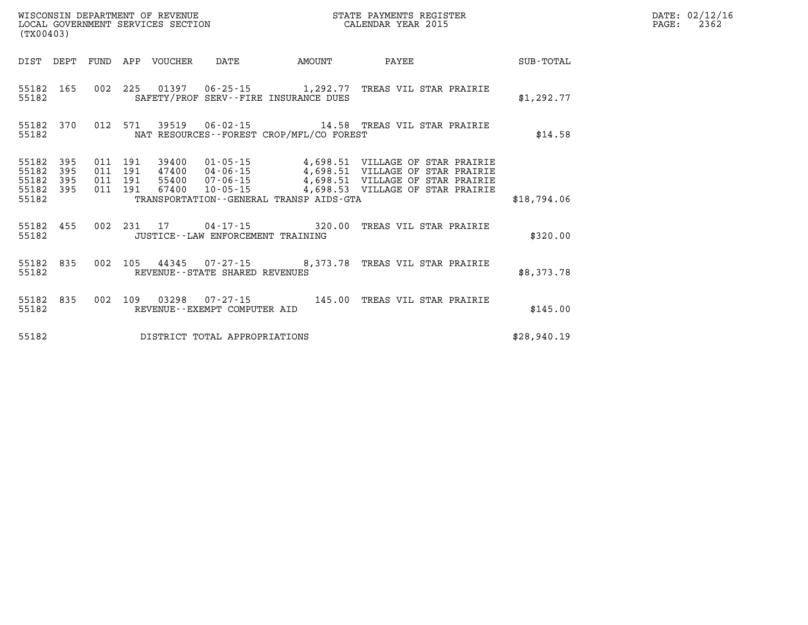| WISCONSIN DEPARTMENT OF REVENUE<br>STATE PAYMENTS REGISTER<br>LOCAL GOVERNMENT SERVICES SECTION<br>CALENDAR YEAR 2015<br>(TX00403) |                          |                          |                          |                |                                  |                                             |                                                                                                                                                                                  |             |  |  |
|------------------------------------------------------------------------------------------------------------------------------------|--------------------------|--------------------------|--------------------------|----------------|----------------------------------|---------------------------------------------|----------------------------------------------------------------------------------------------------------------------------------------------------------------------------------|-------------|--|--|
| DIST                                                                                                                               | DEPT                     | FUND                     | APP                      | VOUCHER        | DATE                             | AMOUNT                                      | PAYEE                                                                                                                                                                            | SUB-TOTAL   |  |  |
| 55182<br>55182                                                                                                                     | 165                      | 002                      | 225                      |                |                                  | SAFETY/PROF SERV--FIRE INSURANCE DUES       |                                                                                                                                                                                  | \$1,292.77  |  |  |
| 55182<br>55182                                                                                                                     | 370                      | 012                      | 571                      |                |                                  | NAT RESOURCES - - FOREST CROP/MFL/CO FOREST | 39519   06-02-15   14.58   TREAS VIL STAR PRAIRIE                                                                                                                                | \$14.58     |  |  |
| 55182<br>55182<br>55182<br>55182<br>55182                                                                                          | 395<br>395<br>395<br>395 | 011<br>011<br>011<br>011 | 191<br>191<br>191<br>191 | 55400<br>67400 | $07 - 06 - 15$<br>$10 - 05 - 15$ | TRANSPORTATION--GENERAL TRANSP AIDS-GTA     | 39400  01-05-15  4,698.51  VILLAGE OF STAR PRAIRIE<br>47400  04-06-15  4,698.51  VILLAGE OF STAR PRAIRIE<br>4,698.51 VILLAGE OF STAR PRAIRIE<br>4,698.53 VILLAGE OF STAR PRAIRIE | \$18,794.06 |  |  |
| 55182<br>55182                                                                                                                     | 455                      | 002                      |                          |                |                                  | JUSTICE - - LAW ENFORCEMENT TRAINING        | 231  17  04-17-15  320.00 TREAS VIL STAR PRAIRIE                                                                                                                                 | \$320.00    |  |  |
| 55182<br>55182                                                                                                                     | 835                      | 002                      | 105                      |                | REVENUE--STATE SHARED REVENUES   |                                             | 44345 07-27-15 8,373.78 TREAS VIL STAR PRAIRIE                                                                                                                                   | \$8,373.78  |  |  |
| 55182<br>55182                                                                                                                     | 835                      | 002                      | 109                      |                | REVENUE--EXEMPT COMPUTER AID     | 03298  07-27-15  145.00                     | TREAS VIL STAR PRAIRIE                                                                                                                                                           | \$145.00    |  |  |
| 55182                                                                                                                              |                          |                          |                          |                | DISTRICT TOTAL APPROPRIATIONS    |                                             |                                                                                                                                                                                  | \$28,940.19 |  |  |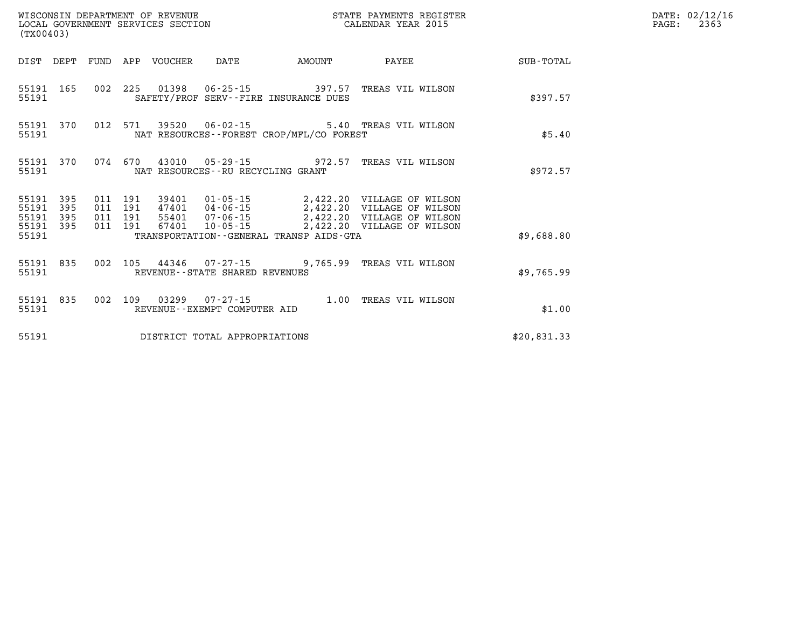| (TX00403)                            |                   |                                          |                                 |                                   |                                             | STATE PAYMENTS REGISTER                                                                     |             | DATE: 02/12/16<br>PAGE:<br>2363 |
|--------------------------------------|-------------------|------------------------------------------|---------------------------------|-----------------------------------|---------------------------------------------|---------------------------------------------------------------------------------------------|-------------|---------------------------------|
|                                      |                   |                                          | DIST DEPT FUND APP VOUCHER DATE |                                   | <b>AMOUNT</b>                               | <b>PAYEE</b>                                                                                | SUB-TOTAL   |                                 |
| 55191                                |                   |                                          |                                 |                                   | SAFETY/PROF SERV--FIRE INSURANCE DUES       | 55191 165 002 225 01398 06-25-15 397.57 TREAS VIL WILSON                                    | \$397.57    |                                 |
| 55191 370<br>55191                   |                   |                                          |                                 |                                   | NAT RESOURCES - - FOREST CROP/MFL/CO FOREST | 012 571 39520 06-02-15 5.40 TREAS VIL WILSON                                                | \$5.40      |                                 |
| 55191 370<br>55191                   |                   |                                          |                                 | NAT RESOURCES--RU RECYCLING GRANT |                                             | 074 670 43010 05-29-15 972.57 TREAS VIL WILSON                                              | \$972.57    |                                 |
| 55191<br>55191<br>55191<br>55191 395 | 395<br>395<br>395 | 011 191<br>011 191<br>011 191<br>011 191 |                                 |                                   |                                             | 39401  01-05-15  2,422.20  VILLAGE OF WILSON<br>47401  04-06-15  2,422.20 VILLAGE OF WILSON |             |                                 |
| 55191                                |                   |                                          |                                 |                                   | TRANSPORTATION--GENERAL TRANSP AIDS-GTA     |                                                                                             | \$9,688.80  |                                 |
| 55191                                |                   |                                          |                                 | REVENUE - - STATE SHARED REVENUES |                                             | 55191 835 002 105 44346 07-27-15 9,765.99 TREAS VIL WILSON                                  | \$9,765.99  |                                 |
| 55191 835<br>55191                   |                   |                                          |                                 | REVENUE--EXEMPT COMPUTER AID      |                                             | 002 109 03299 07-27-15 1.00 TREAS VIL WILSON                                                | \$1.00      |                                 |
| 55191                                |                   |                                          |                                 | DISTRICT TOTAL APPROPRIATIONS     |                                             |                                                                                             | \$20,831.33 |                                 |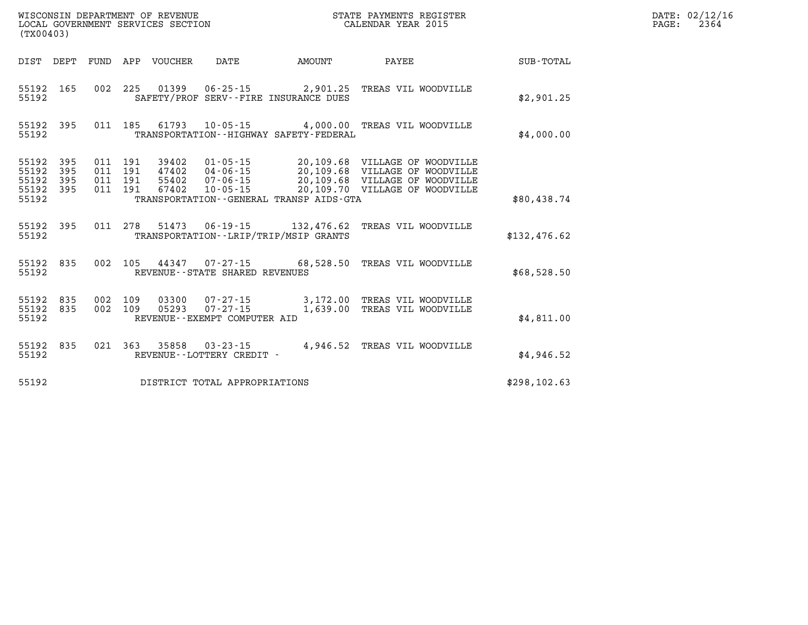| WISCONSIN DEPARTMENT OF REVENUE<br>LOCAL GOVERNMENT SERVICES SECTION<br>(TX00403) |                          |                          |                          |                                  |                                                                      |                                                         |                                                                                                                            |               |
|-----------------------------------------------------------------------------------|--------------------------|--------------------------|--------------------------|----------------------------------|----------------------------------------------------------------------|---------------------------------------------------------|----------------------------------------------------------------------------------------------------------------------------|---------------|
| DIST                                                                              | DEPT                     | FUND                     | APP                      | <b>VOUCHER</b>                   | <b>DATE</b>                                                          | AMOUNT                                                  | PAYEE                                                                                                                      | SUB-TOTAL     |
| 55192<br>55192                                                                    | 165                      | 002                      | 225                      | 01399                            | $06 - 25 - 15$                                                       | 2,901.25<br>SAFETY/PROF SERV--FIRE INSURANCE DUES       | TREAS VIL WOODVILLE                                                                                                        | \$2,901.25    |
| 55192<br>55192                                                                    | 395                      | 011                      | 185                      | 61793                            | $10 - 05 - 15$                                                       | 4,000.00<br>TRANSPORTATION - - HIGHWAY SAFETY - FEDERAL | TREAS VIL WOODVILLE                                                                                                        | \$4,000.00    |
| 55192<br>55192<br>55192<br>55192<br>55192                                         | 395<br>395<br>395<br>395 | 011<br>011<br>011<br>011 | 191<br>191<br>191<br>191 | 39402<br>47402<br>55402<br>67402 | $01 - 05 - 15$<br>$04 - 06 - 15$<br>$07 - 06 - 15$<br>$10 - 05 - 15$ | 20,109.68<br>TRANSPORTATION--GENERAL TRANSP AIDS-GTA    | 20,109.68 VILLAGE OF WOODVILLE<br>VILLAGE OF WOODVILLE<br>20,109.68 VILLAGE OF WOODVILLE<br>20,109.70 VILLAGE OF WOODVILLE | \$80,438.74   |
| 55192<br>55192                                                                    | 395                      | 011                      | 278                      | 51473                            | 06-19-15                                                             | 132,476.62<br>TRANSPORTATION - - LRIP/TRIP/MSIP GRANTS  | TREAS VIL WOODVILLE                                                                                                        | \$132,476.62  |
| 55192<br>55192                                                                    | 835                      | 002                      | 105                      | 44347                            | $07 - 27 - 15$<br>REVENUE--STATE SHARED REVENUES                     | 68,528.50                                               | TREAS VIL WOODVILLE                                                                                                        | \$68,528.50   |
| 55192<br>55192<br>55192                                                           | 835<br>835               | 002<br>002               | 109<br>109               | 03300<br>05293                   | $07 - 27 - 15$<br>$07 - 27 - 15$<br>REVENUE--EXEMPT COMPUTER AID     | 3,172.00<br>1,639.00                                    | TREAS VIL WOODVILLE<br>TREAS VIL WOODVILLE                                                                                 | \$4,811.00    |
| 55192<br>55192                                                                    | 835                      | 021                      | 363                      | 35858                            | $03 - 23 - 15$<br>REVENUE - - LOTTERY CREDIT -                       | 4,946.52                                                | TREAS VIL WOODVILLE                                                                                                        | \$4,946.52    |
| 55192                                                                             |                          |                          |                          |                                  | DISTRICT TOTAL APPROPRIATIONS                                        |                                                         |                                                                                                                            | \$298, 102.63 |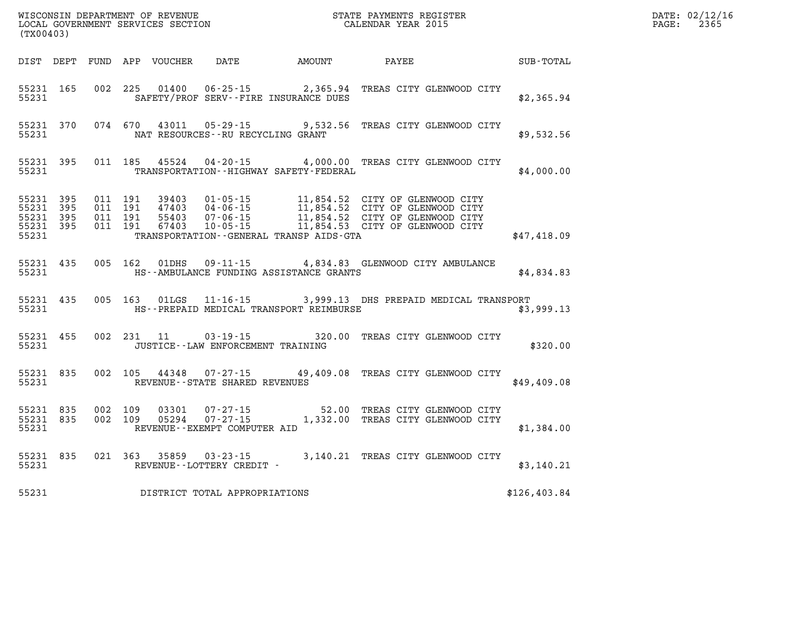| (TX00403)                                    |                        |  |               |                                   |                                                                                                                                                                                                                                                                                      |                  |              | DATE: 02/12/1<br>2365<br>$\mathtt{PAGE}$ : |
|----------------------------------------------|------------------------|--|---------------|-----------------------------------|--------------------------------------------------------------------------------------------------------------------------------------------------------------------------------------------------------------------------------------------------------------------------------------|------------------|--------------|--------------------------------------------|
|                                              |                        |  |               |                                   | DIST DEPT FUND APP VOUCHER DATE AMOUNT PAYEE                                                                                                                                                                                                                                         | <b>SUB-TOTAL</b> |              |                                            |
| 55231                                        | 55231 165              |  |               |                                   | 002 225 01400 06-25-15 2,365.94 TREAS CITY GLENWOOD CITY<br>SAFETY/PROF SERV--FIRE INSURANCE DUES                                                                                                                                                                                    |                  | \$2,365.94   |                                            |
| 55231                                        | 55231 370              |  | 074 670 43011 | NAT RESOURCES--RU RECYCLING GRANT | 05-29-15 9,532.56 TREAS CITY GLENWOOD CITY                                                                                                                                                                                                                                           |                  | \$9,532.56   |                                            |
| 55231                                        | 55231 395              |  |               |                                   | 011 185 45524 04-20-15 4,000.00 TREAS CITY GLENWOOD CITY<br>TRANSPORTATION - - HIGHWAY SAFETY - FEDERAL                                                                                                                                                                              |                  | \$4,000.00   |                                            |
| 55231 395<br>55231 395<br>55231 395<br>55231 | 55231 395              |  |               |                                   | 011 191 39403 01-05-15 11,854.52 CITY OF GLENWOOD CITY<br>011 191 47403 04-06-15 11,854.52 CITY OF GLENWOOD CITY<br>011 191 55403 07-06-15 11,854.52 CITY OF GLENWOOD CITY<br>011 191 67403 10-05-15 11,854.53 CITY OF GLENWOOD CITY<br>TRANSPORTATION - - GENERAL TRANSP AIDS - GTA |                  | \$47,418.09  |                                            |
| 55231                                        | 55231 435              |  |               |                                   | 005 162 01DHS 09-11-15 4,834.83 GLENWOOD CITY AMBULANCE<br>HS--AMBULANCE FUNDING ASSISTANCE GRANTS                                                                                                                                                                                   | \$4,834.83       |              |                                            |
|                                              | 55231 435<br>55231     |  |               |                                   | 005 163 01LGS 11-16-15 3,999.13 DHS PREPAID MEDICAL TRANSPORT<br>HS--PREPAID MEDICAL TRANSPORT REIMBURSE                                                                                                                                                                             |                  | \$3,999.13   |                                            |
| 55231                                        | 55231 455              |  |               | JUSTICE--LAW ENFORCEMENT TRAINING | 002 231 11 03-19-15 320.00 TREAS CITY GLENWOOD CITY                                                                                                                                                                                                                                  |                  | \$320.00     |                                            |
| 55231                                        | 55231 835              |  | 002 105 44348 |                                   | 07-27-15 49,409.08 TREAS CITY GLENWOOD CITY<br>REVENUE--STATE SHARED REVENUES                                                                                                                                                                                                        |                  | \$49,409.08  |                                            |
| 55231                                        | 55231 835<br>55231 835 |  |               | REVENUE--EXEMPT COMPUTER AID      | 002 109 03301 07-27-15 52.00 TREAS CITY GLENWOOD CITY<br>002 109 05294 07-27-15 1,332.00 TREAS CITY GLENWOOD CITY                                                                                                                                                                    |                  | \$1,384.00   |                                            |
|                                              | 55231 835              |  |               | 55231 REVENUE - LOTTERY CREDIT -  | 021 363 35859 03-23-15 3,140.21 TREAS CITY GLENWOOD CITY                                                                                                                                                                                                                             |                  | \$3,140.21   |                                            |
| 55231                                        |                        |  |               | DISTRICT TOTAL APPROPRIATIONS     |                                                                                                                                                                                                                                                                                      |                  | \$126,403.84 |                                            |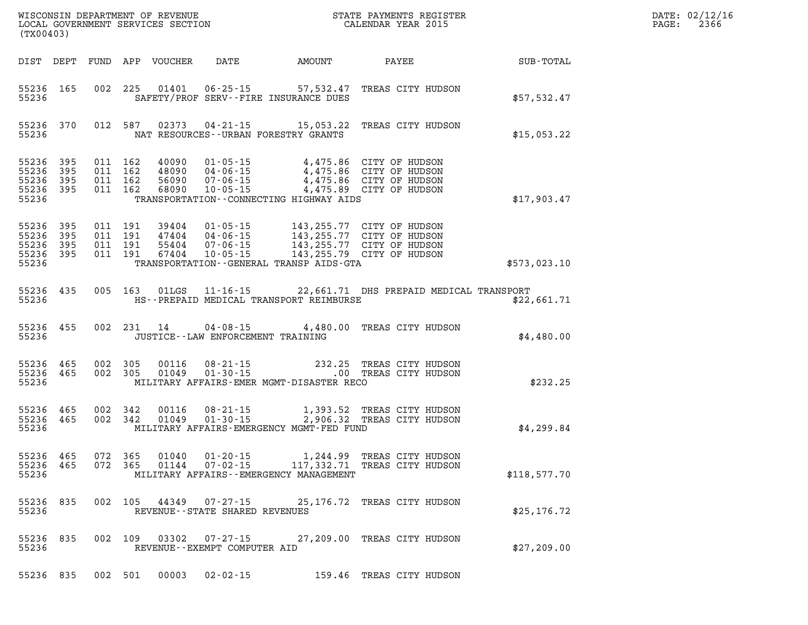| WISCONSIN DEPARTMENT OF REVENUE<br>LOCAL GOVERNMENT SERVICES SECTION<br>(TX00403) |                          |                          |                          |                                  |                                                    | N<br>N<br>N                                                                                                                                                                     | STATE PAYMENTS REGISTER<br>CALENDAR YEAR 2015                              |              |
|-----------------------------------------------------------------------------------|--------------------------|--------------------------|--------------------------|----------------------------------|----------------------------------------------------|---------------------------------------------------------------------------------------------------------------------------------------------------------------------------------|----------------------------------------------------------------------------|--------------|
| DIST                                                                              | DEPT                     | FUND                     | APP                      | VOUCHER                          | DATE                                               | AMOUNT                                                                                                                                                                          | PAYEE                                                                      | SUB-TOTAL    |
| 55236<br>55236                                                                    | 165                      | 002                      | 225                      |                                  |                                                    | SAFETY/PROF SERV--FIRE INSURANCE DUES                                                                                                                                           | 01401  06-25-15  57,532.47  TREAS CITY HUDSON                              | \$57,532.47  |
| 55236<br>55236                                                                    | 370                      | 012                      | 587                      |                                  |                                                    | 02373 04-21-15 15,053.22<br>NAT RESOURCES--URBAN FORESTRY GRANTS                                                                                                                | TREAS CITY HUDSON                                                          | \$15,053.22  |
| 55236<br>55236<br>55236<br>55236<br>55236                                         | 395<br>395<br>395<br>395 | 011<br>011<br>011<br>011 | 162<br>162<br>162<br>162 | 40090<br>48090<br>56090<br>68090 | $04 - 06 - 15$<br>10-05-15                         | 01-05-15<br>04-06-15<br>04-06-15<br>04-06-15<br>04-075.86 CITY OF HUDSON<br>TRANSPORTATION--CONNECTING HIGHWAY AIDS                                                             | 4,475.89 CITY OF HUDSON                                                    | \$17,903.47  |
| 55236<br>55236<br>55236<br>55236<br>55236                                         | 395<br>395<br>395<br>395 | 011<br>011<br>011<br>011 | 191<br>191<br>191<br>191 | 39404<br>55404<br>67404          | $01 - 05 - 15$<br>47404 04-06-15<br>$07 - 06 - 15$ | 143,255.77  CITY OF HUDSON<br>143,255.77  CITY OF HUDSON<br>07-06-15 143,255.77 CITY OF HUDSON<br>10-05-15 143,255.79 CITY OF HUDSON<br>TRANSPORTATION--GENERAL TRANSP AIDS-GTA |                                                                            | \$573,023.10 |
| 55236<br>55236                                                                    | 435                      | 005                      | 163                      | 01LGS                            |                                                    | HS--PREPAID MEDICAL TRANSPORT REIMBURSE                                                                                                                                         | 11-16-15 22,661.71 DHS PREPAID MEDICAL TRANSPORT                           | \$22,661.71  |
| 55236<br>55236                                                                    | 455                      | 002                      | 231                      | 14                               | JUSTICE - - LAW ENFORCEMENT TRAINING               |                                                                                                                                                                                 | 04-08-15 4,480.00 TREAS CITY HUDSON                                        | \$4,480.00   |
| 55236<br>55236<br>55236                                                           | 465<br>465               | 002<br>002               | - 305<br>305             | 00116<br>01049                   | $08 - 21 - 15$<br>$01 - 30 - 15$                   | 232.25<br>$.00 \,$<br>MILITARY AFFAIRS-EMER MGMT-DISASTER RECO                                                                                                                  | TREAS CITY HUDSON<br>TREAS CITY HUDSON                                     | \$232.25     |
| 55236<br>55236<br>55236                                                           | 465<br>465               | 002<br>002               | 342<br>342               | 00116<br>01049                   |                                                    | MILITARY AFFAIRS-EMERGENCY MGMT-FED FUND                                                                                                                                        | 08-21-15 1,393.52 TREAS CITY HUDSON<br>01-30-15 2,906.32 TREAS CITY HUDSON | \$4,299.84   |
| 55236<br>55236<br>55236                                                           | 465<br>465               | 072<br>072               | 365<br>365               | 01040<br>01144                   | $01 - 20 - 15$<br>$07 - 02 - 15$                   | 1,244.99<br>117,332.71<br>MILITARY AFFAIRS - - EMERGENCY MANAGEMENT                                                                                                             | TREAS CITY HUDSON<br>TREAS CITY HUDSON                                     | \$118,577.70 |
| 55236 835<br>55236                                                                |                          | 002                      |                          |                                  | REVENUE - - STATE SHARED REVENUES                  |                                                                                                                                                                                 | 105  44349  07-27-15  25,176.72  TREAS CITY HUDSON                         | \$25, 176.72 |
| 55236 835<br>55236                                                                |                          | 002                      |                          |                                  | REVENUE - - EXEMPT COMPUTER AID                    |                                                                                                                                                                                 | 109  03302  07-27-15  27,209.00 TREAS CITY HUDSON                          | \$27,209.00  |
| 55236 835                                                                         |                          |                          |                          |                                  | 002 501 00003 02-02-15                             |                                                                                                                                                                                 | 159.46 TREAS CITY HUDSON                                                   |              |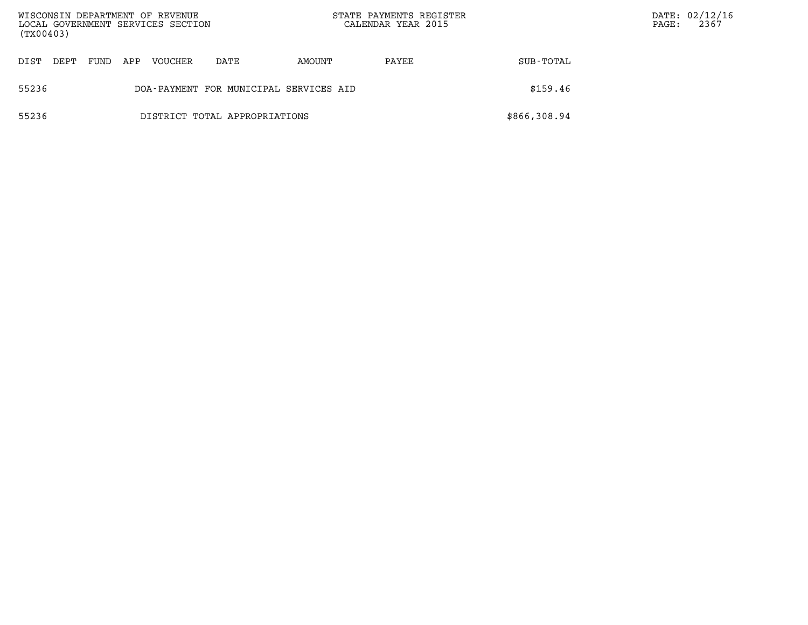| WISCONSIN DEPARTMENT OF REVENUE<br>LOCAL GOVERNMENT SERVICES SECTION<br>(TX00403) |      |      |     |         |                                        | STATE PAYMENTS REGISTER<br>CALENDAR YEAR 2015 |       | PAGE:        | DATE: 02/12/16<br>2367 |  |
|-----------------------------------------------------------------------------------|------|------|-----|---------|----------------------------------------|-----------------------------------------------|-------|--------------|------------------------|--|
| DIST                                                                              | DEPT | FUND | APP | VOUCHER | DATE                                   | AMOUNT                                        | PAYEE | SUB-TOTAL    |                        |  |
| 55236                                                                             |      |      |     |         | DOA-PAYMENT FOR MUNICIPAL SERVICES AID |                                               |       | \$159.46     |                        |  |
| 55236                                                                             |      |      |     |         | DISTRICT TOTAL APPROPRIATIONS          |                                               |       | \$866,308.94 |                        |  |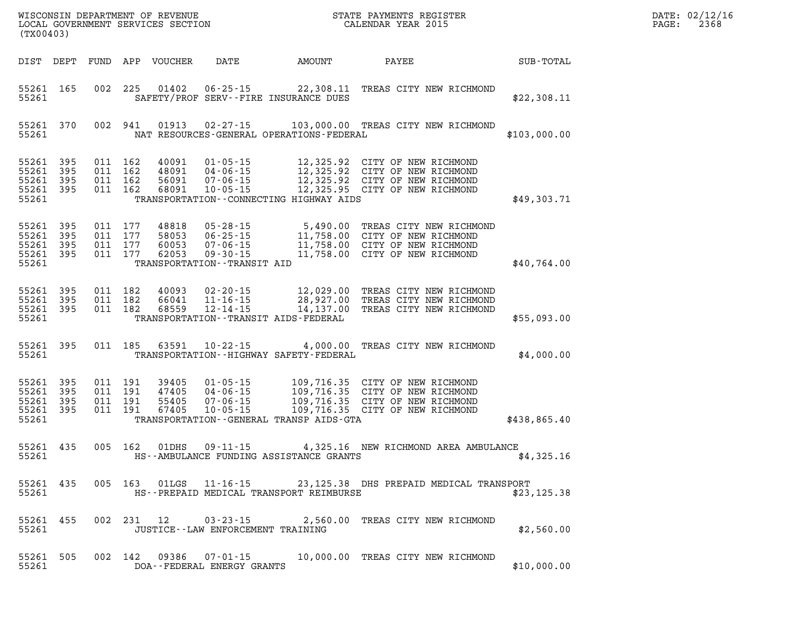| (TX00403)                                 |                          |                          |                          | WISCONSIN DEPARTMENT OF REVENUE<br>LOCAL GOVERNMENT SERVICES SECTION |                                                                                                        |                                                                                             | STATE PAYMENTS REGISTER<br>CALENDAR YEAR 2015                                                                      |              |
|-------------------------------------------|--------------------------|--------------------------|--------------------------|----------------------------------------------------------------------|--------------------------------------------------------------------------------------------------------|---------------------------------------------------------------------------------------------|--------------------------------------------------------------------------------------------------------------------|--------------|
| DIST                                      | DEPT                     | FUND                     | APP                      | <b>VOUCHER</b>                                                       | DATE                                                                                                   | AMOUNT                                                                                      | PAYEE                                                                                                              | SUB-TOTAL    |
| 55261<br>55261                            | 165                      | 002                      | 225                      | 01402                                                                | $06 - 25 - 15$                                                                                         | 22,308.11<br>SAFETY/PROF SERV--FIRE INSURANCE DUES                                          | TREAS CITY NEW RICHMOND                                                                                            | \$22,308.11  |
| 55261<br>55261                            | 370                      | 002                      | 941                      | 01913                                                                | $02 - 27 - 15$                                                                                         | NAT RESOURCES-GENERAL OPERATIONS-FEDERAL                                                    | 103,000.00 TREAS CITY NEW RICHMOND                                                                                 | \$103,000.00 |
| 55261<br>55261<br>55261<br>55261<br>55261 | 395<br>395<br>395<br>395 | 011<br>011<br>011<br>011 | 162<br>162<br>162<br>162 | 40091<br>48091<br>56091<br>68091                                     | $01 - 05 - 15$<br>$04 - 06 - 15$<br>$07 - 06 - 15$<br>$10 - 05 - 15$                                   | 12,325.92<br>12,325.92<br>12,325.92<br>12,325.95<br>TRANSPORTATION--CONNECTING HIGHWAY AIDS | CITY OF NEW RICHMOND<br>CITY OF NEW RICHMOND<br>CITY OF NEW RICHMOND<br>CITY OF NEW RICHMOND                       | \$49,303.71  |
| 55261<br>55261<br>55261<br>55261<br>55261 | 395<br>395<br>395<br>395 | 011<br>011<br>011<br>011 | 177<br>177<br>177<br>177 | 48818<br>58053<br>60053<br>62053                                     | $05 - 28 - 15$<br>$06 - 25 - 15$<br>$07 - 06 - 15$<br>$09 - 30 - 15$<br>TRANSPORTATION - - TRANSIT AID | 5,490.00<br>11,758.00<br>11,758.00<br>11,758.00                                             | TREAS CITY NEW RICHMOND<br>CITY OF NEW RICHMOND<br>CITY OF NEW RICHMOND<br>CITY OF NEW RICHMOND                    | \$40,764.00  |
| 55261<br>55261<br>55261<br>55261          | 395<br>395<br>395        | 011<br>011<br>011        | 182<br>182<br>182        | 40093<br>66041<br>68559                                              | $02 - 20 - 15$<br>$11 - 16 - 15$<br>$12 - 14 - 15$                                                     | 28,927.00<br>14,137.00<br>TRANSPORTATION - - TRANSIT AIDS - FEDERAL                         | 12,029.00 TREAS CITY NEW RICHMOND<br>TREAS CITY NEW RICHMOND<br>TREAS CITY NEW RICHMOND                            | \$55,093.00  |
| 55261<br>55261                            | 395                      | 011                      | 185                      | 63591                                                                | $10 - 22 - 15$                                                                                         | 4,000.00<br>TRANSPORTATION - - HIGHWAY SAFETY - FEDERAL                                     | TREAS CITY NEW RICHMOND                                                                                            | \$4,000.00   |
| 55261<br>55261<br>55261<br>55261<br>55261 | 395<br>395<br>395<br>395 | 011<br>011<br>011<br>011 | 191<br>191<br>191<br>191 | 39405<br>47405<br>55405<br>67405                                     | $01 - 05 - 15$<br>$04 - 06 - 15$<br>$07 - 06 - 15$<br>$10 - 05 - 15$                                   | 109,716.35<br>109,716.35<br>TRANSPORTATION--GENERAL TRANSP AIDS-GTA                         | 109,716.35 CITY OF NEW RICHMOND<br>CITY OF NEW RICHMOND<br>109,716.35 CITY OF NEW RICHMOND<br>CITY OF NEW RICHMOND | \$438,865.40 |
| 55261<br>55261                            | 435                      | 005                      | 162                      | 01DHS                                                                | $09 - 11 - 15$                                                                                         | HS--AMBULANCE FUNDING ASSISTANCE GRANTS                                                     | 4,325.16 NEW RICHMOND AREA AMBULANCE                                                                               | \$4,325.16   |
| 55261 435<br>55261                        |                          |                          | 005 163                  |                                                                      |                                                                                                        | HS--PREPAID MEDICAL TRANSPORT REIMBURSE                                                     | 01LGS  11-16-15  23,125.38 DHS PREPAID MEDICAL TRANSPORT                                                           | \$23, 125.38 |
| 55261 455<br>55261                        |                          |                          |                          |                                                                      | 002 231 12 03-23-15                                                                                    | JUSTICE - - LAW ENFORCEMENT TRAINING                                                        | 2,560.00 TREAS CITY NEW RICHMOND                                                                                   | \$2,560.00   |
| 55261<br>55261                            | 505                      |                          | 002 142                  |                                                                      | 09386  07-01-15<br>DOA--FEDERAL ENERGY GRANTS                                                          |                                                                                             | 10,000.00 TREAS CITY NEW RICHMOND                                                                                  | \$10,000.00  |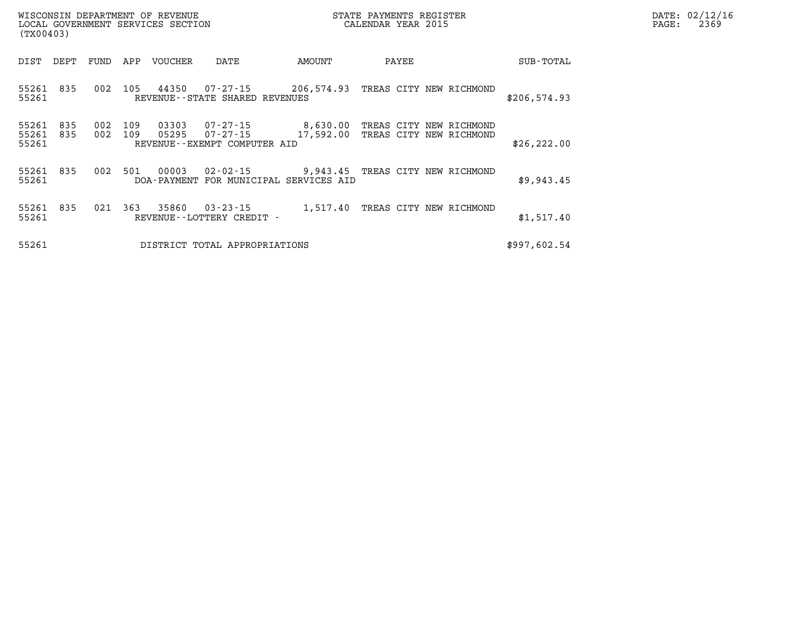| WISCONSIN DEPARTMENT OF REVENUE<br>LOCAL GOVERNMENT SERVICES SECTION<br>(TX00403) |      |                |     |                |                                                                                     | STATE PAYMENTS REGISTER<br>CALENDAR YEAR 2015 | $\mathtt{PAGE}$ : | DATE: 02/12/16<br>2369                             |              |  |  |
|-----------------------------------------------------------------------------------|------|----------------|-----|----------------|-------------------------------------------------------------------------------------|-----------------------------------------------|-------------------|----------------------------------------------------|--------------|--|--|
| DIST                                                                              | DEPT | FUND           | APP | VOUCHER        | DATE                                                                                | AMOUNT                                        | PAYEE             |                                                    | SUB-TOTAL    |  |  |
| 55261 835<br>55261                                                                |      | 002            | 105 | 44350          | REVENUE--STATE SHARED REVENUES                                                      |                                               |                   |                                                    | \$206,574.93 |  |  |
| 55261<br>55261 835<br>55261                                                       | 835  | 002<br>002 109 | 109 | 03303<br>05295 | 07-27-15<br>07-27-15<br>REVENUE--EXEMPT COMPUTER AID                                | 8,630.00<br>17,592.00                         |                   | TREAS CITY NEW RICHMOND<br>TREAS CITY NEW RICHMOND | \$26, 222.00 |  |  |
| 55261 835<br>55261                                                                |      | 002            | 501 | 00003          | 02-02-15 9,943.45 TREAS CITY NEW RICHMOND<br>DOA-PAYMENT FOR MUNICIPAL SERVICES AID |                                               |                   |                                                    | \$9,943.45   |  |  |
| 55261 835<br>55261                                                                |      | 021            | 363 | 35860          | 03-23-15<br>REVENUE - - LOTTERY CREDIT -                                            | 1,517.40                                      |                   | TREAS CITY NEW RICHMOND                            | \$1,517.40   |  |  |
| 55261                                                                             |      |                |     |                | DISTRICT TOTAL APPROPRIATIONS                                                       |                                               |                   |                                                    | \$997,602.54 |  |  |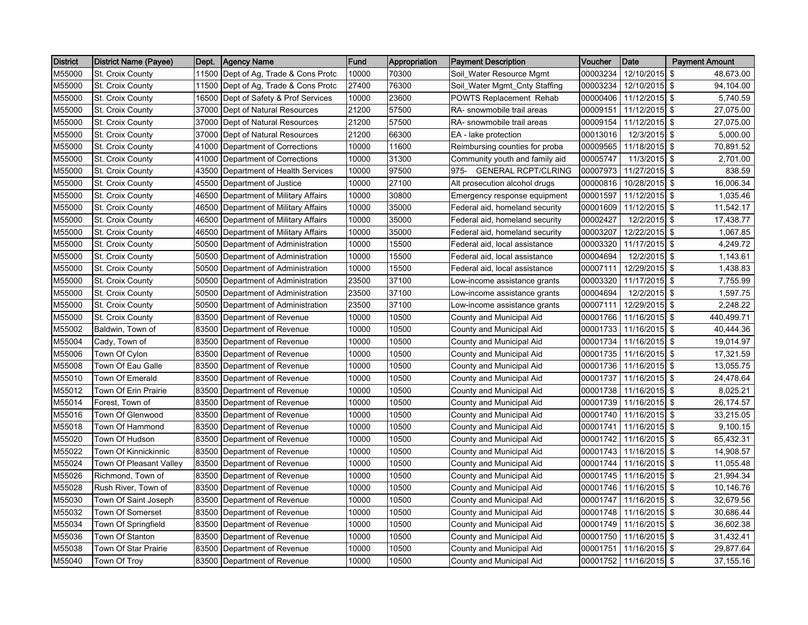| <b>District</b> | District Name (Payee)   | Dept. | Agency Name                    | Fund  | Appropriation | <b>Payment Description</b>     | Voucher  | <b>Date</b>            | <b>Payment Amount</b> |
|-----------------|-------------------------|-------|--------------------------------|-------|---------------|--------------------------------|----------|------------------------|-----------------------|
| M55000          | St. Croix County        | 11500 | Dept of Ag, Trade & Cons Protc | 10000 | 70300         | Soil Water Resource Mgmt       | 00003234 | 12/10/2015 \$          | 48,673.00             |
| M55000          | St. Croix County        | 11500 | Dept of Ag, Trade & Cons Protc | 27400 | 76300         | Soil_Water Mgmt_Cnty Staffing  | 00003234 | 12/10/2015 \$          | 94,104.00             |
| M55000          | St. Croix County        | 16500 | Dept of Safety & Prof Services | 10000 | 23600         | POWTS Replacement Rehab        | 00000406 | 11/12/2015 \$          | 5,740.59              |
| M55000          | St. Croix County        | 37000 | Dept of Natural Resources      | 21200 | 57500         | RA- snowmobile trail areas     | 00009151 | 11/12/2015 \$          | 27,075.00             |
| M55000          | St. Croix County        | 37000 | Dept of Natural Resources      | 21200 | 57500         | RA- snowmobile trail areas     | 00009154 | 11/12/2015 \$          | 27,075.00             |
| M55000          | St. Croix County        | 37000 | Dept of Natural Resources      | 21200 | 66300         | EA - lake protection           | 00013016 | 12/3/2015 \$           | 5,000.00              |
| M55000          | St. Croix County        | 41000 | Department of Corrections      | 10000 | 11600         | Reimbursing counties for proba | 00009565 | 11/18/2015 \$          | 70,891.52             |
| M55000          | St. Croix County        | 41000 | Department of Corrections      | 10000 | 31300         | Community youth and family aid | 00005747 | 11/3/2015 \$           | 2,701.00              |
| M55000          | St. Croix County        | 43500 | Department of Health Services  | 10000 | 97500         | 975- GENERAL RCPT/CLRING       | 00007973 | 11/27/2015 \$          | 838.59                |
| M55000          | St. Croix County        | 45500 | Department of Justice          | 10000 | 27100         | Alt prosecution alcohol drugs  | 00000816 | 10/28/2015 \$          | 16,006.34             |
| M55000          | <b>St. Croix County</b> | 46500 | Department of Military Affairs | 10000 | 30800         | Emergency response equipment   | 00001597 | 11/12/2015 \$          | 1,035.46              |
| M55000          | St. Croix County        | 46500 | Department of Military Affairs | 10000 | 35000         | Federal aid, homeland security | 00001609 | $11/12/2015$ \$        | 11,542.17             |
| M55000          | St. Croix County        | 46500 | Department of Military Affairs | 10000 | 35000         | Federal aid, homeland security | 00002427 | 12/2/2015 \$           | 17,438.77             |
| M55000          | St. Croix County        | 46500 | Department of Military Affairs | 10000 | 35000         | Federal aid, homeland security | 00003207 | 12/22/2015 \$          | 1,067.85              |
| M55000          | St. Croix County        | 50500 | Department of Administration   | 10000 | 15500         | Federal aid, local assistance  | 00003320 | 11/17/2015 \$          | 4,249.72              |
| M55000          | St. Croix County        | 50500 | Department of Administration   | 10000 | 15500         | Federal aid, local assistance  | 00004694 | 12/2/2015 \$           | 1,143.61              |
| M55000          | St. Croix County        | 50500 | Department of Administration   | 10000 | 15500         | Federal aid, local assistance  | 00007111 | 12/29/2015 \$          | 1,438.83              |
| M55000          | St. Croix County        | 50500 | Department of Administration   | 23500 | 37100         | _ow-income assistance grants   | 00003320 | 11/17/2015 \$          | 7,755.99              |
| M55000          | St. Croix County        | 50500 | Department of Administration   | 23500 | 37100         | Low-income assistance grants   | 00004694 | 12/2/2015 \$           | 1,597.75              |
| M55000          | St. Croix County        | 50500 | Department of Administration   | 23500 | 37100         | Low-income assistance grants   | 00007111 | 12/29/2015 \$          | 2,248.22              |
| M55000          | St. Croix County        | 83500 | Department of Revenue          | 10000 | 10500         | County and Municipal Aid       | 00001766 | 11/16/2015 \$          | 440,499.71            |
| M55002          | Baldwin, Town of        | 83500 | Department of Revenue          | 10000 | 10500         | County and Municipal Aid       | 00001733 | 11/16/2015 \$          | 40,444.36             |
| M55004          | Cady, Town of           | 83500 | Department of Revenue          | 10000 | 10500         | County and Municipal Aid       | 00001734 | 11/16/2015 \$          | 19,014.97             |
| M55006          | Town Of Cylon           | 83500 | Department of Revenue          | 10000 | 10500         | County and Municipal Aid       | 00001735 | 11/16/2015 \$          | 17,321.59             |
| M55008          | Town Of Eau Galle       | 83500 | Department of Revenue          | 10000 | 10500         | County and Municipal Aid       | 00001736 | 11/16/2015 \$          | 13,055.75             |
| M55010          | Town Of Emerald         | 83500 | Department of Revenue          | 10000 | 10500         | County and Municipal Aid       | 00001737 | 11/16/2015 \$          | 24,478.64             |
| M55012          | Town Of Erin Prairie    | 83500 | Department of Revenue          | 10000 | 10500         | County and Municipal Aid       | 00001738 | 11/16/2015 \$          | 8,025.21              |
| M55014          | Forest, Town of         | 83500 | Department of Revenue          | 10000 | 10500         | County and Municipal Aid       | 00001739 | 11/16/2015 \$          | 26,174.57             |
| M55016          | Town Of Glenwood        | 83500 | Department of Revenue          | 10000 | 10500         | County and Municipal Aid       | 00001740 | 11/16/2015 \$          | 33,215.05             |
| M55018          | Town Of Hammond         | 83500 | Department of Revenue          | 10000 | 10500         | County and Municipal Aid       | 00001741 | 11/16/2015 \$          | 9,100.15              |
| M55020          | Town Of Hudson          | 83500 | Department of Revenue          | 10000 | 10500         | County and Municipal Aid       | 00001742 | 11/16/2015 \$          | 65,432.31             |
| M55022          | Town Of Kinnickinnic    | 83500 | Department of Revenue          | 10000 | 10500         | County and Municipal Aid       | 00001743 | 11/16/2015 \$          | 14,908.57             |
| M55024          | Town Of Pleasant Valley | 83500 | Department of Revenue          | 10000 | 10500         | County and Municipal Aid       | 00001744 | 11/16/2015 \$          | 11,055.48             |
| M55026          | Richmond, Town of       | 83500 | Department of Revenue          | 10000 | 10500         | County and Municipal Aid       | 00001745 | 11/16/2015 \$          | 21,994.34             |
| M55028          | Rush River, Town of     | 83500 | Department of Revenue          | 10000 | 10500         | County and Municipal Aid       | 00001746 | 11/16/2015 \$          | 10,146.76             |
| M55030          | Town Of Saint Joseph    | 83500 | Department of Revenue          | 10000 | 10500         | County and Municipal Aid       | 00001747 | 11/16/2015 \$          | 32,679.56             |
| M55032          | Town Of Somerset        | 83500 | Department of Revenue          | 10000 | 10500         | County and Municipal Aid       | 00001748 | 11/16/2015 \$          | 30,686.44             |
| M55034          | Town Of Springfield     | 83500 | Department of Revenue          | 10000 | 10500         | County and Municipal Aid       | 00001749 | 11/16/2015 \$          | 36,602.38             |
| M55036          | Town Of Stanton         | 83500 | Department of Revenue          | 10000 | 10500         | County and Municipal Aid       | 00001750 | 11/16/2015 \$          | 31,432.41             |
| M55038          | Town Of Star Prairie    | 83500 | Department of Revenue          | 10000 | 10500         | County and Municipal Aid       | 00001751 | 11/16/2015 \$          | 29,877.64             |
| M55040          | Town Of Troy            | 83500 | Department of Revenue          | 10000 | 10500         | County and Municipal Aid       |          | 00001752 11/16/2015 \$ | 37,155.16             |